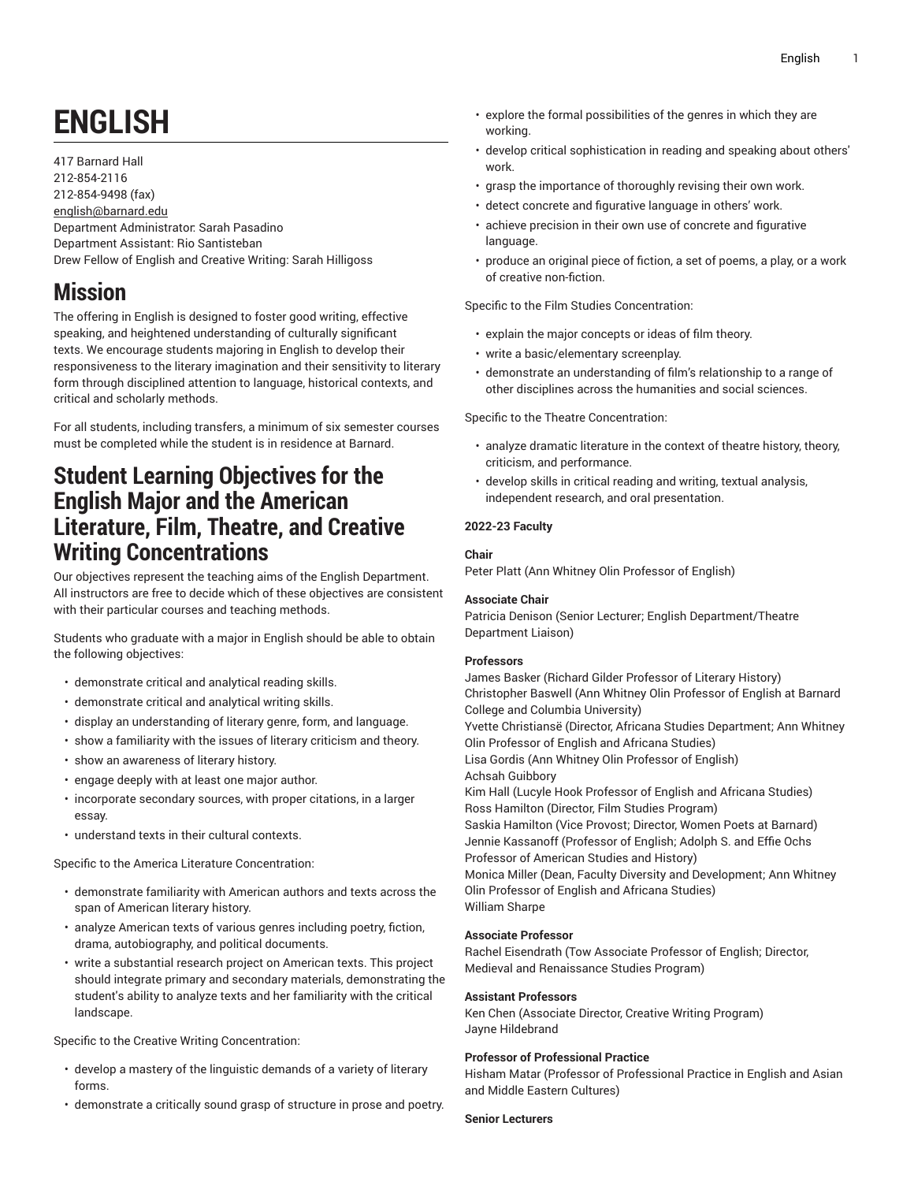# **ENGLISH**

417 Barnard Hall 212-854-2116 212-854-9498 (fax) [english@barnard.edu](mailto:english@barnard.edu) Department Administrator: Sarah Pasadino Department Assistant: Rio Santisteban Drew Fellow of English and Creative Writing: Sarah Hilligoss

## **Mission**

The offering in English is designed to foster good writing, effective speaking, and heightened understanding of culturally significant texts. We encourage students majoring in English to develop their responsiveness to the literary imagination and their sensitivity to literary form through disciplined attention to language, historical contexts, and critical and scholarly methods.

For all students, including transfers, a minimum of six semester courses must be completed while the student is in residence at Barnard.

## **Student Learning Objectives for the English Major and the American Literature, Film, Theatre, and Creative Writing Concentrations**

Our objectives represent the teaching aims of the English Department. All instructors are free to decide which of these objectives are consistent with their particular courses and teaching methods.

Students who graduate with a major in English should be able to obtain the following objectives:

- demonstrate critical and analytical reading skills.
- demonstrate critical and analytical writing skills.
- display an understanding of literary genre, form, and language.
- show a familiarity with the issues of literary criticism and theory.
- show an awareness of literary history.
- engage deeply with at least one major author.
- incorporate secondary sources, with proper citations, in a larger essay.
- understand texts in their cultural contexts.

Specific to the America Literature Concentration:

- demonstrate familiarity with American authors and texts across the span of American literary history.
- analyze American texts of various genres including poetry, fiction, drama, autobiography, and political documents.
- write a substantial research project on American texts. This project should integrate primary and secondary materials, demonstrating the student's ability to analyze texts and her familiarity with the critical landscape.

Specific to the Creative Writing Concentration:

- develop a mastery of the linguistic demands of a variety of literary forms.
- demonstrate a critically sound grasp of structure in prose and poetry.
- explore the formal possibilities of the genres in which they are working.
- develop critical sophistication in reading and speaking about others' work.
- grasp the importance of thoroughly revising their own work.
- detect concrete and figurative language in others' work.
- achieve precision in their own use of concrete and figurative language.
- produce an original piece of fiction, a set of poems, a play, or a work of creative non-fiction.

Specific to the Film Studies Concentration:

- explain the major concepts or ideas of film theory.
- write a basic/elementary screenplay.
- demonstrate an understanding of film's relationship to a range of other disciplines across the humanities and social sciences.

Specific to the Theatre Concentration:

- analyze dramatic literature in the context of theatre history, theory, criticism, and performance.
- develop skills in critical reading and writing, textual analysis, independent research, and oral presentation.

#### **2022-23 Faculty**

#### **Chair**

Peter Platt (Ann Whitney Olin Professor of English)

#### **Associate Chair**

Patricia Denison (Senior Lecturer; English Department/Theatre Department Liaison)

#### **Professors**

James Basker (Richard Gilder Professor of Literary History) Christopher Baswell (Ann Whitney Olin Professor of English at Barnard College and Columbia University) Yvette Christiansë (Director, Africana Studies Department; Ann Whitney Olin Professor of English and Africana Studies) Lisa Gordis (Ann Whitney Olin Professor of English) Achsah Guibbory Kim Hall (Lucyle Hook Professor of English and Africana Studies) Ross Hamilton (Director, Film Studies Program) Saskia Hamilton (Vice Provost; Director, Women Poets at Barnard) Jennie Kassanoff (Professor of English; Adolph S. and Effie Ochs Professor of American Studies and History) Monica Miller (Dean, Faculty Diversity and Development; Ann Whitney Olin Professor of English and Africana Studies) William Sharpe

#### **Associate Professor**

Rachel Eisendrath (Tow Associate Professor of English; Director, Medieval and Renaissance Studies Program)

#### **Assistant Professors**

Ken Chen (Associate Director, Creative Writing Program) Jayne Hildebrand

#### **Professor of Professional Practice**

Hisham Matar (Professor of Professional Practice in English and Asian and Middle Eastern Cultures)

**Senior Lecturers**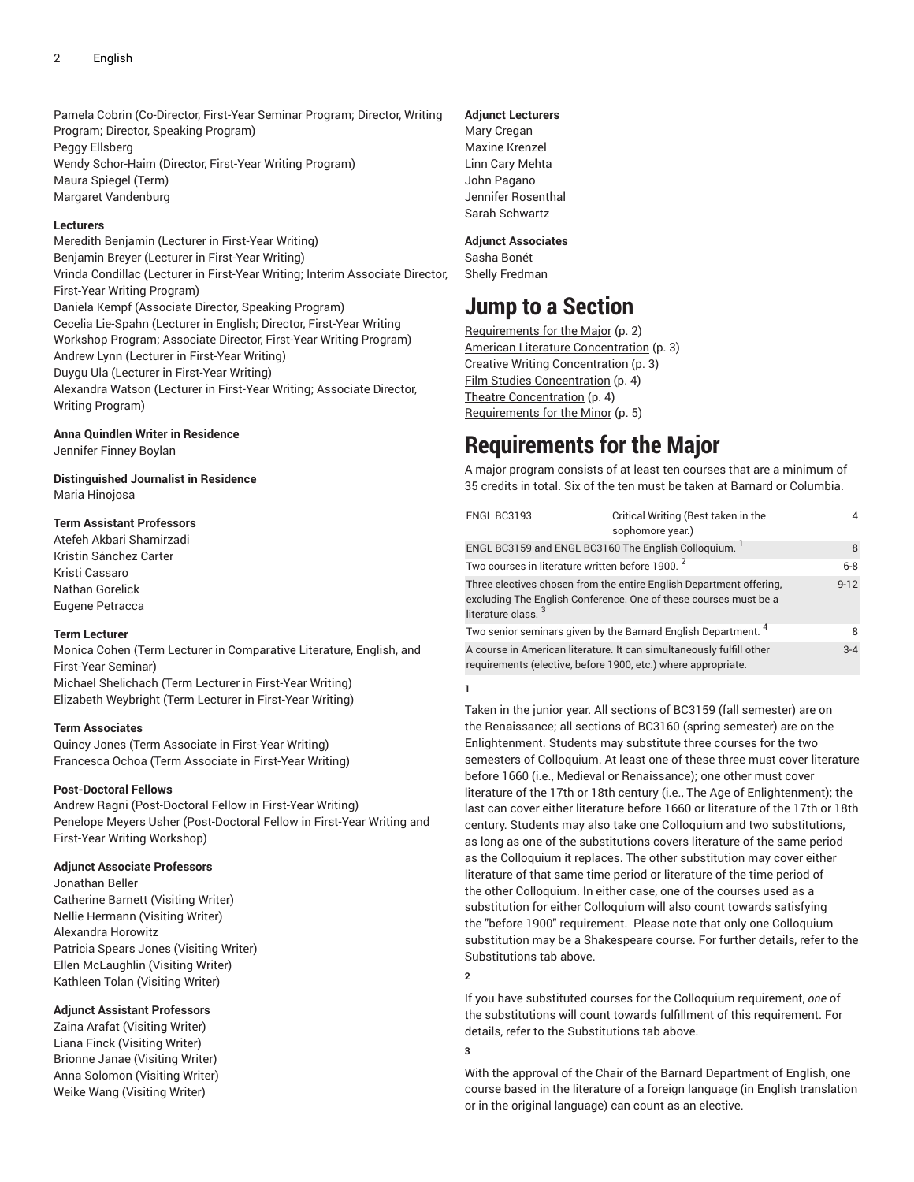Pamela Cobrin (Co-Director, First-Year Seminar Program; Director, Writing Program; Director, Speaking Program) Peggy Ellsberg Wendy Schor-Haim (Director, First-Year Writing Program) Maura Spiegel (Term) Margaret Vandenburg

#### **Lecturers**

Meredith Benjamin (Lecturer in First-Year Writing) Benjamin Breyer (Lecturer in First-Year Writing) Vrinda Condillac (Lecturer in First-Year Writing; Interim Associate Director, First-Year Writing Program) Daniela Kempf (Associate Director, Speaking Program) Cecelia Lie-Spahn (Lecturer in English; Director, First-Year Writing Workshop Program; Associate Director, First-Year Writing Program) Andrew Lynn (Lecturer in First-Year Writing) Duygu Ula (Lecturer in First-Year Writing) Alexandra Watson (Lecturer in First-Year Writing; Associate Director, Writing Program)

#### **Anna Quindlen Writer in Residence**

Jennifer Finney Boylan

**Distinguished Journalist in Residence** Maria Hinojosa

#### **Term Assistant Professors**

Atefeh Akbari Shamirzadi Kristin Sánchez Carter Kristi Cassaro Nathan Gorelick Eugene Petracca

#### **Term Lecturer**

Monica Cohen (Term Lecturer in Comparative Literature, English, and First-Year Seminar) Michael Shelichach (Term Lecturer in First-Year Writing) Elizabeth Weybright (Term Lecturer in First-Year Writing)

#### **Term Associates**

Quincy Jones (Term Associate in First-Year Writing) Francesca Ochoa (Term Associate in First-Year Writing)

#### **Post-Doctoral Fellows**

Andrew Ragni (Post-Doctoral Fellow in First-Year Writing) Penelope Meyers Usher (Post-Doctoral Fellow in First-Year Writing and First-Year Writing Workshop)

#### **Adjunct Associate Professors**

Jonathan Beller Catherine Barnett (Visiting Writer) Nellie Hermann (Visiting Writer) Alexandra Horowitz Patricia Spears Jones (Visiting Writer) Ellen McLaughlin (Visiting Writer) Kathleen Tolan (Visiting Writer)

#### **Adjunct Assistant Professors**

Zaina Arafat (Visiting Writer) Liana Finck (Visiting Writer) Brionne Janae (Visiting Writer) Anna Solomon (Visiting Writer) Weike Wang (Visiting Writer)

#### **Adjunct Lecturers**

Mary Cregan Maxine Krenzel Linn Cary Mehta John Pagano Jennifer Rosenthal Sarah Schwartz

#### **Adjunct Associates**

Sasha Bonét Shelly Fredman

### **Jump to a Section**

[Requirements](#page-1-0) for the Major ([p. 2\)](#page-1-0) American Literature [Concentration](#page-2-0) ([p. 3](#page-2-0)) Creative Writing [Concentration](#page-2-1) ([p. 3\)](#page-2-1) [Film Studies Concentration](#page-3-0) ([p. 4\)](#page-3-0) Theatre [Concentration \(p. 4\)](#page-3-1) [Requirements](#page-4-0) for the Minor ([p. 5\)](#page-4-0)

## <span id="page-1-0"></span>**Requirements for the Major**

A major program consists of at least ten courses that are a minimum of 35 credits in total. Six of the ten must be taken at Barnard or Columbia.

| ENGL BC3193                                                                                                                                                               | Critical Writing (Best taken in the<br>sophomore year.)                   |          |
|---------------------------------------------------------------------------------------------------------------------------------------------------------------------------|---------------------------------------------------------------------------|----------|
| ENGL BC3159 and ENGL BC3160 The English Colloquium.                                                                                                                       |                                                                           | 8        |
| Two courses in literature written before 1900. <sup>2</sup>                                                                                                               |                                                                           | $6 - 8$  |
| Three electives chosen from the entire English Department offering.<br>excluding The English Conference. One of these courses must be a<br>literature class. <sup>3</sup> |                                                                           | $9 - 12$ |
|                                                                                                                                                                           | Two senior seminars given by the Barnard English Department. <sup>4</sup> | 8        |
| A course in American literature. It can simultaneously fulfill other<br>requirements (elective, before 1900, etc.) where appropriate.                                     |                                                                           | $3 - 4$  |

**1**

Taken in the junior year. All sections of BC3159 (fall semester) are on the Renaissance; all sections of BC3160 (spring semester) are on the Enlightenment. Students may substitute three courses for the two semesters of Colloquium. At least one of these three must cover literature before 1660 (i.e., Medieval or Renaissance); one other must cover literature of the 17th or 18th century (i.e., The Age of Enlightenment); the last can cover either literature before 1660 or literature of the 17th or 18th century. Students may also take one Colloquium and two substitutions, as long as one of the substitutions covers literature of the same period as the Colloquium it replaces. The other substitution may cover either literature of that same time period or literature of the time period of the other Colloquium. In either case, one of the courses used as a substitution for either Colloquium will also count towards satisfying the "before 1900" requirement. Please note that only one Colloquium substitution may be a Shakespeare course. For further details, refer to the Substitutions tab above.

**2**

If you have substituted courses for the Colloquium requirement, *one* of the substitutions will count towards fulfillment of this requirement. For details, refer to the Substitutions tab above.

**3**

With the approval of the Chair of the Barnard Department of English, one course based in the literature of a foreign language (in English translation or in the original language) can count as an elective.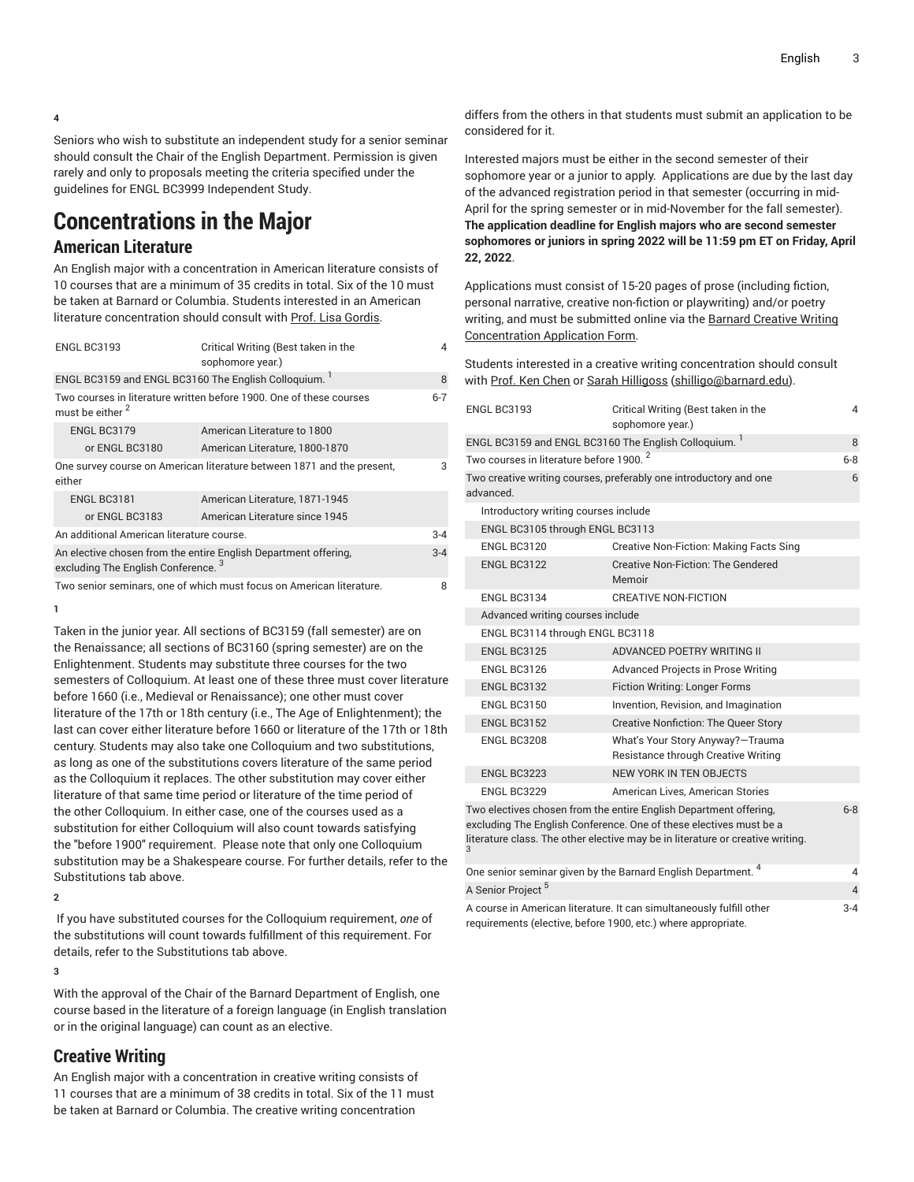**4**

Seniors who wish to substitute an independent study for a senior seminar should consult the Chair of the English Department. Permission is given rarely and only to proposals meeting the criteria specified under the guidelines for ENGL BC3999 Independent Study.

## <span id="page-2-0"></span>**Concentrations in the Major**

### **American Literature**

An English major with a concentration in American literature consists of 10 courses that are a minimum of 35 credits in total. Six of the 10 must be taken at Barnard or Columbia. Students interested in an American literature concentration should consult with Prof. Lisa [Gordis](https://english.barnard.edu/profiles/lisa-gordis/).

| ENGL BC3193                                                                                                       | Critical Writing (Best taken in the<br>sophomore year.) | 4       |
|-------------------------------------------------------------------------------------------------------------------|---------------------------------------------------------|---------|
| ENGL BC3159 and ENGL BC3160 The English Colloquium.                                                               |                                                         | 8       |
| Two courses in literature written before 1900. One of these courses<br>must be either 2                           |                                                         | $6 - 7$ |
| ENGL BC3179                                                                                                       | American Literature to 1800                             |         |
| or ENGL BC3180                                                                                                    | American Literature, 1800-1870                          |         |
| One survey course on American literature between 1871 and the present,<br>either                                  |                                                         | 3       |
| ENGL BC3181                                                                                                       | American Literature, 1871-1945                          |         |
| or ENGL BC3183                                                                                                    | American Literature since 1945                          |         |
| An additional American literature course.                                                                         |                                                         | $3 - 4$ |
| An elective chosen from the entire English Department offering,<br>excluding The English Conference. <sup>3</sup> |                                                         | $3 - 4$ |
| Two senior seminars, one of which must focus on American literature.                                              |                                                         | 8       |

**1**

Taken in the junior year. All sections of BC3159 (fall semester) are on the Renaissance; all sections of BC3160 (spring semester) are on the Enlightenment. Students may substitute three courses for the two semesters of Colloquium. At least one of these three must cover literature before 1660 (i.e., Medieval or Renaissance); one other must cover literature of the 17th or 18th century (i.e., The Age of Enlightenment); the last can cover either literature before 1660 or literature of the 17th or 18th century. Students may also take one Colloquium and two substitutions, as long as one of the substitutions covers literature of the same period as the Colloquium it replaces. The other substitution may cover either literature of that same time period or literature of the time period of the other Colloquium. In either case, one of the courses used as a substitution for either Colloquium will also count towards satisfying the "before 1900" requirement. Please note that only one Colloquium substitution may be a Shakespeare course. For further details, refer to the Substitutions tab above.

**2**

If you have substituted courses for the Colloquium requirement, *one* of the substitutions will count towards fulfillment of this requirement. For details, refer to the Substitutions tab above.

**3**

With the approval of the Chair of the Barnard Department of English, one course based in the literature of a foreign language (in English translation or in the original language) can count as an elective.

### <span id="page-2-1"></span>**Creative Writing**

An English major with a concentration in creative writing consists of 11 courses that are a minimum of 38 credits in total. Six of the 11 must be taken at Barnard or Columbia. The creative writing concentration

differs from the others in that students must submit an application to be considered for it.

Interested majors must be either in the second semester of their sophomore year or a junior to apply. Applications are due by the last day of the advanced registration period in that semester (occurring in mid-April for the spring semester or in mid-November for the fall semester). **The application deadline for English majors who are second semester sophomores or juniors in spring 2022 will be 11:59 pm ET on Friday, April 22, 2022**.

Applications must consist of 15-20 pages of prose (including fiction, personal narrative, creative non-fiction or playwriting) and/or poetry writing, and must be submitted online via the Barnard [Creative](https://goo.gl/forms/GOXDg58Ofqz0bGv13/) Writing [Concentration](https://goo.gl/forms/GOXDg58Ofqz0bGv13/) Application Form.

Students interested in a creative writing concentration should consult with Prof. Ken [Chen](https://english.barnard.edu/profiles/ken-chen/) or [Sarah Hilligoss](mailto:shilligo@barnard.edu) [\(shilligo@barnard.edu](shilligo@barnard.edu)).

| ENGL BC3193                                                                                                                                                                                                                               | Critical Writing (Best taken in the<br>sophomore year.)                  | 4       |
|-------------------------------------------------------------------------------------------------------------------------------------------------------------------------------------------------------------------------------------------|--------------------------------------------------------------------------|---------|
| ENGL BC3159 and ENGL BC3160 The English Colloquium. <sup>1</sup>                                                                                                                                                                          |                                                                          | 8       |
| Two courses in literature before 1900. <sup>2</sup>                                                                                                                                                                                       |                                                                          | $6 - 8$ |
| advanced.                                                                                                                                                                                                                                 | Two creative writing courses, preferably one introductory and one        | 6       |
| Introductory writing courses include                                                                                                                                                                                                      |                                                                          |         |
| ENGL BC3105 through ENGL BC3113                                                                                                                                                                                                           |                                                                          |         |
| ENGL BC3120                                                                                                                                                                                                                               | Creative Non-Fiction: Making Facts Sing                                  |         |
| ENGL BC3122                                                                                                                                                                                                                               | Creative Non-Fiction: The Gendered<br>Memoir                             |         |
| ENGL BC3134                                                                                                                                                                                                                               | CREATIVE NON-FICTION                                                     |         |
| Advanced writing courses include                                                                                                                                                                                                          |                                                                          |         |
| ENGL BC3114 through ENGL BC3118                                                                                                                                                                                                           |                                                                          |         |
| ENGL BC3125                                                                                                                                                                                                                               | ADVANCED POETRY WRITING II                                               |         |
| ENGL BC3126                                                                                                                                                                                                                               | <b>Advanced Projects in Prose Writing</b>                                |         |
| ENGL BC3132                                                                                                                                                                                                                               | <b>Fiction Writing: Longer Forms</b>                                     |         |
| <b>ENGL BC3150</b>                                                                                                                                                                                                                        | Invention, Revision, and Imagination                                     |         |
| <b>ENGL BC3152</b>                                                                                                                                                                                                                        | <b>Creative Nonfiction: The Queer Story</b>                              |         |
| ENGL BC3208                                                                                                                                                                                                                               | What's Your Story Anyway?-Trauma<br>Resistance through Creative Writing  |         |
| ENGL BC3223                                                                                                                                                                                                                               | NEW YORK IN TEN OBJECTS                                                  |         |
| ENGL BC3229                                                                                                                                                                                                                               | American Lives, American Stories                                         |         |
| Two electives chosen from the entire English Department offering,<br>$6 - 8$<br>excluding The English Conference. One of these electives must be a<br>literature class. The other elective may be in literature or creative writing.<br>3 |                                                                          |         |
|                                                                                                                                                                                                                                           | One senior seminar given by the Barnard English Department. <sup>4</sup> | 4       |
| A Senior Project <sup>5</sup>                                                                                                                                                                                                             |                                                                          | 4       |
| requirements (elective, before 1900, etc.) where appropriate.                                                                                                                                                                             | A course in American literature. It can simultaneously fulfill other     | $3 - 4$ |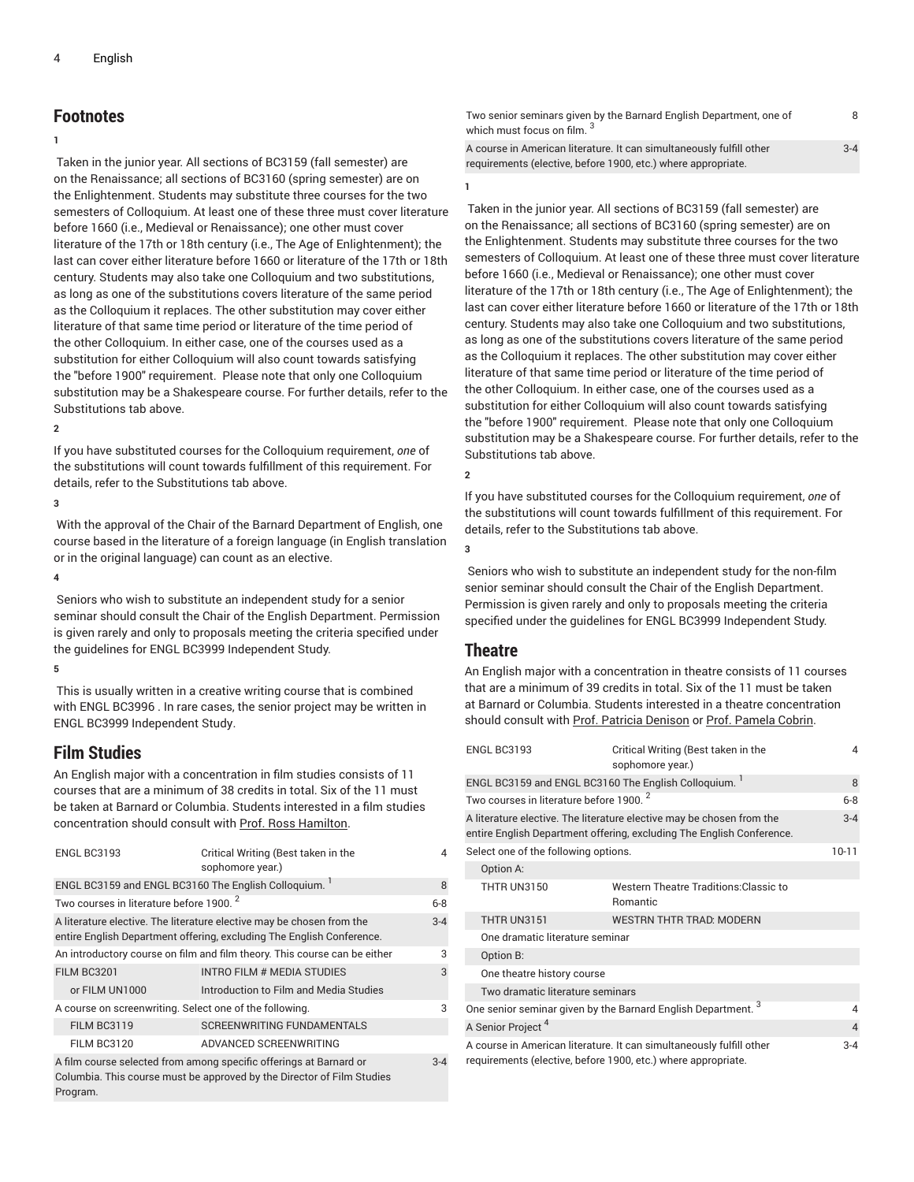### **Footnotes**

#### **1**

Taken in the junior year. All sections of BC3159 (fall semester) are on the Renaissance; all sections of BC3160 (spring semester) are on the Enlightenment. Students may substitute three courses for the two semesters of Colloquium. At least one of these three must cover literature before 1660 (i.e., Medieval or Renaissance); one other must cover literature of the 17th or 18th century (i.e., The Age of Enlightenment); the last can cover either literature before 1660 or literature of the 17th or 18th century. Students may also take one Colloquium and two substitutions, as long as one of the substitutions covers literature of the same period as the Colloquium it replaces. The other substitution may cover either literature of that same time period or literature of the time period of the other Colloquium. In either case, one of the courses used as a substitution for either Colloquium will also count towards satisfying the "before 1900" requirement. Please note that only one Colloquium substitution may be a Shakespeare course. For further details, refer to the Substitutions tab above.

#### **2**

If you have substituted courses for the Colloquium requirement, *one* of the substitutions will count towards fulfillment of this requirement. For details, refer to the Substitutions tab above.

#### **3**

With the approval of the Chair of the Barnard Department of English, one course based in the literature of a foreign language (in English translation or in the original language) can count as an elective.

#### **4**

 Seniors who wish to substitute an independent study for a senior seminar should consult the Chair of the English Department. Permission is given rarely and only to proposals meeting the criteria specified under the guidelines for ENGL BC3999 Independent Study.

#### **5**

This is usually written in a creative writing course that is combined with ENGL BC3996 . In rare cases, the senior project may be written in ENGL BC3999 Independent Study.

#### <span id="page-3-0"></span>**Film Studies**

An English major with a concentration in film studies consists of 11 courses that are a minimum of 38 credits in total. Six of the 11 must be taken at Barnard or Columbia. Students interested in a film studies concentration should consult with Prof. Ross [Hamilton.](https://english.barnard.edu/profiles/ross-hamilton/)

| ENGL BC3193                                                               | Critical Writing (Best taken in the<br>sophomore year.)                                                                                        | $\overline{\mathcal{A}}$ |
|---------------------------------------------------------------------------|------------------------------------------------------------------------------------------------------------------------------------------------|--------------------------|
| ENGL BC3159 and ENGL BC3160 The English Colloquium.                       |                                                                                                                                                | 8                        |
| Two courses in literature before 1900. <sup>2</sup>                       |                                                                                                                                                | $6 - 8$                  |
|                                                                           | A literature elective. The literature elective may be chosen from the<br>entire English Department offering, excluding The English Conference. | $3 - 4$                  |
| An introductory course on film and film theory. This course can be either |                                                                                                                                                | 3                        |
| <b>FILM BC3201</b>                                                        | INTRO FILM # MEDIA STUDIES                                                                                                                     | 3                        |
| or FILM UN1000                                                            | Introduction to Film and Media Studies                                                                                                         |                          |
| A course on screenwriting. Select one of the following.                   |                                                                                                                                                | 3                        |
| <b>FILM BC3119</b>                                                        | <b>SCREENWRITING FUNDAMENTALS</b>                                                                                                              |                          |
| <b>FILM BC3120</b>                                                        | ADVANCED SCREENWRITING                                                                                                                         |                          |
| Program.                                                                  | A film course selected from among specific offerings at Barnard or<br>Columbia. This course must be approved by the Director of Film Studies   | $3 - 4$                  |

Two senior seminars given by the Barnard English Department, one of which must focus on film. <sup>3</sup> 8 A course in American literature. It can simultaneously fulfill other requirements (elective, before 1900, etc.) where appropriate. 3-4

**1**

Taken in the junior year. All sections of BC3159 (fall semester) are on the Renaissance; all sections of BC3160 (spring semester) are on the Enlightenment. Students may substitute three courses for the two semesters of Colloquium. At least one of these three must cover literature before 1660 (i.e., Medieval or Renaissance); one other must cover literature of the 17th or 18th century (i.e., The Age of Enlightenment); the last can cover either literature before 1660 or literature of the 17th or 18th century. Students may also take one Colloquium and two substitutions, as long as one of the substitutions covers literature of the same period as the Colloquium it replaces. The other substitution may cover either literature of that same time period or literature of the time period of the other Colloquium. In either case, one of the courses used as a substitution for either Colloquium will also count towards satisfying the "before 1900" requirement. Please note that only one Colloquium substitution may be a Shakespeare course. For further details, refer to the Substitutions tab above.

**2**

If you have substituted courses for the Colloquium requirement, *one* of the substitutions will count towards fulfillment of this requirement. For details, refer to the Substitutions tab above.

**3**

 Seniors who wish to substitute an independent study for the non-film senior seminar should consult the Chair of the English Department. Permission is given rarely and only to proposals meeting the criteria specified under the guidelines for ENGL BC3999 Independent Study.

#### <span id="page-3-1"></span>**Theatre**

An English major with a concentration in theatre consists of 11 courses that are a minimum of 39 credits in total. Six of the 11 must be taken at Barnard or Columbia. Students interested in a theatre concentration should consult with Prof. Patricia [Denison](https://english.barnard.edu/profiles/patricia-denison/) or Prof. [Pamela](https://english.barnard.edu/profiles/pamela-cobrin/) Cobrin.

| ENGL BC3193                                                                                                                                               | Critical Writing (Best taken in the<br>sophomore year.)   | 4         |
|-----------------------------------------------------------------------------------------------------------------------------------------------------------|-----------------------------------------------------------|-----------|
| ENGL BC3159 and ENGL BC3160 The English Colloquium.                                                                                                       |                                                           | 8         |
| Two courses in literature before 1900. <sup>2</sup>                                                                                                       |                                                           | $6 - 8$   |
| A literature elective. The literature elective may be chosen from the<br>$3 - 4$<br>entire English Department offering, excluding The English Conference. |                                                           |           |
| Select one of the following options.                                                                                                                      |                                                           | $10 - 11$ |
| Option A:                                                                                                                                                 |                                                           |           |
| <b>THTR UN3150</b>                                                                                                                                        | <b>Western Theatre Traditions: Classic to</b><br>Romantic |           |
| THTR UN3151                                                                                                                                               | <b>WESTRN THTR TRAD: MODERN</b>                           |           |
| One dramatic literature seminar                                                                                                                           |                                                           |           |
| Option B:                                                                                                                                                 |                                                           |           |
| One theatre history course                                                                                                                                |                                                           |           |
| Two dramatic literature seminars                                                                                                                          |                                                           |           |
| One senior seminar given by the Barnard English Department. <sup>3</sup><br>4                                                                             |                                                           |           |
| A Senior Project <sup>4</sup><br>$\overline{4}$                                                                                                           |                                                           |           |
| A course in American literature. It can simultaneously fulfill other<br>$3 - 4$<br>requirements (elective, before 1900, etc.) where appropriate.          |                                                           |           |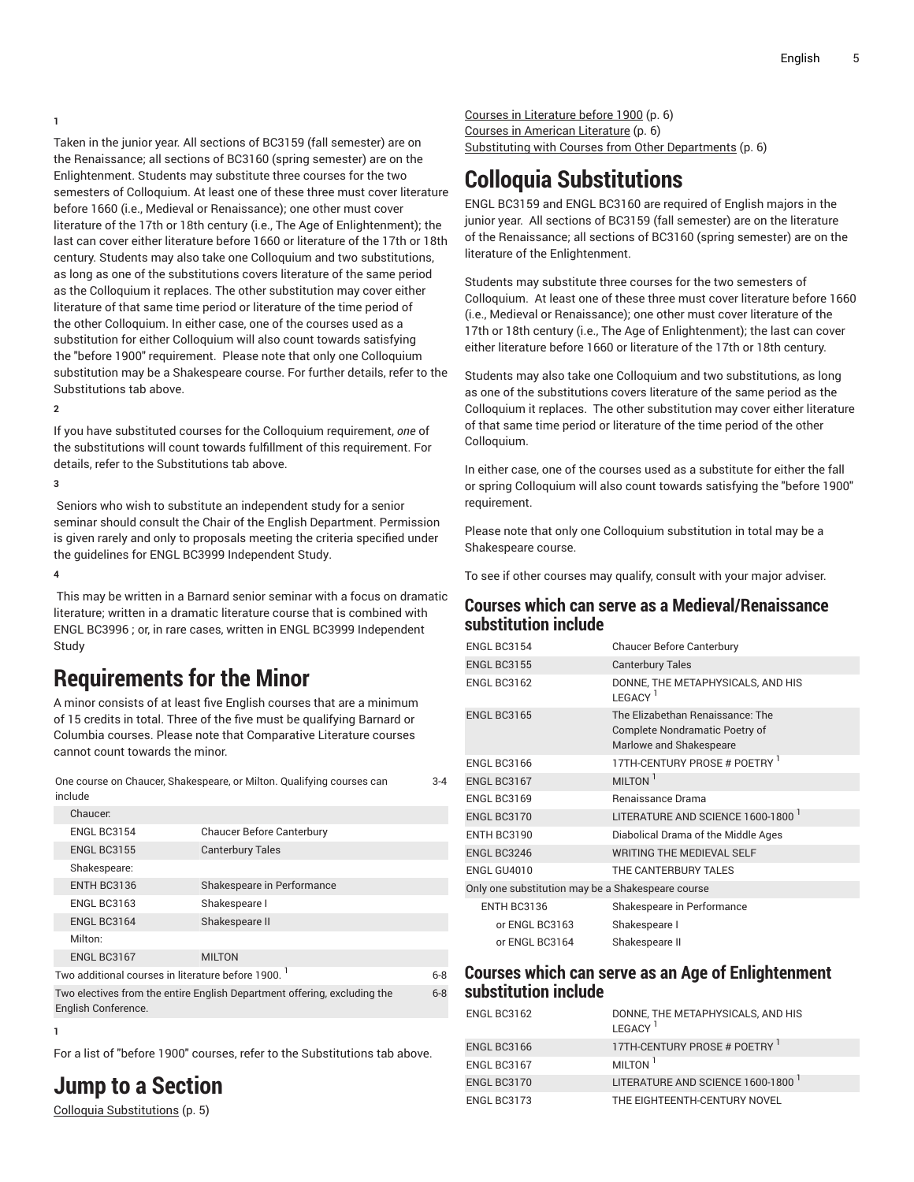**1**

Taken in the junior year. All sections of BC3159 (fall semester) are on the Renaissance; all sections of BC3160 (spring semester) are on the Enlightenment. Students may substitute three courses for the two semesters of Colloquium. At least one of these three must cover literature before 1660 (i.e., Medieval or Renaissance); one other must cover literature of the 17th or 18th century (i.e., The Age of Enlightenment); the last can cover either literature before 1660 or literature of the 17th or 18th century. Students may also take one Colloquium and two substitutions, as long as one of the substitutions covers literature of the same period as the Colloquium it replaces. The other substitution may cover either literature of that same time period or literature of the time period of the other Colloquium. In either case, one of the courses used as a substitution for either Colloquium will also count towards satisfying the "before 1900" requirement. Please note that only one Colloquium substitution may be a Shakespeare course. For further details, refer to the Substitutions tab above.

**2**

If you have substituted courses for the Colloquium requirement, *one* of the substitutions will count towards fulfillment of this requirement. For details, refer to the Substitutions tab above.

**3**

 Seniors who wish to substitute an independent study for a senior seminar should consult the Chair of the English Department. Permission is given rarely and only to proposals meeting the criteria specified under the guidelines for ENGL BC3999 Independent Study.

**4**

This may be written in a Barnard senior seminar with a focus on dramatic literature; written in a dramatic literature course that is combined with ENGL BC3996 ; or, in rare cases, written in ENGL BC3999 Independent Study

## <span id="page-4-0"></span>**Requirements for the Minor**

A minor consists of at least five English courses that are a minimum of 15 credits in total. Three of the five must be qualifying Barnard or Columbia courses. Please note that Comparative Literature courses cannot count towards the minor.

| One course on Chaucer, Shakespeare, or Milton. Qualifying courses can | $3 - 4$ |
|-----------------------------------------------------------------------|---------|
| include                                                               |         |

|                                                          | Chaucer.           |                                  |  |
|----------------------------------------------------------|--------------------|----------------------------------|--|
|                                                          | <b>ENGL BC3154</b> | <b>Chaucer Before Canterbury</b> |  |
|                                                          | <b>ENGL BC3155</b> | <b>Canterbury Tales</b>          |  |
|                                                          | Shakespeare:       |                                  |  |
|                                                          | ENTH BC3136        | Shakespeare in Performance       |  |
|                                                          | ENGL BC3163        | Shakespeare I                    |  |
|                                                          | ENGL BC3164        | Shakespeare II                   |  |
|                                                          | Milton:            |                                  |  |
|                                                          | ENGL BC3167        | <b>MILTON</b>                    |  |
| Two additional courses in literature before 1900.<br>6-8 |                    |                                  |  |
|                                                          |                    |                                  |  |

Two electives from the entire English Department offering, excluding the English Conference. 6-8

### **1**

For a list of "before 1900" courses, refer to the Substitutions tab above.

**Jump to a Section**

[Colloquia Substitutions](#page-4-1) ([p. 5\)](#page-4-1)

Courses in [Literature](#page-5-0) before 1900 ([p. 6\)](#page-5-0) Courses in American [Literature](#page-5-1) ([p. 6](#page-5-1))

<span id="page-4-1"></span>Substituting with Courses from Other [Departments \(p. 6](#page-5-2))

## **Colloquia Substitutions**

ENGL BC3159 and ENGL BC3160 are required of English majors in the junior year. All sections of BC3159 (fall semester) are on the literature of the Renaissance; all sections of BC3160 (spring semester) are on the literature of the Enlightenment.

Students may substitute three courses for the two semesters of Colloquium. At least one of these three must cover literature before 1660 (i.e., Medieval or Renaissance); one other must cover literature of the 17th or 18th century (i.e., The Age of Enlightenment); the last can cover either literature before 1660 or literature of the 17th or 18th century.

Students may also take one Colloquium and two substitutions, as long as one of the substitutions covers literature of the same period as the Colloquium it replaces. The other substitution may cover either literature of that same time period or literature of the time period of the other Colloquium.

In either case, one of the courses used as a substitute for either the fall or spring Colloquium will also count towards satisfying the "before 1900" requirement.

Please note that only one Colloquium substitution in total may be a Shakespeare course.

To see if other courses may qualify, consult with your major adviser.

### **Courses which can serve as a Medieval/Renaissance substitution include**

| <b>ENGL BC3154</b>                                | <b>Chaucer Before Canterbury</b>                                                              |
|---------------------------------------------------|-----------------------------------------------------------------------------------------------|
| <b>ENGL BC3155</b>                                | <b>Canterbury Tales</b>                                                                       |
| <b>ENGL BC3162</b>                                | DONNE, THE METAPHYSICALS, AND HIS<br>LEGACY <sup>1</sup>                                      |
| <b>ENGL BC3165</b>                                | The Elizabethan Renaissance: The<br>Complete Nondramatic Poetry of<br>Marlowe and Shakespeare |
| ENGL BC3166                                       | 17TH-CENTURY PROSE # POETRY 1                                                                 |
| ENGL BC3167                                       | MILTON <sup>1</sup>                                                                           |
| <b>ENGL BC3169</b>                                | Renaissance Drama                                                                             |
| ENGL BC3170                                       | LITERATURE AND SCIENCE 1600-1800                                                              |
| <b>ENTH BC3190</b>                                | Diabolical Drama of the Middle Ages                                                           |
| ENGL BC3246                                       | <b>WRITING THE MEDIEVAL SELF</b>                                                              |
| ENGL GU4010                                       | THE CANTERBURY TALES                                                                          |
| Only one substitution may be a Shakespeare course |                                                                                               |
| ENTH BC3136                                       | Shakespeare in Performance                                                                    |
| or ENGL BC3163                                    | Shakespeare I                                                                                 |
| or ENGL BC3164                                    | Shakespeare II                                                                                |
|                                                   |                                                                                               |

### **Courses which can serve as an Age of Enlightenment substitution include**

| ENGL BC3162 | DONNE, THE METAPHYSICALS, AND HIS<br>LEGACY <sup>1</sup> |
|-------------|----------------------------------------------------------|
| ENGL BC3166 | 17TH-CENTURY PROSE # POETRY 1                            |
| ENGL BC3167 | MILTON <sup>1</sup>                                      |
| ENGL BC3170 | LITERATURE AND SCIENCE 1600-1800 <sup>1</sup>            |
| ENGL BC3173 | THE EIGHTEENTH-CENTURY NOVEL                             |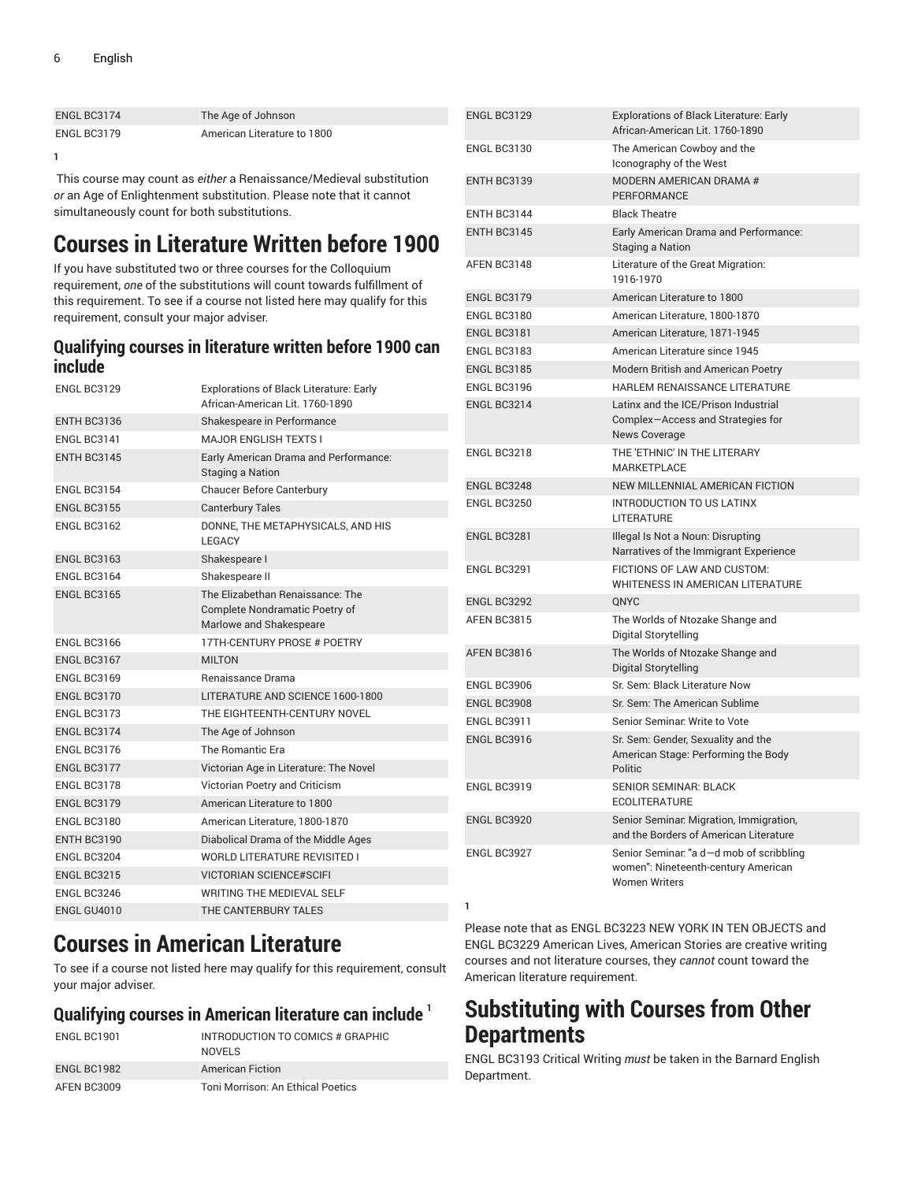| ENGL BC3174 | The Age of Johnson          | EN <sub>0</sub> |
|-------------|-----------------------------|-----------------|
| ENGL BC3179 | American Literature to 1800 |                 |

**1**

This course may count as *either* a Renaissance/Medieval substitution *or* an Age of Enlightenment substitution. Please note that it cannot simultaneously count for both substitutions.

## <span id="page-5-0"></span>**Courses in Literature Written before 1900**

If you have substituted two or three courses for the Colloquium requirement, *one* of the substitutions will count towards fulfillment of this requirement. To see if a course not listed here may qualify for this requirement, consult your major adviser.

### **Qualifying courses in literature written before 1900 can include**

| ENGL BC3129        | <b>Explorations of Black Literature: Early</b><br>African-American Lit. 1760-1890             |
|--------------------|-----------------------------------------------------------------------------------------------|
| ENTH BC3136        | Shakespeare in Performance                                                                    |
| ENGL BC3141        | <b>MAJOR ENGLISH TEXTS I</b>                                                                  |
| ENTH BC3145        | Early American Drama and Performance:<br><b>Staging a Nation</b>                              |
| <b>ENGL BC3154</b> | <b>Chaucer Before Canterbury</b>                                                              |
| <b>ENGL BC3155</b> | <b>Canterbury Tales</b>                                                                       |
| ENGL BC3162        | DONNE, THE METAPHYSICALS, AND HIS<br><b>I FGACY</b>                                           |
| <b>ENGL BC3163</b> | Shakespeare I                                                                                 |
| ENGL BC3164        | Shakespeare II                                                                                |
| <b>ENGL BC3165</b> | The Elizabethan Renaissance: The<br>Complete Nondramatic Poetry of<br>Marlowe and Shakespeare |
| ENGL BC3166        | 17TH-CENTURY PROSE # POETRY                                                                   |
| ENGL BC3167        | <b>MILTON</b>                                                                                 |
| <b>ENGL BC3169</b> | <b>Benaissance Drama</b>                                                                      |
| ENGL BC3170        | LITERATURE AND SCIENCE 1600-1800                                                              |
| <b>ENGL BC3173</b> | THE EIGHTEENTH-CENTURY NOVEL                                                                  |
| ENGL BC3174        | The Age of Johnson                                                                            |
| ENGL BC3176        | The Romantic Era                                                                              |
| ENGL BC3177        | Victorian Age in Literature: The Novel                                                        |
| ENGL BC3178        | Victorian Poetry and Criticism                                                                |
| ENGL BC3179        | American Literature to 1800                                                                   |
| ENGL BC3180        | American Literature, 1800-1870                                                                |
| ENTH BC3190        | Diabolical Drama of the Middle Ages                                                           |
| ENGL BC3204        | <b>WORLD LITERATURE REVISITED I</b>                                                           |
| <b>ENGL BC3215</b> | <b>VICTORIAN SCIENCE#SCIFI</b>                                                                |
| ENGL BC3246        | <b>WRITING THE MEDIEVAL SELF</b>                                                              |
| ENGL GU4010        | THE CANTERBURY TALES                                                                          |

## <span id="page-5-1"></span>**Courses in American Literature**

To see if a course not listed here may qualify for this requirement, consult your major adviser.

### **Qualifying courses in American literature can include 1**

| ENGL BC1901 | INTRODUCTION TO COMICS # GRAPHIC<br>NOVELS |
|-------------|--------------------------------------------|
| ENGL BC1982 | <b>American Fiction</b>                    |
| AFEN BC3009 | Toni Morrison: An Ethical Poetics          |

| <b>ENGL BC3129</b> | <b>Explorations of Black Literature: Early</b><br>African-American Lit. 1760-1890                       |
|--------------------|---------------------------------------------------------------------------------------------------------|
| <b>FNGL BC3130</b> | The American Cowboy and the<br>Iconography of the West                                                  |
| <b>ENTH BC3139</b> | MODERN AMERICAN DRAMA #<br>PERFORMANCE                                                                  |
| ENTH BC3144        | <b>Black Theatre</b>                                                                                    |
| ENTH BC3145        | <b>Early American Drama and Performance:</b><br>Staging a Nation                                        |
| AFEN BC3148        | Literature of the Great Migration:<br>1916-1970                                                         |
| <b>ENGL BC3179</b> | American Literature to 1800                                                                             |
| ENGL BC3180        | American Literature, 1800-1870                                                                          |
| ENGL BC3181        | American Literature, 1871-1945                                                                          |
| ENGL BC3183        | American Literature since 1945                                                                          |
| ENGL BC3185        | Modern British and American Poetry                                                                      |
| ENGL BC3196        | HARLEM RENAISSANCE LITERATURE                                                                           |
| ENGL BC3214        | Latinx and the ICE/Prison Industrial<br>Complex-Access and Strategies for<br>News Coverage              |
| ENGL BC3218        | THE 'ETHNIC' IN THE LITERARY<br>MARKETPLACE                                                             |
| ENGL BC3248        | <b>NEW MILLENNIAL AMERICAN FICTION</b>                                                                  |
| ENGL BC3250        | <b>INTRODUCTION TO US LATINX</b><br>LITERATURE                                                          |
| ENGL BC3281        | Illegal Is Not a Noun: Disrupting<br>Narratives of the Immigrant Experience                             |
| ENGL BC3291        | FICTIONS OF LAW AND CUSTOM:<br>WHITENESS IN AMERICAN LITERATURE                                         |
| ENGL BC3292        | <b>ONYC</b>                                                                                             |
| AFEN BC3815        | The Worlds of Ntozake Shange and<br>Digital Storytelling                                                |
| AFEN BC3816        | The Worlds of Ntozake Shange and<br>Digital Storytelling                                                |
| ENGL BC3906        | Sr. Sem: Black Literature Now                                                                           |
| ENGL BC3908        | Sr. Sem: The American Sublime                                                                           |
| <b>ENGL BC3911</b> | Senior Seminar: Write to Vote                                                                           |
| <b>FNGI BC3916</b> | Sr. Sem: Gender, Sexuality and the<br>American Stage: Performing the Body<br>Politic                    |
| ENGL BC3919        | SENIOR SEMINAR: BLACK<br><b>ECOLITERATURE</b>                                                           |
| ENGL BC3920        | Senior Seminar: Migration, Immigration,<br>and the Borders of American Literature                       |
| ENGL BC3927        | Senior Seminar: "a d-d mob of scribbling<br>women": Nineteenth-century American<br><b>Women Writers</b> |

**1**

Please note that as ENGL BC3223 NEW YORK IN TEN OBJECTS and ENGL BC3229 American Lives, American Stories are creative writing courses and not literature courses, they *cannot* count toward the American literature requirement.

## <span id="page-5-2"></span>**Substituting with Courses from Other Departments**

ENGL BC3193 Critical Writing *must* be taken in the Barnard English Department.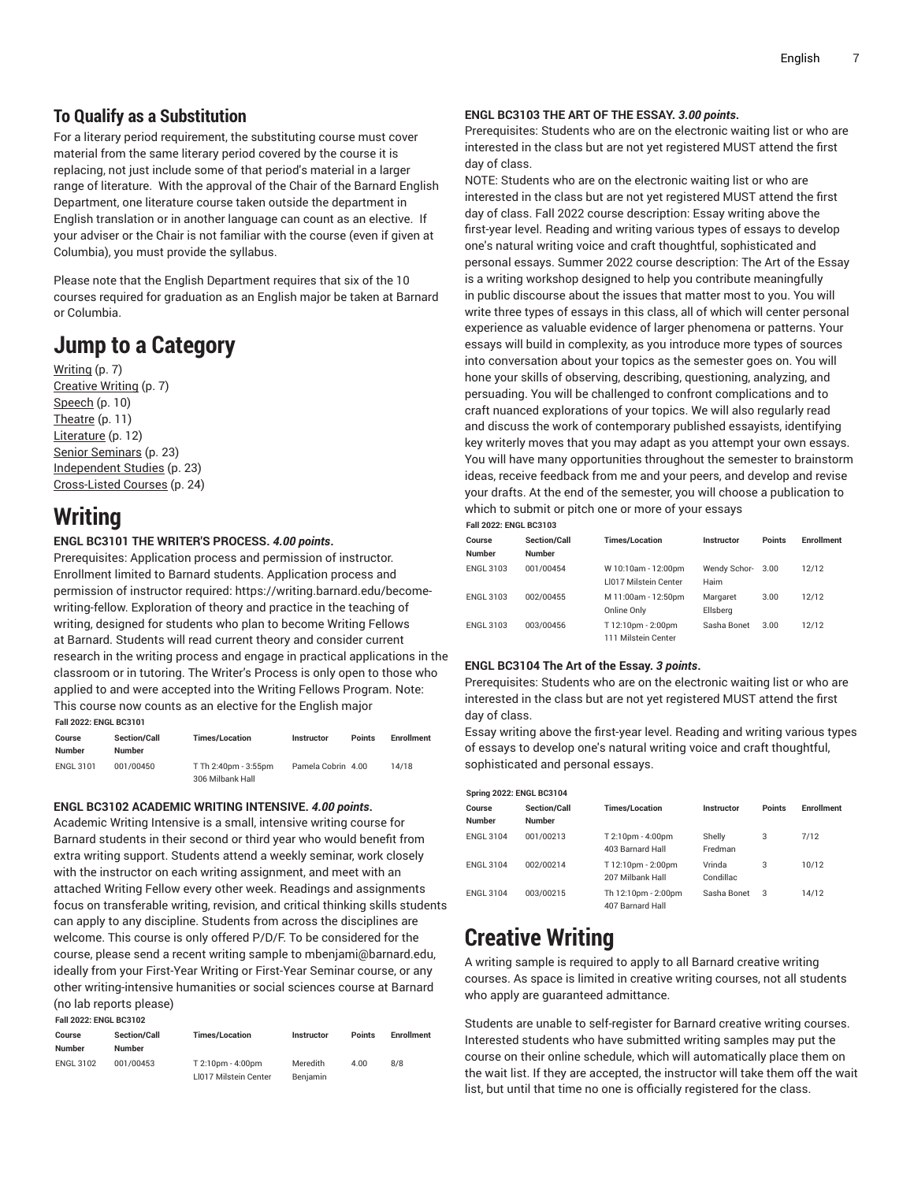### **To Qualify as a Substitution**

For a literary period requirement, the substituting course must cover material from the same literary period covered by the course it is replacing, not just include some of that period's material in a larger range of literature. With the approval of the Chair of the Barnard English Department, one literature course taken outside the department in English translation or in another language can count as an elective. If your adviser or the Chair is not familiar with the course (even if given at Columbia), you must provide the syllabus.

Please note that the English Department requires that six of the 10 courses required for graduation as an English major be taken at Barnard or Columbia.

## **Jump to a Category**

[Writing \(p. 7](#page-6-0)) [Creative](#page-6-1) Writing ([p. 7\)](#page-6-1) [Speech \(p. 10](#page-9-0)) [Theatre](#page-10-0) [\(p. 11\)](#page-10-0) [Literature \(p. 12\)](#page-11-0) [Senior Seminars](#page-22-0) ([p. 23](#page-22-0)) [Independent Studies](#page-22-1) ([p. 23](#page-22-1)) [Cross-Listed](#page-23-0) Courses ([p. 24\)](#page-23-0)

## <span id="page-6-0"></span>**Writing**

#### **ENGL BC3101 THE WRITER'S PROCESS.** *4.00 points***.**

Prerequisites: Application process and permission of instructor. Enrollment limited to Barnard students. Application process and permission of instructor required: https://writing.barnard.edu/becomewriting-fellow. Exploration of theory and practice in the teaching of writing, designed for students who plan to become Writing Fellows at Barnard. Students will read current theory and consider current research in the writing process and engage in practical applications in the classroom or in tutoring. The Writer's Process is only open to those who applied to and were accepted into the Writing Fellows Program. Note: This course now counts as an elective for the English major **Fall 2022: ENGL BC3101**

| Course<br>Number | <b>Section/Call</b><br><b>Number</b> | <b>Times/Location</b>                    | <b>Instructor</b>  | <b>Points</b> | <b>Enrollment</b> |  |
|------------------|--------------------------------------|------------------------------------------|--------------------|---------------|-------------------|--|
| <b>ENGL 3101</b> | 001/00450                            | T Th 2:40pm - 3:55pm<br>306 Milbank Hall | Pamela Cobrin 4.00 |               | 14/18             |  |

#### **ENGL BC3102 ACADEMIC WRITING INTENSIVE.** *4.00 points***.**

Academic Writing Intensive is a small, intensive writing course for Barnard students in their second or third year who would benefit from extra writing support. Students attend a weekly seminar, work closely with the instructor on each writing assignment, and meet with an attached Writing Fellow every other week. Readings and assignments focus on transferable writing, revision, and critical thinking skills students can apply to any discipline. Students from across the disciplines are welcome. This course is only offered P/D/F. To be considered for the course, please send a recent writing sample to mbenjami@barnard.edu, ideally from your First-Year Writing or First-Year Seminar course, or any other writing-intensive humanities or social sciences course at Barnard (no lab reports please)

**Fall 2022: ENGL BC3102**

| Course<br>Number | <b>Section/Call</b><br><b>Number</b> | <b>Times/Location</b>                      | <b>Instructor</b>    | <b>Points</b> | <b>Enrollment</b> |
|------------------|--------------------------------------|--------------------------------------------|----------------------|---------------|-------------------|
| <b>ENGL 3102</b> | 001/00453                            | T 2:10pm - 4:00pm<br>LI017 Milstein Center | Meredith<br>Benjamin | 4.00          | 8/8               |

#### **ENGL BC3103 THE ART OF THE ESSAY.** *3.00 points***.**

Prerequisites: Students who are on the electronic waiting list or who are interested in the class but are not yet registered MUST attend the first day of class.

NOTE: Students who are on the electronic waiting list or who are interested in the class but are not yet registered MUST attend the first day of class. Fall 2022 course description: Essay writing above the first-year level. Reading and writing various types of essays to develop one's natural writing voice and craft thoughtful, sophisticated and personal essays. Summer 2022 course description: The Art of the Essay is a writing workshop designed to help you contribute meaningfully in public discourse about the issues that matter most to you. You will write three types of essays in this class, all of which will center personal experience as valuable evidence of larger phenomena or patterns. Your essays will build in complexity, as you introduce more types of sources into conversation about your topics as the semester goes on. You will hone your skills of observing, describing, questioning, analyzing, and persuading. You will be challenged to confront complications and to craft nuanced explorations of your topics. We will also regularly read and discuss the work of contemporary published essayists, identifying key writerly moves that you may adapt as you attempt your own essays. You will have many opportunities throughout the semester to brainstorm ideas, receive feedback from me and your peers, and develop and revise your drafts. At the end of the semester, you will choose a publication to which to submit or pitch one or more of your essays **Fall 2022: ENGL BC3103**

| Tall Zuzz. Litul Duy Tuy |                                      |                                                     |                      |               |                   |
|--------------------------|--------------------------------------|-----------------------------------------------------|----------------------|---------------|-------------------|
| Course<br><b>Number</b>  | <b>Section/Call</b><br><b>Number</b> | <b>Times/Location</b>                               | Instructor           | <b>Points</b> | <b>Enrollment</b> |
| <b>ENGL 3103</b>         | 001/00454                            | W 10:10am - 12:00pm<br><b>LI017 Milstein Center</b> | Wendy Schor-<br>Haim | 3.00          | 12/12             |
| <b>ENGL 3103</b>         | 002/00455                            | M 11:00am - 12:50pm<br>Online Only                  | Margaret<br>Ellsberg | 3.00          | 12/12             |
| <b>ENGL 3103</b>         | 003/00456                            | T 12:10pm - 2:00pm<br>111 Milstein Center           | Sasha Bonet          | 3.00          | 12/12             |

#### **ENGL BC3104 The Art of the Essay.** *3 points***.**

Prerequisites: Students who are on the electronic waiting list or who are interested in the class but are not yet registered MUST attend the first day of class.

Essay writing above the first-year level. Reading and writing various types of essays to develop one's natural writing voice and craft thoughtful, sophisticated and personal essays.

| <b>Spring 2022: ENGL BC3104</b> |                                      |                                         |                     |               |            |  |
|---------------------------------|--------------------------------------|-----------------------------------------|---------------------|---------------|------------|--|
| Course<br><b>Number</b>         | <b>Section/Call</b><br><b>Number</b> | <b>Times/Location</b>                   | Instructor          | <b>Points</b> | Enrollment |  |
| <b>ENGL 3104</b>                | 001/00213                            | T 2:10pm - 4:00pm<br>403 Barnard Hall   | Shelly<br>Fredman   | 3             | 7/12       |  |
| <b>ENGL 3104</b>                | 002/00214                            | T 12:10pm - 2:00pm<br>207 Milbank Hall  | Vrinda<br>Condillac | 3             | 10/12      |  |
| <b>ENGL 3104</b>                | 003/00215                            | Th 12:10pm - 2:00pm<br>407 Barnard Hall | Sasha Bonet         | 3             | 14/12      |  |

## <span id="page-6-1"></span>**Creative Writing**

A writing sample is required to apply to all Barnard creative writing courses. As space is limited in creative writing courses, not all students who apply are guaranteed admittance.

Students are unable to self-register for Barnard creative writing courses. Interested students who have submitted writing samples may put the course on their online schedule, which will automatically place them on the wait list. If they are accepted, the instructor will take them off the wait list, but until that time no one is officially registered for the class.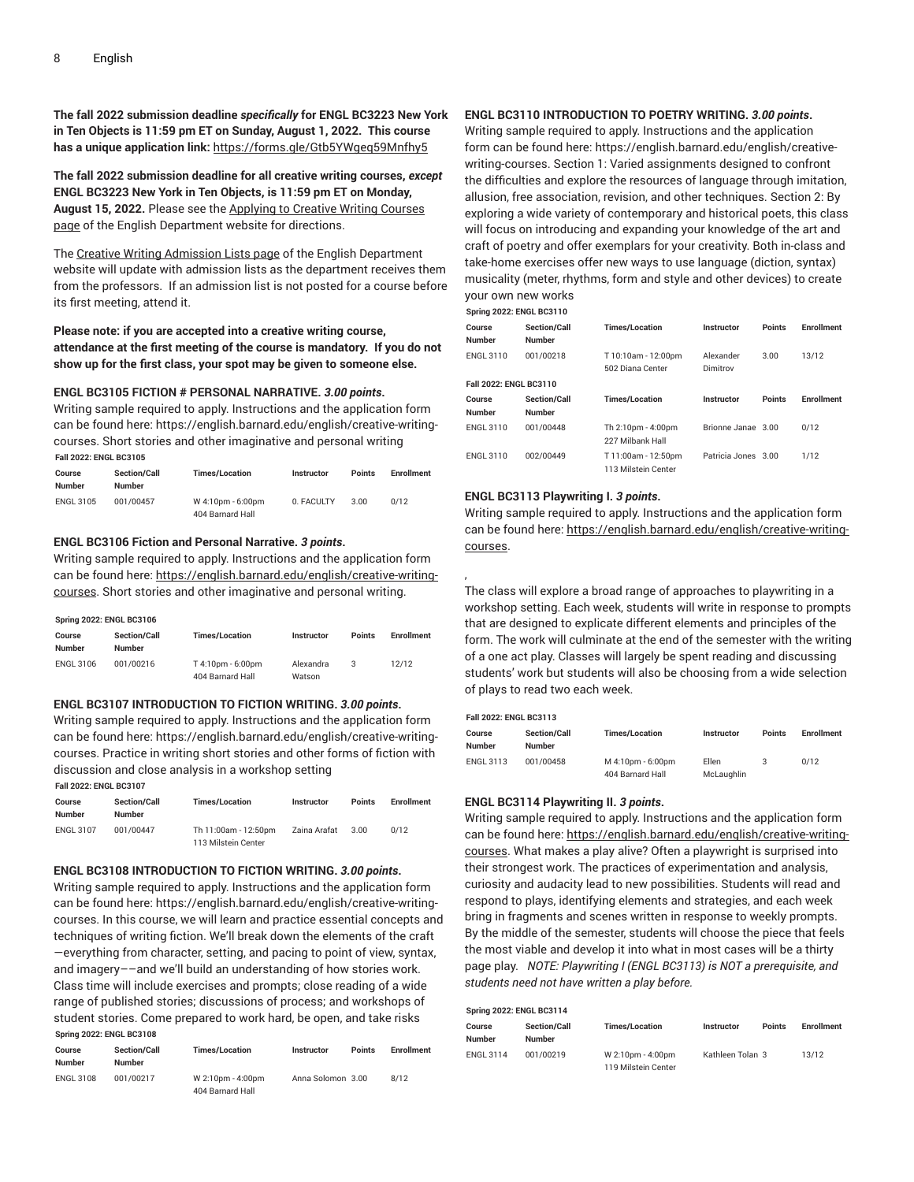**The fall 2022 submission deadline** *specifically* **for ENGL BC3223 New York in Ten Objects is 11:59 pm ET on Sunday, August 1, 2022. This course has a unique application link:** [https://forms.gle/Gtb5YWgeq59Mnfhy5](https://forms.gle/Gtb5YWgeq59Mnfhy5/)

**The fall 2022 submission deadline for all creative writing courses,** *except* **ENGL BC3223 New York in Ten Objects, is 11:59 pm ET on Monday, August 15, 2022.** Please see the [Applying](https://english.barnard.edu/english/creative-writing-courses/) to Creative Writing Courses [page](https://english.barnard.edu/english/creative-writing-courses/) of the English Department website for directions.

The Creative Writing [Admission](https://english.barnard.edu/english/admission-lists/) Lists page of the English Department website will update with admission lists as the department receives them from the professors. If an admission list is not posted for a course before its first meeting, attend it.

#### **Please note: if you are accepted into a creative writing course, attendance at the first meeting of the course is mandatory. If you do not show up for the first class, your spot may be given to someone else.**

#### **ENGL BC3105 FICTION # PERSONAL NARRATIVE.** *3.00 points***.**

Writing sample required to apply. Instructions and the application form can be found here: https://english.barnard.edu/english/creative-writingcourses. Short stories and other imaginative and personal writing **Fall 2022: ENGL BC3105**

| Course<br>Number | <b>Section/Call</b><br><b>Number</b> | <b>Times/Location</b>                 | Instructor | <b>Points</b> | <b>Enrollment</b> |
|------------------|--------------------------------------|---------------------------------------|------------|---------------|-------------------|
| <b>ENGL 3105</b> | 001/00457                            | W 4:10pm - 6:00pm<br>404 Barnard Hall | 0. FACULTY | 3.00          | 0/12              |

#### **ENGL BC3106 Fiction and Personal Narrative.** *3 points***.**

Writing sample required to apply. Instructions and the application form can be found here: [https://english.barnard.edu/english/creative-writing](https://english.barnard.edu/english/creative-writing-courses/)[courses.](https://english.barnard.edu/english/creative-writing-courses/) Short stories and other imaginative and personal writing.

| <b>Spring 2022: ENGL BC3106</b> |                                      |                                       |                     |               |                   |  |
|---------------------------------|--------------------------------------|---------------------------------------|---------------------|---------------|-------------------|--|
| Course<br>Number                | <b>Section/Call</b><br><b>Number</b> | <b>Times/Location</b>                 | <b>Instructor</b>   | <b>Points</b> | <b>Enrollment</b> |  |
| <b>ENGL 3106</b>                | 001/00216                            | T 4:10pm - 6:00pm<br>404 Barnard Hall | Alexandra<br>Watson | 3             | 12/12             |  |

#### **ENGL BC3107 INTRODUCTION TO FICTION WRITING.** *3.00 points***.**

Writing sample required to apply. Instructions and the application form can be found here: https://english.barnard.edu/english/creative-writingcourses. Practice in writing short stories and other forms of fiction with discussion and close analysis in a workshop setting

|  | <b>Fall 2022: ENGL BC3107</b> |  |
|--|-------------------------------|--|

| Course<br><b>Number</b> | <b>Section/Call</b><br><b>Number</b> | <b>Times/Location</b>                       | <b>Instructor</b> | <b>Points</b> | <b>Enrollment</b> |
|-------------------------|--------------------------------------|---------------------------------------------|-------------------|---------------|-------------------|
| <b>ENGL 3107</b>        | 001/00447                            | Th 11:00am - 12:50pm<br>113 Milstein Center | Zaina Arafat      | 3.00          | 0/12              |

#### **ENGL BC3108 INTRODUCTION TO FICTION WRITING.** *3.00 points***.**

Writing sample required to apply. Instructions and the application form can be found here: https://english.barnard.edu/english/creative-writingcourses. In this course, we will learn and practice essential concepts and techniques of writing fiction. We'll break down the elements of the craft —everything from character, setting, and pacing to point of view, syntax, and imagery––and we'll build an understanding of how stories work. Class time will include exercises and prompts; close reading of a wide range of published stories; discussions of process; and workshops of student stories. Come prepared to work hard, be open, and take risks **Spring 2022: ENGL BC3108**

| Course<br>Number | <b>Section/Call</b><br><b>Number</b> | <b>Times/Location</b>                 | Instructor        | Points | <b>Enrollment</b> |
|------------------|--------------------------------------|---------------------------------------|-------------------|--------|-------------------|
| <b>ENGL 3108</b> | 001/00217                            | W 2:10pm - 4:00pm<br>404 Barnard Hall | Anna Solomon 3.00 |        | 8/12              |

#### **ENGL BC3110 INTRODUCTION TO POETRY WRITING.** *3.00 points***.**

Writing sample required to apply. Instructions and the application form can be found here: https://english.barnard.edu/english/creativewriting-courses. Section 1: Varied assignments designed to confront the difficulties and explore the resources of language through imitation, allusion, free association, revision, and other techniques. Section 2: By exploring a wide variety of contemporary and historical poets, this class will focus on introducing and expanding your knowledge of the art and craft of poetry and offer exemplars for your creativity. Both in-class and take-home exercises offer new ways to use language (diction, syntax) musicality (meter, rhythms, form and style and other devices) to create your own new works

**Spring 2022: ENGL BC3110**

,

| Course<br>Number       | <b>Section/Call</b><br><b>Number</b> | <b>Times/Location</b>                      | Instructor            | <b>Points</b> | <b>Enrollment</b> |
|------------------------|--------------------------------------|--------------------------------------------|-----------------------|---------------|-------------------|
| ENGL 3110              | 001/00218                            | T 10:10am - 12:00pm<br>502 Diana Center    | Alexander<br>Dimitrov | 3.00          | 13/12             |
| Fall 2022: ENGL BC3110 |                                      |                                            |                       |               |                   |
| Course<br>Number       | <b>Section/Call</b><br><b>Number</b> | <b>Times/Location</b>                      | Instructor            | <b>Points</b> | <b>Enrollment</b> |
| <b>ENGL 3110</b>       | 001/00448                            | Th 2:10pm - 4:00pm<br>227 Milbank Hall     | Brionne Janae 3.00    |               | 0/12              |
| <b>ENGL 3110</b>       | 002/00449                            | T 11:00am - 12:50pm<br>113 Milstein Center | Patricia Jones 3.00   |               | 1/12              |

#### **ENGL BC3113 Playwriting I.** *3 points***.**

Writing sample required to apply. Instructions and the application form can be found here: [https://english.barnard.edu/english/creative-writing](https://english.barnard.edu/english/creative-writing-courses/)[courses](https://english.barnard.edu/english/creative-writing-courses/).

The class will explore a broad range of approaches to playwriting in a workshop setting. Each week, students will write in response to prompts that are designed to explicate different elements and principles of the form. The work will culminate at the end of the semester with the writing of a one act play. Classes will largely be spent reading and discussing students' work but students will also be choosing from a wide selection of plays to read two each week.

| <b>Fall 2022: ENGL BC3113</b> |                                      |                                       |                            |               |                   |  |  |
|-------------------------------|--------------------------------------|---------------------------------------|----------------------------|---------------|-------------------|--|--|
| Course<br>Number              | <b>Section/Call</b><br><b>Number</b> | <b>Times/Location</b>                 | <b>Instructor</b>          | <b>Points</b> | <b>Enrollment</b> |  |  |
| ENGL 3113                     | 001/00458                            | M 4:10pm - 6:00pm<br>404 Barnard Hall | <b>Ellen</b><br>McLaughlin |               | 0/12              |  |  |

#### **ENGL BC3114 Playwriting II.** *3 points***.**

Writing sample required to apply. Instructions and the application form can be found here: [https://english.barnard.edu/english/creative-writing](https://english.barnard.edu/english/creative-writing-courses/)[courses](https://english.barnard.edu/english/creative-writing-courses/). What makes a play alive? Often a playwright is surprised into their strongest work. The practices of experimentation and analysis, curiosity and audacity lead to new possibilities. Students will read and respond to plays, identifying elements and strategies, and each week bring in fragments and scenes written in response to weekly prompts. By the middle of the semester, students will choose the piece that feels the most viable and develop it into what in most cases will be a thirty page play. *NOTE: Playwriting I (ENGL BC3113) is NOT a prerequisite, and students need not have written a play before.*

| <b>Spring 2022: ENGL BC3114</b> |                                      |                                          |                   |               |                   |  |  |
|---------------------------------|--------------------------------------|------------------------------------------|-------------------|---------------|-------------------|--|--|
| Course<br><b>Number</b>         | <b>Section/Call</b><br><b>Number</b> | <b>Times/Location</b>                    | <b>Instructor</b> | <b>Points</b> | <b>Enrollment</b> |  |  |
| <b>ENGL 3114</b>                | 001/00219                            | W 2:10pm - 4:00pm<br>119 Milstein Center | Kathleen Tolan 3  |               | 13/12             |  |  |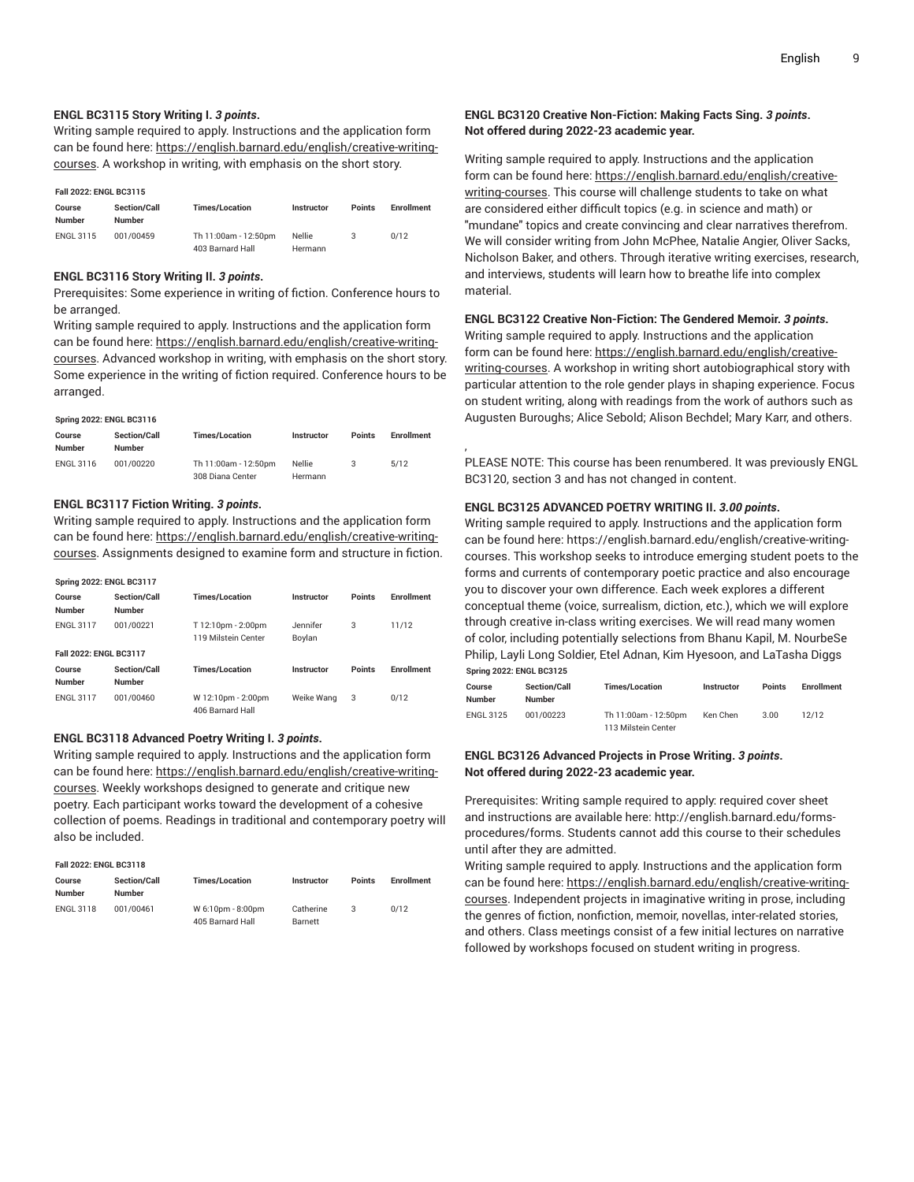#### **ENGL BC3115 Story Writing I.** *3 points***.**

Writing sample required to apply. Instructions and the application form can be found here: [https://english.barnard.edu/english/creative-writing](https://english.barnard.edu/english/creative-writing-courses/)[courses.](https://english.barnard.edu/english/creative-writing-courses/) A workshop in writing, with emphasis on the short story.

#### **Fall 2022: ENGL BC3115**

| Course<br><b>Number</b> | <b>Section/Call</b><br>Number | <b>Times/Location</b> | <b>Instructor</b> | <b>Points</b> | <b>Enrollment</b> |
|-------------------------|-------------------------------|-----------------------|-------------------|---------------|-------------------|
| <b>ENGL 3115</b>        | 001/00459                     | Th 11:00am - 12:50pm  | <b>Nellie</b>     | 3             | 0/12              |
|                         |                               | 403 Barnard Hall      | Hermann           |               |                   |

#### **ENGL BC3116 Story Writing II.** *3 points***.**

Prerequisites: Some experience in writing of fiction. Conference hours to be arranged.

Writing sample required to apply. Instructions and the application form can be found here: [https://english.barnard.edu/english/creative-writing](https://english.barnard.edu/english/creative-writing-courses/)[courses.](https://english.barnard.edu/english/creative-writing-courses/) Advanced workshop in writing, with emphasis on the short story. Some experience in the writing of fiction required. Conference hours to be arranged.

#### **Spring 2022: ENGL BC3116**

| Course<br><b>Number</b> | <b>Section/Call</b><br>Number | <b>Times/Location</b> | <b>Instructor</b> | <b>Points</b> | <b>Enrollment</b> |
|-------------------------|-------------------------------|-----------------------|-------------------|---------------|-------------------|
| <b>ENGL 3116</b>        | 001/00220                     | Th 11:00am - 12:50pm  | <b>Nellie</b>     |               | 5/12              |
|                         |                               | 308 Diana Center      | Hermann           |               |                   |

#### **ENGL BC3117 Fiction Writing.** *3 points***.**

Writing sample required to apply. Instructions and the application form can be found here: [https://english.barnard.edu/english/creative-writing](https://english.barnard.edu/english/creative-writing-courses/)[courses.](https://english.barnard.edu/english/creative-writing-courses/) Assignments designed to examine form and structure in fiction.

| <b>Spring 2022: ENGL BC3117</b> |                                      |                                           |                    |               |                   |  |  |  |
|---------------------------------|--------------------------------------|-------------------------------------------|--------------------|---------------|-------------------|--|--|--|
| Course<br><b>Number</b>         | <b>Section/Call</b><br><b>Number</b> | <b>Times/Location</b>                     | Instructor         | <b>Points</b> | <b>Enrollment</b> |  |  |  |
| <b>ENGL 3117</b>                | 001/00221                            | T 12:10pm - 2:00pm<br>119 Milstein Center | Jennifer<br>Boylan | 3             | 11/12             |  |  |  |
| Fall 2022: ENGL BC3117          |                                      |                                           |                    |               |                   |  |  |  |
| Course<br><b>Number</b>         | <b>Section/Call</b><br><b>Number</b> | <b>Times/Location</b>                     | Instructor         | <b>Points</b> | <b>Enrollment</b> |  |  |  |
| <b>ENGL 3117</b>                | 001/00460                            | W 12:10pm - 2:00pm<br>406 Barnard Hall    | Weike Wang         | 3             | 0/12              |  |  |  |

#### **ENGL BC3118 Advanced Poetry Writing I.** *3 points***.**

Writing sample required to apply. Instructions and the application form can be found here: [https://english.barnard.edu/english/creative-writing](https://english.barnard.edu/english/creative-writing-courses/)[courses.](https://english.barnard.edu/english/creative-writing-courses/) Weekly workshops designed to generate and critique new poetry. Each participant works toward the development of a cohesive collection of poems. Readings in traditional and contemporary poetry will also be included.

#### **Fall 2022: ENGL BC3118**

| Course<br><b>Number</b> | <b>Section/Call</b><br><b>Number</b> | <b>Times/Location</b> | <b>Instructor</b> | Points | <b>Enrollment</b> |
|-------------------------|--------------------------------------|-----------------------|-------------------|--------|-------------------|
| <b>ENGL 3118</b>        | 001/00461                            | W 6:10pm - 8:00pm     | Catherine         |        | 0/12              |
|                         |                                      | 405 Barnard Hall      | Barnett           |        |                   |

#### **ENGL BC3120 Creative Non-Fiction: Making Facts Sing.** *3 points***. Not offered during 2022-23 academic year.**

Writing sample required to apply. Instructions and the application form can be found here: [https://english.barnard.edu/english/creative](https://english.barnard.edu/english/creative-writing-courses/)[writing-courses.](https://english.barnard.edu/english/creative-writing-courses/) This course will challenge students to take on what are considered either difficult topics (e.g. in science and math) or "mundane" topics and create convincing and clear narratives therefrom. We will consider writing from John McPhee, Natalie Angier, Oliver Sacks, Nicholson Baker, and others. Through iterative writing exercises, research, and interviews, students will learn how to breathe life into complex material.

#### **ENGL BC3122 Creative Non-Fiction: The Gendered Memoir.** *3 points***.**

Writing sample required to apply. Instructions and the application form can be found here: [https://english.barnard.edu/english/creative](https://english.barnard.edu/english/creative-writing-courses/)[writing-courses.](https://english.barnard.edu/english/creative-writing-courses/) A workshop in writing short autobiographical story with particular attention to the role gender plays in shaping experience. Focus on student writing, along with readings from the work of authors such as Augusten Buroughs; Alice Sebold; Alison Bechdel; Mary Karr, and others.

PLEASE NOTE: This course has been renumbered. It was previously ENGL BC3120, section 3 and has not changed in content.

#### **ENGL BC3125 ADVANCED POETRY WRITING II.** *3.00 points***.**

,

Writing sample required to apply. Instructions and the application form can be found here: https://english.barnard.edu/english/creative-writingcourses. This workshop seeks to introduce emerging student poets to the forms and currents of contemporary poetic practice and also encourage you to discover your own difference. Each week explores a different conceptual theme (voice, surrealism, diction, etc.), which we will explore through creative in-class writing exercises. We will read many women of color, including potentially selections from Bhanu Kapil, M. NourbeSe Philip, Layli Long Soldier, Etel Adnan, Kim Hyesoon, and LaTasha Diggs **Spring 2022: ENGL BC3125**

| Course<br><b>Number</b> | <b>Section/Call</b><br><b>Number</b> | <b>Times/Location</b> | <b>Instructor</b> | <b>Points</b> | <b>Enrollment</b> |
|-------------------------|--------------------------------------|-----------------------|-------------------|---------------|-------------------|
| <b>ENGL 3125</b>        | 001/00223                            | Th 11:00am - 12:50pm  | Ken Chen          | 3.00          | 12/12             |
|                         |                                      | 113 Milstein Center   |                   |               |                   |

#### **ENGL BC3126 Advanced Projects in Prose Writing.** *3 points***. Not offered during 2022-23 academic year.**

Prerequisites: Writing sample required to apply: required cover sheet and instructions are available here: http://english.barnard.edu/formsprocedures/forms. Students cannot add this course to their schedules until after they are admitted.

Writing sample required to apply. Instructions and the application form can be found here: [https://english.barnard.edu/english/creative-writing](https://english.barnard.edu/english/creative-writing-courses/)[courses](https://english.barnard.edu/english/creative-writing-courses/). Independent projects in imaginative writing in prose, including the genres of fiction, nonfiction, memoir, novellas, inter-related stories, and others. Class meetings consist of a few initial lectures on narrative followed by workshops focused on student writing in progress.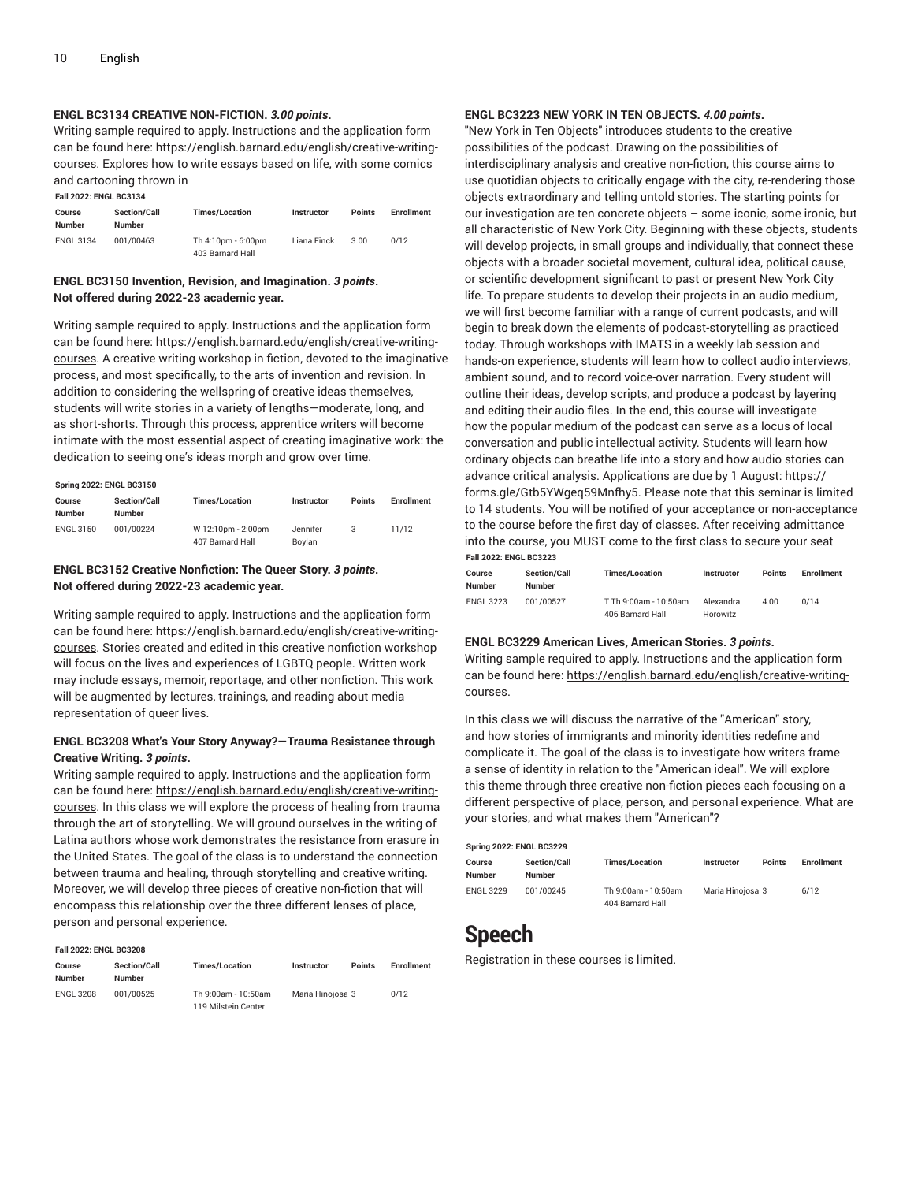**Fall 2022: ENGL BC3134**

#### **ENGL BC3134 CREATIVE NON-FICTION.** *3.00 points***.**

Writing sample required to apply. Instructions and the application form can be found here: https://english.barnard.edu/english/creative-writingcourses. Explores how to write essays based on life, with some comics and cartooning thrown in

| Course<br>Number | <b>Section/Call</b><br><b>Number</b> | <b>Times/Location</b>                  | <b>Instructor</b> | Points | <b>Enrollment</b> |  |  |
|------------------|--------------------------------------|----------------------------------------|-------------------|--------|-------------------|--|--|
| <b>ENGL 3134</b> | 001/00463                            | Th 4:10pm - 6:00pm<br>403 Barnard Hall | Liana Finck       | 3.00   | 0/12              |  |  |

#### **ENGL BC3150 Invention, Revision, and Imagination.** *3 points***. Not offered during 2022-23 academic year.**

Writing sample required to apply. Instructions and the application form can be found here: [https://english.barnard.edu/english/creative-writing](https://english.barnard.edu/english/creative-writing-courses/)[courses.](https://english.barnard.edu/english/creative-writing-courses/) A creative writing workshop in fiction, devoted to the imaginative process, and most specifically, to the arts of invention and revision. In addition to considering the wellspring of creative ideas themselves, students will write stories in a variety of lengths—moderate, long, and as short-shorts. Through this process, apprentice writers will become intimate with the most essential aspect of creating imaginative work: the dedication to seeing one's ideas morph and grow over time.

| <b>Spring 2022: ENGL BC3150</b> |                                      |                                        |                    |               |            |  |  |  |
|---------------------------------|--------------------------------------|----------------------------------------|--------------------|---------------|------------|--|--|--|
| Course<br><b>Number</b>         | <b>Section/Call</b><br><b>Number</b> | <b>Times/Location</b>                  | Instructor         | <b>Points</b> | Enrollment |  |  |  |
| <b>ENGL 3150</b>                | 001/00224                            | W 12:10pm - 2:00pm<br>407 Barnard Hall | Jennifer<br>Bovlan |               | 11/12      |  |  |  |

#### **ENGL BC3152 Creative Nonfiction: The Queer Story.** *3 points***. Not offered during 2022-23 academic year.**

Writing sample required to apply. Instructions and the application form can be found here: [https://english.barnard.edu/english/creative-writing](https://english.barnard.edu/english/creative-writing-courses/)[courses.](https://english.barnard.edu/english/creative-writing-courses/) Stories created and edited in this creative nonfiction workshop will focus on the lives and experiences of LGBTQ people. Written work may include essays, memoir, reportage, and other nonfiction. This work will be augmented by lectures, trainings, and reading about media representation of queer lives.

#### **ENGL BC3208 What's Your Story Anyway?—Trauma Resistance through Creative Writing.** *3 points***.**

Writing sample required to apply. Instructions and the application form can be found here: [https://english.barnard.edu/english/creative-writing](https://english.barnard.edu/english/creative-writing-courses/)[courses.](https://english.barnard.edu/english/creative-writing-courses/) In this class we will explore the process of healing from trauma through the art of storytelling. We will ground ourselves in the writing of Latina authors whose work demonstrates the resistance from erasure in the United States. The goal of the class is to understand the connection between trauma and healing, through storytelling and creative writing. Moreover, we will develop three pieces of creative non-fiction that will encompass this relationship over the three different lenses of place, person and personal experience.

| <b>Fall 2022: ENGL BC3208</b> |                                      |                                            |                  |               |                   |  |  |  |
|-------------------------------|--------------------------------------|--------------------------------------------|------------------|---------------|-------------------|--|--|--|
| Course<br><b>Number</b>       | <b>Section/Call</b><br><b>Number</b> | <b>Times/Location</b>                      | Instructor       | <b>Points</b> | <b>Enrollment</b> |  |  |  |
| <b>ENGL 3208</b>              | 001/00525                            | Th 9:00am - 10:50am<br>119 Milstein Center | Maria Hinojosa 3 |               | 0/12              |  |  |  |

#### **ENGL BC3223 NEW YORK IN TEN OBJECTS.** *4.00 points***.**

"New York in Ten Objects" introduces students to the creative possibilities of the podcast. Drawing on the possibilities of interdisciplinary analysis and creative non-fiction, this course aims to use quotidian objects to critically engage with the city, re-rendering those objects extraordinary and telling untold stories. The starting points for our investigation are ten concrete objects – some iconic, some ironic, but all characteristic of New York City. Beginning with these objects, students will develop projects, in small groups and individually, that connect these objects with a broader societal movement, cultural idea, political cause, or scientific development significant to past or present New York City life. To prepare students to develop their projects in an audio medium, we will first become familiar with a range of current podcasts, and will begin to break down the elements of podcast-storytelling as practiced today. Through workshops with IMATS in a weekly lab session and hands-on experience, students will learn how to collect audio interviews, ambient sound, and to record voice-over narration. Every student will outline their ideas, develop scripts, and produce a podcast by layering and editing their audio files. In the end, this course will investigate how the popular medium of the podcast can serve as a locus of local conversation and public intellectual activity. Students will learn how ordinary objects can breathe life into a story and how audio stories can advance critical analysis. Applications are due by 1 August: https:// forms.gle/Gtb5YWgeq59Mnfhy5. Please note that this seminar is limited to 14 students. You will be notified of your acceptance or non-acceptance to the course before the first day of classes. After receiving admittance into the course, you MUST come to the first class to secure your seat **Fall 2022: ENGL BC3223**

| Course<br>Number | <b>Section/Call</b><br><b>Number</b> | <b>Times/Location</b>                     | <b>Instructor</b>     | <b>Points</b> | <b>Enrollment</b> |
|------------------|--------------------------------------|-------------------------------------------|-----------------------|---------------|-------------------|
| <b>ENGL 3223</b> | 001/00527                            | T Th 9:00am - 10:50am<br>406 Barnard Hall | Alexandra<br>Horowitz | 4.00          | 0/14              |

#### **ENGL BC3229 American Lives, American Stories.** *3 points***.**

Writing sample required to apply. Instructions and the application form can be found here: [https://english.barnard.edu/english/creative-writing](https://english.barnard.edu/english/creative-writing-courses/)[courses](https://english.barnard.edu/english/creative-writing-courses/).

In this class we will discuss the narrative of the "American" story, and how stories of immigrants and minority identities redefine and complicate it. The goal of the class is to investigate how writers frame a sense of identity in relation to the "American ideal". We will explore this theme through three creative non-fiction pieces each focusing on a different perspective of place, person, and personal experience. What are your stories, and what makes them "American"?

#### **Spring 2022: ENGL BC3229**

| Course           | <b>Section/Call</b> | <b>Times/Location</b> | Instructor       | <b>Points</b> | Enrollment |
|------------------|---------------------|-----------------------|------------------|---------------|------------|
| Number           | <b>Number</b>       |                       |                  |               |            |
| <b>ENGL 3229</b> | 001/00245           | Th 9:00am - 10:50am   | Maria Hinoiosa 3 |               | 6/12       |
|                  |                     | 404 Barnard Hall      |                  |               |            |

### <span id="page-9-0"></span>**Speech**

Registration in these courses is limited.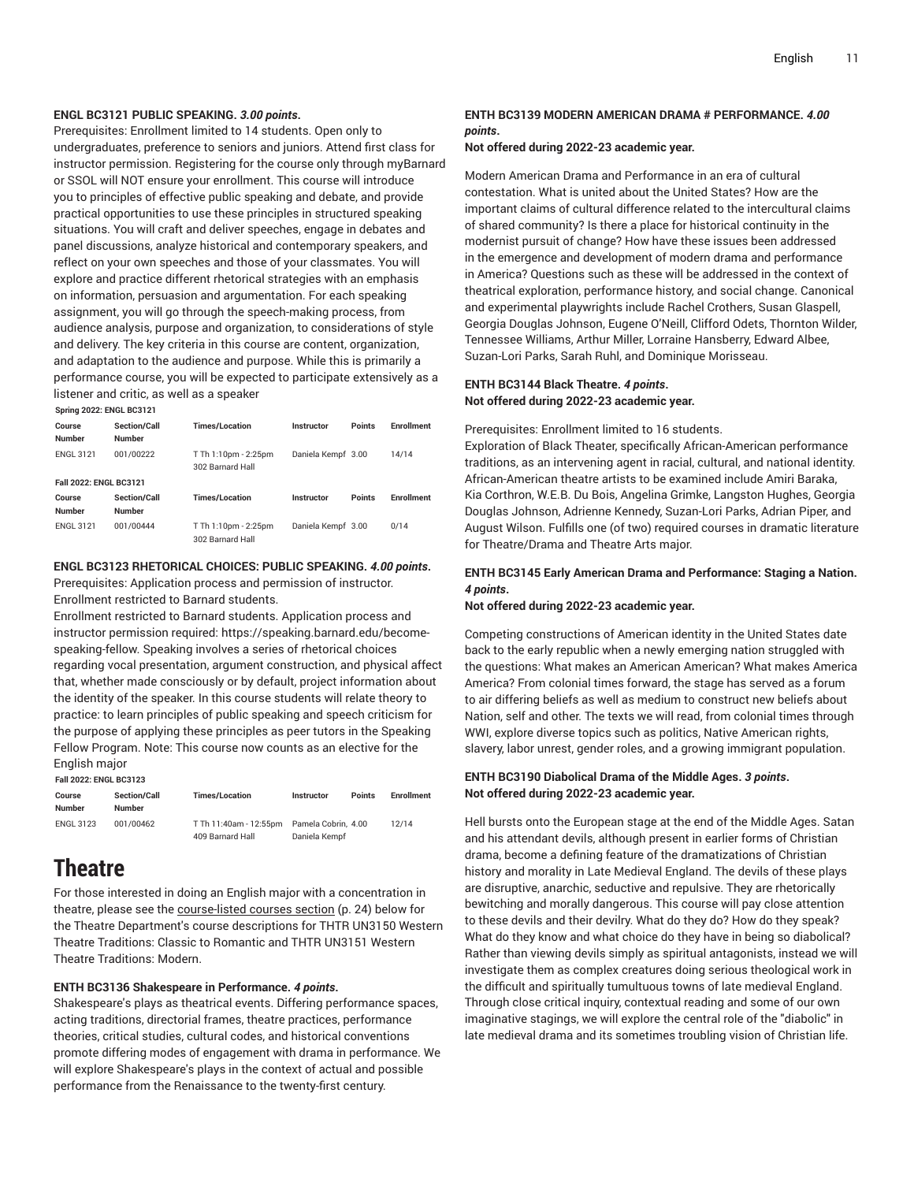#### **ENGL BC3121 PUBLIC SPEAKING.** *3.00 points***.**

Prerequisites: Enrollment limited to 14 students. Open only to undergraduates, preference to seniors and juniors. Attend first class for instructor permission. Registering for the course only through myBarnard or SSOL will NOT ensure your enrollment. This course will introduce you to principles of effective public speaking and debate, and provide practical opportunities to use these principles in structured speaking situations. You will craft and deliver speeches, engage in debates and panel discussions, analyze historical and contemporary speakers, and reflect on your own speeches and those of your classmates. You will explore and practice different rhetorical strategies with an emphasis on information, persuasion and argumentation. For each speaking assignment, you will go through the speech-making process, from audience analysis, purpose and organization, to considerations of style and delivery. The key criteria in this course are content, organization, and adaptation to the audience and purpose. While this is primarily a performance course, you will be expected to participate extensively as a listener and critic, as well as a speaker

**Spring 2022: ENGL BC3121**

| Course<br><b>Number</b>       | <b>Section/Call</b><br><b>Number</b> | <b>Times/Location</b>                    | Instructor         | <b>Points</b> | <b>Fnrollment</b> |
|-------------------------------|--------------------------------------|------------------------------------------|--------------------|---------------|-------------------|
| <b>ENGL 3121</b>              | 001/00222                            | T Th 1:10pm - 2:25pm<br>302 Barnard Hall | Daniela Kempf 3.00 |               | 14/14             |
| <b>Fall 2022: ENGL BC3121</b> |                                      |                                          |                    |               |                   |
| Course<br><b>Number</b>       | Section/Call<br><b>Number</b>        | <b>Times/Location</b>                    | Instructor         | <b>Points</b> | <b>Enrollment</b> |
| <b>ENGL 3121</b>              | 001/00444                            | T Th 1:10pm - 2:25pm<br>302 Barnard Hall | Daniela Kempf 3.00 |               | 0/14              |

#### **ENGL BC3123 RHETORICAL CHOICES: PUBLIC SPEAKING.** *4.00 points***.**

Prerequisites: Application process and permission of instructor.

Enrollment restricted to Barnard students.

Enrollment restricted to Barnard students. Application process and instructor permission required: https://speaking.barnard.edu/becomespeaking-fellow. Speaking involves a series of rhetorical choices regarding vocal presentation, argument construction, and physical affect that, whether made consciously or by default, project information about the identity of the speaker. In this course students will relate theory to practice: to learn principles of public speaking and speech criticism for the purpose of applying these principles as peer tutors in the Speaking Fellow Program. Note: This course now counts as an elective for the English major

**Fall 2022: ENGL BC3123**

| Course<br>Number | <b>Section/Call</b><br><b>Number</b> | <b>Times/Location</b>  | <b>Instructor</b>   | <b>Points</b> | <b>Enrollment</b> |
|------------------|--------------------------------------|------------------------|---------------------|---------------|-------------------|
| <b>ENGL 3123</b> | 001/00462                            | T Th 11:40am - 12:55pm | Pamela Cobrin, 4.00 |               | 12/14             |
|                  |                                      | 409 Barnard Hall       | Daniela Kempf       |               |                   |

### <span id="page-10-0"></span>**Theatre**

For those interested in doing an English major with a concentration in theatre, please see the [course-listed courses section](#page-23-0) ([p. 24\)](#page-23-0) below for the Theatre Department's course descriptions for THTR UN3150 Western Theatre Traditions: Classic to Romantic and THTR UN3151 Western Theatre Traditions: Modern.

#### **ENTH BC3136 Shakespeare in Performance.** *4 points***.**

Shakespeare's plays as theatrical events. Differing performance spaces, acting traditions, directorial frames, theatre practices, performance theories, critical studies, cultural codes, and historical conventions promote differing modes of engagement with drama in performance. We will explore Shakespeare's plays in the context of actual and possible performance from the Renaissance to the twenty-first century.

#### **ENTH BC3139 MODERN AMERICAN DRAMA # PERFORMANCE.** *4.00 points***.**

**Not offered during 2022-23 academic year.**

Modern American Drama and Performance in an era of cultural contestation. What is united about the United States? How are the important claims of cultural difference related to the intercultural claims of shared community? Is there a place for historical continuity in the modernist pursuit of change? How have these issues been addressed in the emergence and development of modern drama and performance in America? Questions such as these will be addressed in the context of theatrical exploration, performance history, and social change. Canonical and experimental playwrights include Rachel Crothers, Susan Glaspell, Georgia Douglas Johnson, Eugene O'Neill, Clifford Odets, Thornton Wilder, Tennessee Williams, Arthur Miller, Lorraine Hansberry, Edward Albee, Suzan-Lori Parks, Sarah Ruhl, and Dominique Morisseau.

#### **ENTH BC3144 Black Theatre.** *4 points***. Not offered during 2022-23 academic year.**

Prerequisites: Enrollment limited to 16 students.

Exploration of Black Theater, specifically African-American performance traditions, as an intervening agent in racial, cultural, and national identity. African-American theatre artists to be examined include Amiri Baraka, Kia Corthron, W.E.B. Du Bois, Angelina Grimke, Langston Hughes, Georgia Douglas Johnson, Adrienne Kennedy, Suzan-Lori Parks, Adrian Piper, and August Wilson. Fulfills one (of two) required courses in dramatic literature for Theatre/Drama and Theatre Arts major.

#### **ENTH BC3145 Early American Drama and Performance: Staging a Nation.** *4 points***.**

**Not offered during 2022-23 academic year.**

Competing constructions of American identity in the United States date back to the early republic when a newly emerging nation struggled with the questions: What makes an American American? What makes America America? From colonial times forward, the stage has served as a forum to air differing beliefs as well as medium to construct new beliefs about Nation, self and other. The texts we will read, from colonial times through WWI, explore diverse topics such as politics, Native American rights, slavery, labor unrest, gender roles, and a growing immigrant population.

#### **ENTH BC3190 Diabolical Drama of the Middle Ages.** *3 points***. Not offered during 2022-23 academic year.**

Hell bursts onto the European stage at the end of the Middle Ages. Satan and his attendant devils, although present in earlier forms of Christian drama, become a defining feature of the dramatizations of Christian history and morality in Late Medieval England. The devils of these plays are disruptive, anarchic, seductive and repulsive. They are rhetorically bewitching and morally dangerous. This course will pay close attention to these devils and their devilry. What do they do? How do they speak? What do they know and what choice do they have in being so diabolical? Rather than viewing devils simply as spiritual antagonists, instead we will investigate them as complex creatures doing serious theological work in the difficult and spiritually tumultuous towns of late medieval England. Through close critical inquiry, contextual reading and some of our own imaginative stagings, we will explore the central role of the "diabolic" in late medieval drama and its sometimes troubling vision of Christian life.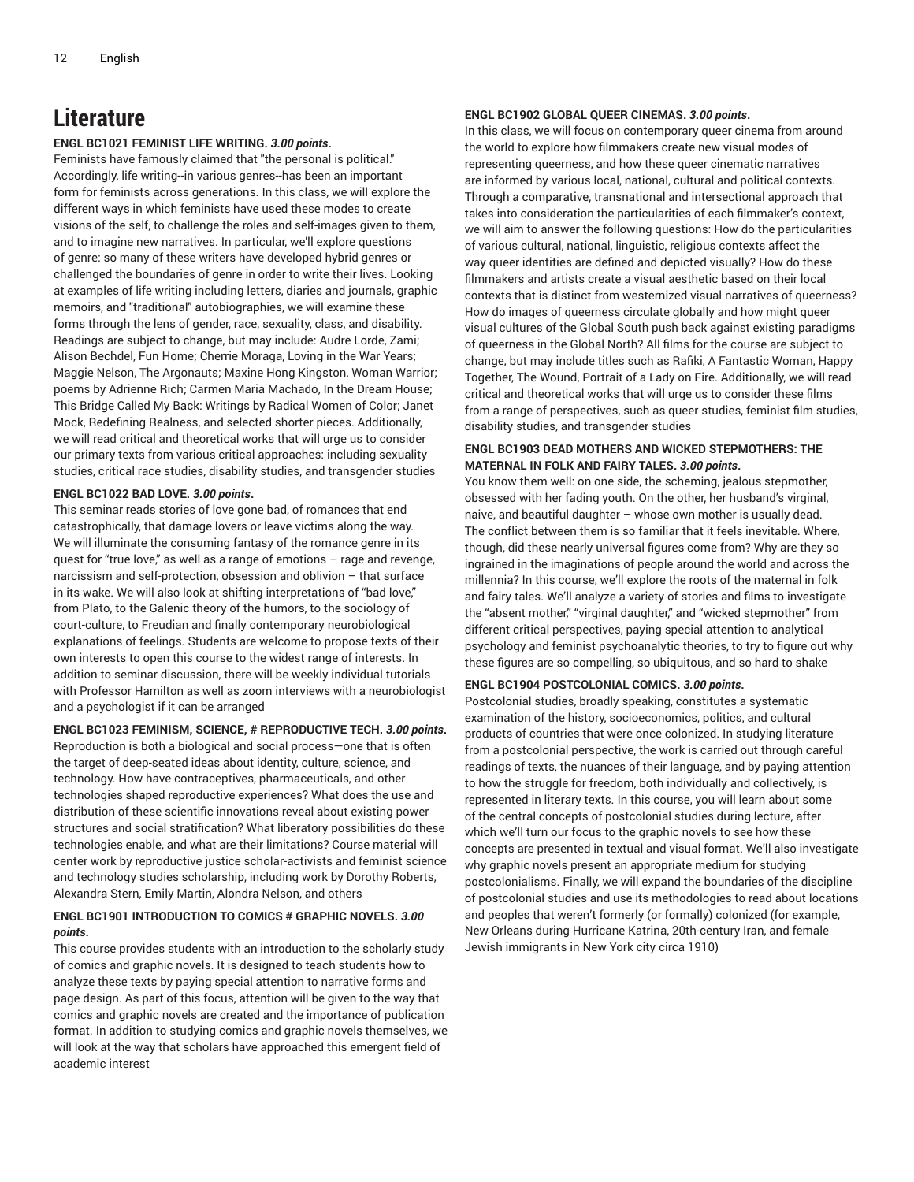### <span id="page-11-0"></span>**Literature**

#### **ENGL BC1021 FEMINIST LIFE WRITING.** *3.00 points***.**

Feminists have famously claimed that "the personal is political." Accordingly, life writing--in various genres--has been an important form for feminists across generations. In this class, we will explore the different ways in which feminists have used these modes to create visions of the self, to challenge the roles and self-images given to them, and to imagine new narratives. In particular, we'll explore questions of genre: so many of these writers have developed hybrid genres or challenged the boundaries of genre in order to write their lives. Looking at examples of life writing including letters, diaries and journals, graphic memoirs, and "traditional" autobiographies, we will examine these forms through the lens of gender, race, sexuality, class, and disability. Readings are subject to change, but may include: Audre Lorde, Zami; Alison Bechdel, Fun Home; Cherrie Moraga, Loving in the War Years; Maggie Nelson, The Argonauts; Maxine Hong Kingston, Woman Warrior; poems by Adrienne Rich; Carmen Maria Machado, In the Dream House; This Bridge Called My Back: Writings by Radical Women of Color; Janet Mock, Redefining Realness, and selected shorter pieces. Additionally, we will read critical and theoretical works that will urge us to consider our primary texts from various critical approaches: including sexuality studies, critical race studies, disability studies, and transgender studies

#### **ENGL BC1022 BAD LOVE.** *3.00 points***.**

This seminar reads stories of love gone bad, of romances that end catastrophically, that damage lovers or leave victims along the way. We will illuminate the consuming fantasy of the romance genre in its quest for "true love," as well as a range of emotions – rage and revenge, narcissism and self-protection, obsession and oblivion – that surface in its wake. We will also look at shifting interpretations of "bad love," from Plato, to the Galenic theory of the humors, to the sociology of court-culture, to Freudian and finally contemporary neurobiological explanations of feelings. Students are welcome to propose texts of their own interests to open this course to the widest range of interests. In addition to seminar discussion, there will be weekly individual tutorials with Professor Hamilton as well as zoom interviews with a neurobiologist and a psychologist if it can be arranged

#### **ENGL BC1023 FEMINISM, SCIENCE, # REPRODUCTIVE TECH.** *3.00 points***.**

Reproduction is both a biological and social process—one that is often the target of deep-seated ideas about identity, culture, science, and technology. How have contraceptives, pharmaceuticals, and other technologies shaped reproductive experiences? What does the use and distribution of these scientific innovations reveal about existing power structures and social stratification? What liberatory possibilities do these technologies enable, and what are their limitations? Course material will center work by reproductive justice scholar-activists and feminist science and technology studies scholarship, including work by Dorothy Roberts, Alexandra Stern, Emily Martin, Alondra Nelson, and others

### **ENGL BC1901 INTRODUCTION TO COMICS # GRAPHIC NOVELS.** *3.00 points***.**

This course provides students with an introduction to the scholarly study of comics and graphic novels. It is designed to teach students how to analyze these texts by paying special attention to narrative forms and page design. As part of this focus, attention will be given to the way that comics and graphic novels are created and the importance of publication format. In addition to studying comics and graphic novels themselves, we will look at the way that scholars have approached this emergent field of academic interest

#### **ENGL BC1902 GLOBAL QUEER CINEMAS.** *3.00 points***.**

In this class, we will focus on contemporary queer cinema from around the world to explore how filmmakers create new visual modes of representing queerness, and how these queer cinematic narratives are informed by various local, national, cultural and political contexts. Through a comparative, transnational and intersectional approach that takes into consideration the particularities of each filmmaker's context, we will aim to answer the following questions: How do the particularities of various cultural, national, linguistic, religious contexts affect the way queer identities are defined and depicted visually? How do these filmmakers and artists create a visual aesthetic based on their local contexts that is distinct from westernized visual narratives of queerness? How do images of queerness circulate globally and how might queer visual cultures of the Global South push back against existing paradigms of queerness in the Global North? All films for the course are subject to change, but may include titles such as Rafiki, A Fantastic Woman, Happy Together, The Wound, Portrait of a Lady on Fire. Additionally, we will read critical and theoretical works that will urge us to consider these films from a range of perspectives, such as queer studies, feminist film studies, disability studies, and transgender studies

#### **ENGL BC1903 DEAD MOTHERS AND WICKED STEPMOTHERS: THE MATERNAL IN FOLK AND FAIRY TALES.** *3.00 points***.**

You know them well: on one side, the scheming, jealous stepmother, obsessed with her fading youth. On the other, her husband's virginal, naive, and beautiful daughter – whose own mother is usually dead. The conflict between them is so familiar that it feels inevitable. Where, though, did these nearly universal figures come from? Why are they so ingrained in the imaginations of people around the world and across the millennia? In this course, we'll explore the roots of the maternal in folk and fairy tales. We'll analyze a variety of stories and films to investigate the "absent mother," "virginal daughter," and "wicked stepmother" from different critical perspectives, paying special attention to analytical psychology and feminist psychoanalytic theories, to try to figure out why these figures are so compelling, so ubiquitous, and so hard to shake

#### **ENGL BC1904 POSTCOLONIAL COMICS.** *3.00 points***.**

Postcolonial studies, broadly speaking, constitutes a systematic examination of the history, socioeconomics, politics, and cultural products of countries that were once colonized. In studying literature from a postcolonial perspective, the work is carried out through careful readings of texts, the nuances of their language, and by paying attention to how the struggle for freedom, both individually and collectively, is represented in literary texts. In this course, you will learn about some of the central concepts of postcolonial studies during lecture, after which we'll turn our focus to the graphic novels to see how these concepts are presented in textual and visual format. We'll also investigate why graphic novels present an appropriate medium for studying postcolonialisms. Finally, we will expand the boundaries of the discipline of postcolonial studies and use its methodologies to read about locations and peoples that weren't formerly (or formally) colonized (for example, New Orleans during Hurricane Katrina, 20th-century Iran, and female Jewish immigrants in New York city circa 1910)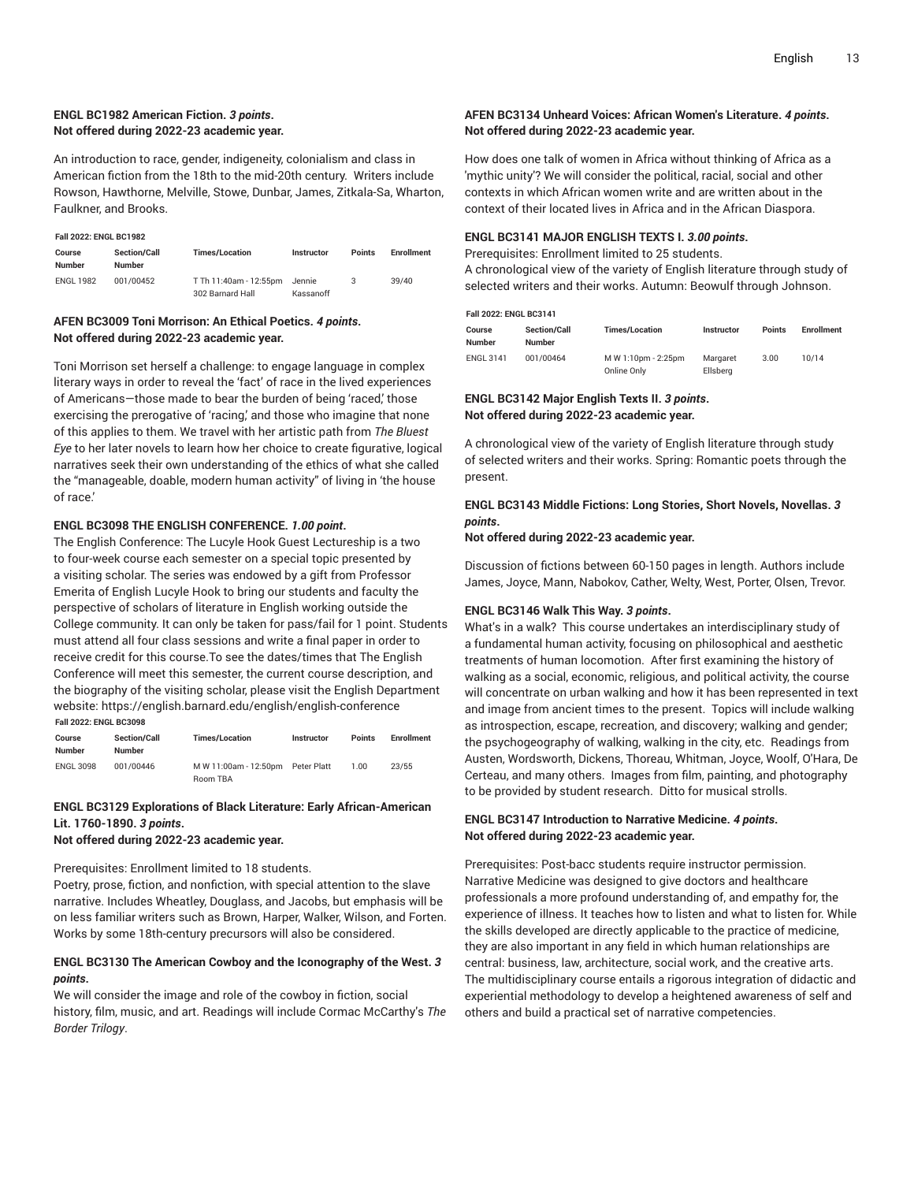#### **ENGL BC1982 American Fiction.** *3 points***. Not offered during 2022-23 academic year.**

An introduction to race, gender, indigeneity, colonialism and class in American fiction from the 18th to the mid-20th century. Writers include Rowson, Hawthorne, Melville, Stowe, Dunbar, James, Zitkala-Sa, Wharton, Faulkner, and Brooks.

|  | <b>Fall 2022: ENGL BC1982</b> |
|--|-------------------------------|

| Course<br><b>Number</b> | <b>Section/Call</b><br><b>Number</b> | <b>Times/Location</b>                      | <b>Instructor</b>   | <b>Points</b> | <b>Enrollment</b> |
|-------------------------|--------------------------------------|--------------------------------------------|---------------------|---------------|-------------------|
| <b>ENGL 1982</b>        | 001/00452                            | T Th 11:40am - 12:55pm<br>302 Barnard Hall | Jennie<br>Kassanoff | 3             | 39/40             |

#### **AFEN BC3009 Toni Morrison: An Ethical Poetics.** *4 points***. Not offered during 2022-23 academic year.**

Toni Morrison set herself a challenge: to engage language in complex literary ways in order to reveal the 'fact' of race in the lived experiences of Americans—those made to bear the burden of being 'raced,' those exercising the prerogative of 'racing,' and those who imagine that none of this applies to them. We travel with her artistic path from *The Bluest Eye* to her later novels to learn how her choice to create figurative, logical narratives seek their own understanding of the ethics of what she called the "manageable, doable, modern human activity" of living in 'the house of race.'

#### **ENGL BC3098 THE ENGLISH CONFERENCE.** *1.00 point***.**

The English Conference: The Lucyle Hook Guest Lectureship is a two to four-week course each semester on a special topic presented by a visiting scholar. The series was endowed by a gift from Professor Emerita of English Lucyle Hook to bring our students and faculty the perspective of scholars of literature in English working outside the College community. It can only be taken for pass/fail for 1 point. Students must attend all four class sessions and write a final paper in order to receive credit for this course.To see the dates/times that The English Conference will meet this semester, the current course description, and the biography of the visiting scholar, please visit the English Department website: https://english.barnard.edu/english/english-conference **Fall 2022: ENGL BC3098**

| Course<br>Number | <b>Section/Call</b><br><b>Number</b> | <b>Times/Location</b> | <b>Instructor</b> | Points | <b>Enrollment</b> |
|------------------|--------------------------------------|-----------------------|-------------------|--------|-------------------|
| <b>ENGL 3098</b> | 001/00446                            | M W 11:00am - 12:50pm | Peter Platt       | 1.00.  | 23/55             |
|                  |                                      | Room TBA              |                   |        |                   |

#### **ENGL BC3129 Explorations of Black Literature: Early African-American Lit. 1760-1890.** *3 points***.**

#### **Not offered during 2022-23 academic year.**

### Prerequisites: Enrollment limited to 18 students.

Poetry, prose, fiction, and nonfiction, with special attention to the slave narrative. Includes Wheatley, Douglass, and Jacobs, but emphasis will be on less familiar writers such as Brown, Harper, Walker, Wilson, and Forten. Works by some 18th-century precursors will also be considered.

#### **ENGL BC3130 The American Cowboy and the Iconography of the West.** *3 points***.**

We will consider the image and role of the cowboy in fiction, social history, film, music, and art. Readings will include Cormac McCarthy's *The Border Trilogy*.

#### **AFEN BC3134 Unheard Voices: African Women's Literature.** *4 points***. Not offered during 2022-23 academic year.**

How does one talk of women in Africa without thinking of Africa as a 'mythic unity'? We will consider the political, racial, social and other contexts in which African women write and are written about in the context of their located lives in Africa and in the African Diaspora.

#### **ENGL BC3141 MAJOR ENGLISH TEXTS I.** *3.00 points***.**

Prerequisites: Enrollment limited to 25 students.

A chronological view of the variety of English literature through study of selected writers and their works. Autumn: Beowulf through Johnson.

#### **Fall 2022: ENGL BC3141**

| Course<br><b>Number</b> | <b>Section/Call</b><br><b>Number</b> | <b>Times/Location</b> | <b>Instructor</b> | <b>Points</b> | <b>Enrollment</b> |
|-------------------------|--------------------------------------|-----------------------|-------------------|---------------|-------------------|
| <b>ENGL 3141</b>        | 001/00464                            | M W 1:10pm - 2:25pm   | Margaret          | 3.00          | 10/14             |
|                         |                                      | Online Only           | Ellsberg          |               |                   |

#### **ENGL BC3142 Major English Texts II.** *3 points***. Not offered during 2022-23 academic year.**

A chronological view of the variety of English literature through study of selected writers and their works. Spring: Romantic poets through the present.

#### **ENGL BC3143 Middle Fictions: Long Stories, Short Novels, Novellas.** *3 points***.**

**Not offered during 2022-23 academic year.**

Discussion of fictions between 60-150 pages in length. Authors include James, Joyce, Mann, Nabokov, Cather, Welty, West, Porter, Olsen, Trevor.

#### **ENGL BC3146 Walk This Way.** *3 points***.**

What's in a walk? This course undertakes an interdisciplinary study of a fundamental human activity, focusing on philosophical and aesthetic treatments of human locomotion. After first examining the history of walking as a social, economic, religious, and political activity, the course will concentrate on urban walking and how it has been represented in text and image from ancient times to the present. Topics will include walking as introspection, escape, recreation, and discovery; walking and gender; the psychogeography of walking, walking in the city, etc. Readings from Austen, Wordsworth, Dickens, Thoreau, Whitman, Joyce, Woolf, O'Hara, De Certeau, and many others. Images from film, painting, and photography to be provided by student research. Ditto for musical strolls.

#### **ENGL BC3147 Introduction to Narrative Medicine.** *4 points***. Not offered during 2022-23 academic year.**

Prerequisites: Post-bacc students require instructor permission. Narrative Medicine was designed to give doctors and healthcare professionals a more profound understanding of, and empathy for, the experience of illness. It teaches how to listen and what to listen for. While the skills developed are directly applicable to the practice of medicine, they are also important in any field in which human relationships are central: business, law, architecture, social work, and the creative arts. The multidisciplinary course entails a rigorous integration of didactic and experiential methodology to develop a heightened awareness of self and others and build a practical set of narrative competencies.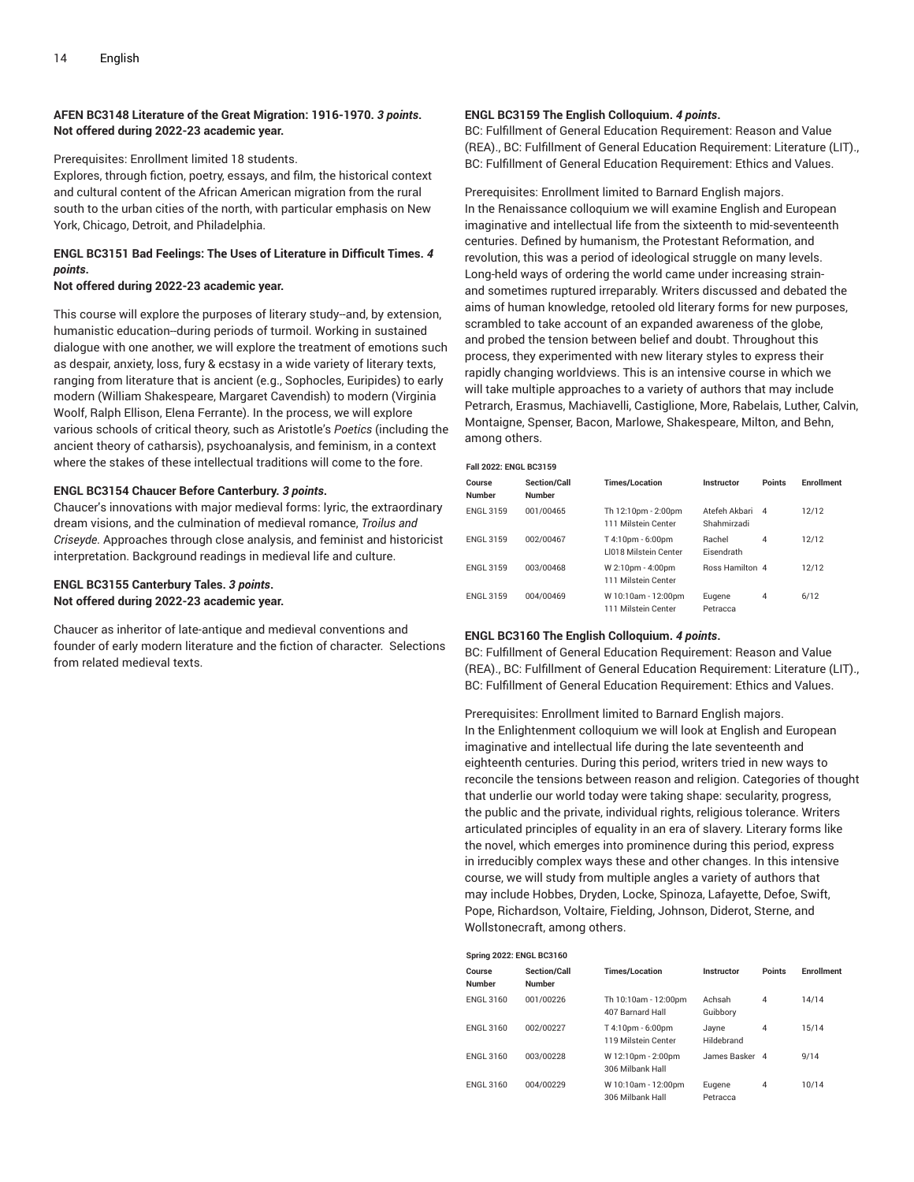#### **AFEN BC3148 Literature of the Great Migration: 1916-1970.** *3 points***. Not offered during 2022-23 academic year.**

Prerequisites: Enrollment limited 18 students.

Explores, through fiction, poetry, essays, and film, the historical context and cultural content of the African American migration from the rural south to the urban cities of the north, with particular emphasis on New York, Chicago, Detroit, and Philadelphia.

### **ENGL BC3151 Bad Feelings: The Uses of Literature in Difficult Times.** *4 points***.**

#### **Not offered during 2022-23 academic year.**

This course will explore the purposes of literary study--and, by extension, humanistic education--during periods of turmoil. Working in sustained dialogue with one another, we will explore the treatment of emotions such as despair, anxiety, loss, fury & ecstasy in a wide variety of literary texts, ranging from literature that is ancient (e.g., Sophocles, Euripides) to early modern (William Shakespeare, Margaret Cavendish) to modern (Virginia Woolf, Ralph Ellison, Elena Ferrante). In the process, we will explore various schools of critical theory, such as Aristotle's *Poetics* (including the ancient theory of catharsis), psychoanalysis, and feminism, in a context where the stakes of these intellectual traditions will come to the fore.

#### **ENGL BC3154 Chaucer Before Canterbury.** *3 points***.**

Chaucer's innovations with major medieval forms: lyric, the extraordinary dream visions, and the culmination of medieval romance, *Troilus and Criseyde.* Approaches through close analysis, and feminist and historicist interpretation. Background readings in medieval life and culture.

#### **ENGL BC3155 Canterbury Tales.** *3 points***. Not offered during 2022-23 academic year.**

Chaucer as inheritor of late-antique and medieval conventions and founder of early modern literature and the fiction of character. Selections from related medieval texts.

#### **ENGL BC3159 The English Colloquium.** *4 points***.**

BC: Fulfillment of General Education Requirement: Reason and Value (REA)., BC: Fulfillment of General Education Requirement: Literature (LIT)., BC: Fulfillment of General Education Requirement: Ethics and Values.

Prerequisites: Enrollment limited to Barnard English majors. In the Renaissance colloquium we will examine English and European imaginative and intellectual life from the sixteenth to mid-seventeenth centuries. Defined by humanism, the Protestant Reformation, and revolution, this was a period of ideological struggle on many levels. Long-held ways of ordering the world came under increasing strainand sometimes ruptured irreparably. Writers discussed and debated the aims of human knowledge, retooled old literary forms for new purposes, scrambled to take account of an expanded awareness of the globe, and probed the tension between belief and doubt. Throughout this process, they experimented with new literary styles to express their rapidly changing worldviews. This is an intensive course in which we will take multiple approaches to a variety of authors that may include Petrarch, Erasmus, Machiavelli, Castiglione, More, Rabelais, Luther, Calvin, Montaigne, Spenser, Bacon, Marlowe, Shakespeare, Milton, and Behn, among others.

#### **Fall 2022: ENGL BC3159**

| Course<br><b>Number</b> | <b>Section/Call</b><br><b>Number</b> | <b>Times/Location</b>                             | Instructor                   | Points         | <b>Enrollment</b> |
|-------------------------|--------------------------------------|---------------------------------------------------|------------------------------|----------------|-------------------|
| <b>ENGL 3159</b>        | 001/00465                            | Th 12:10pm - 2:00pm<br>111 Milstein Center        | Atefeh Akbari<br>Shahmirzadi | $\mathbf{A}$   | 12/12             |
| <b>ENGL 3159</b>        | 002/00467                            | T 4:10pm - 6:00pm<br><b>LI018 Milstein Center</b> | Rachel<br>Eisendrath         | $\overline{4}$ | 12/12             |
| <b>ENGL 3159</b>        | 003/00468                            | W 2:10pm - 4:00pm<br>111 Milstein Center          | <b>Ross Hamilton 4</b>       |                | 12/12             |
| <b>ENGL 3159</b>        | 004/00469                            | W 10:10am - 12:00pm<br>111 Milstein Center        | Eugene<br>Petracca           | 4              | 6/12              |

#### **ENGL BC3160 The English Colloquium.** *4 points***.**

BC: Fulfillment of General Education Requirement: Reason and Value (REA)., BC: Fulfillment of General Education Requirement: Literature (LIT)., BC: Fulfillment of General Education Requirement: Ethics and Values.

Prerequisites: Enrollment limited to Barnard English majors. In the Enlightenment colloquium we will look at English and European imaginative and intellectual life during the late seventeenth and eighteenth centuries. During this period, writers tried in new ways to reconcile the tensions between reason and religion. Categories of thought that underlie our world today were taking shape: secularity, progress, the public and the private, individual rights, religious tolerance. Writers articulated principles of equality in an era of slavery. Literary forms like the novel, which emerges into prominence during this period, express in irreducibly complex ways these and other changes. In this intensive course, we will study from multiple angles a variety of authors that may include Hobbes, Dryden, Locke, Spinoza, Lafayette, Defoe, Swift, Pope, Richardson, Voltaire, Fielding, Johnson, Diderot, Sterne, and Wollstonecraft, among others.

| <b>Spring 2022: ENGL BC3160</b> |                               |                                          |                     |                |                   |  |  |  |
|---------------------------------|-------------------------------|------------------------------------------|---------------------|----------------|-------------------|--|--|--|
| Course<br><b>Number</b>         | Section/Call<br><b>Number</b> | <b>Times/Location</b>                    | Instructor          | <b>Points</b>  | <b>Enrollment</b> |  |  |  |
| <b>ENGL 3160</b>                | 001/00226                     | Th 10:10am - 12:00pm<br>407 Barnard Hall | Achsah<br>Guibbory  | $\overline{4}$ | 14/14             |  |  |  |
| <b>ENGL 3160</b>                | 002/00227                     | T 4:10pm - 6:00pm<br>119 Milstein Center | Jayne<br>Hildebrand | $\overline{4}$ | 15/14             |  |  |  |
| <b>ENGL 3160</b>                | 003/00228                     | W 12:10pm - 2:00pm<br>306 Milbank Hall   | James Basker 4      |                | 9/14              |  |  |  |
| <b>ENGL 3160</b>                | 004/00229                     | W 10:10am - 12:00pm<br>306 Milbank Hall  | Eugene<br>Petracca  | 4              | 10/14             |  |  |  |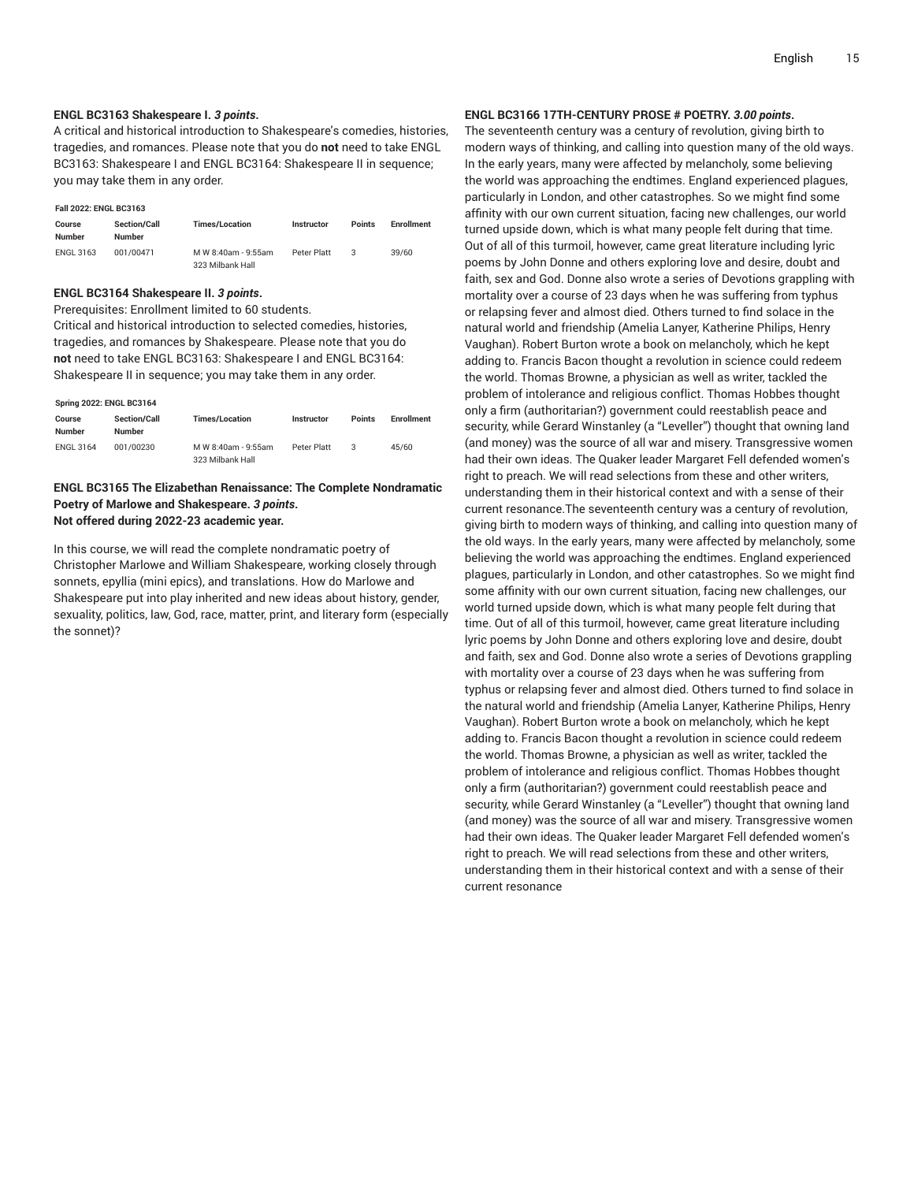#### **ENGL BC3163 Shakespeare I.** *3 points***.**

A critical and historical introduction to Shakespeare's comedies, histories, tragedies, and romances. Please note that you do **not** need to take ENGL BC3163: Shakespeare I and ENGL BC3164: Shakespeare II in sequence; you may take them in any order.

#### **Fall 2022: ENGL BC3163**

| Course<br><b>Number</b> | <b>Section/Call</b><br><b>Number</b> | <b>Times/Location</b>                   | <b>Instructor</b> | <b>Points</b> | <b>Enrollment</b> |
|-------------------------|--------------------------------------|-----------------------------------------|-------------------|---------------|-------------------|
| <b>ENGL 3163</b>        | 001/00471                            | M W 8:40am - 9:55am<br>323 Milbank Hall | Peter Platt       |               | 39/60             |

#### **ENGL BC3164 Shakespeare II.** *3 points***.**

Prerequisites: Enrollment limited to 60 students.

Critical and historical introduction to selected comedies, histories, tragedies, and romances by Shakespeare. Please note that you do **not** need to take ENGL BC3163: Shakespeare I and ENGL BC3164: Shakespeare II in sequence; you may take them in any order.

#### **Spring 2022: ENGL BC3164**

| Course<br>Number | <b>Section/Call</b><br>Number | <b>Times/Location</b>                   | <b>Instructor</b> | <b>Points</b> | <b>Enrollment</b> |
|------------------|-------------------------------|-----------------------------------------|-------------------|---------------|-------------------|
| <b>ENGL 3164</b> | 001/00230                     | M W 8:40am - 9:55am<br>323 Milbank Hall | Peter Platt       |               | 45/60             |

#### **ENGL BC3165 The Elizabethan Renaissance: The Complete Nondramatic Poetry of Marlowe and Shakespeare.** *3 points***. Not offered during 2022-23 academic year.**

In this course, we will read the complete nondramatic poetry of Christopher Marlowe and William Shakespeare, working closely through sonnets, epyllia (mini epics), and translations. How do Marlowe and Shakespeare put into play inherited and new ideas about history, gender, sexuality, politics, law, God, race, matter, print, and literary form (especially the sonnet)?

#### **ENGL BC3166 17TH-CENTURY PROSE # POETRY.** *3.00 points***.**

The seventeenth century was a century of revolution, giving birth to modern ways of thinking, and calling into question many of the old ways. In the early years, many were affected by melancholy, some believing the world was approaching the endtimes. England experienced plagues, particularly in London, and other catastrophes. So we might find some affinity with our own current situation, facing new challenges, our world turned upside down, which is what many people felt during that time. Out of all of this turmoil, however, came great literature including lyric poems by John Donne and others exploring love and desire, doubt and faith, sex and God. Donne also wrote a series of Devotions grappling with mortality over a course of 23 days when he was suffering from typhus or relapsing fever and almost died. Others turned to find solace in the natural world and friendship (Amelia Lanyer, Katherine Philips, Henry Vaughan). Robert Burton wrote a book on melancholy, which he kept adding to. Francis Bacon thought a revolution in science could redeem the world. Thomas Browne, a physician as well as writer, tackled the problem of intolerance and religious conflict. Thomas Hobbes thought only a firm (authoritarian?) government could reestablish peace and security, while Gerard Winstanley (a "Leveller") thought that owning land (and money) was the source of all war and misery. Transgressive women had their own ideas. The Quaker leader Margaret Fell defended women's right to preach. We will read selections from these and other writers, understanding them in their historical context and with a sense of their current resonance.The seventeenth century was a century of revolution, giving birth to modern ways of thinking, and calling into question many of the old ways. In the early years, many were affected by melancholy, some believing the world was approaching the endtimes. England experienced plagues, particularly in London, and other catastrophes. So we might find some affinity with our own current situation, facing new challenges, our world turned upside down, which is what many people felt during that time. Out of all of this turmoil, however, came great literature including lyric poems by John Donne and others exploring love and desire, doubt and faith, sex and God. Donne also wrote a series of Devotions grappling with mortality over a course of 23 days when he was suffering from typhus or relapsing fever and almost died. Others turned to find solace in the natural world and friendship (Amelia Lanyer, Katherine Philips, Henry Vaughan). Robert Burton wrote a book on melancholy, which he kept adding to. Francis Bacon thought a revolution in science could redeem the world. Thomas Browne, a physician as well as writer, tackled the problem of intolerance and religious conflict. Thomas Hobbes thought only a firm (authoritarian?) government could reestablish peace and security, while Gerard Winstanley (a "Leveller") thought that owning land (and money) was the source of all war and misery. Transgressive women had their own ideas. The Quaker leader Margaret Fell defended women's right to preach. We will read selections from these and other writers, understanding them in their historical context and with a sense of their current resonance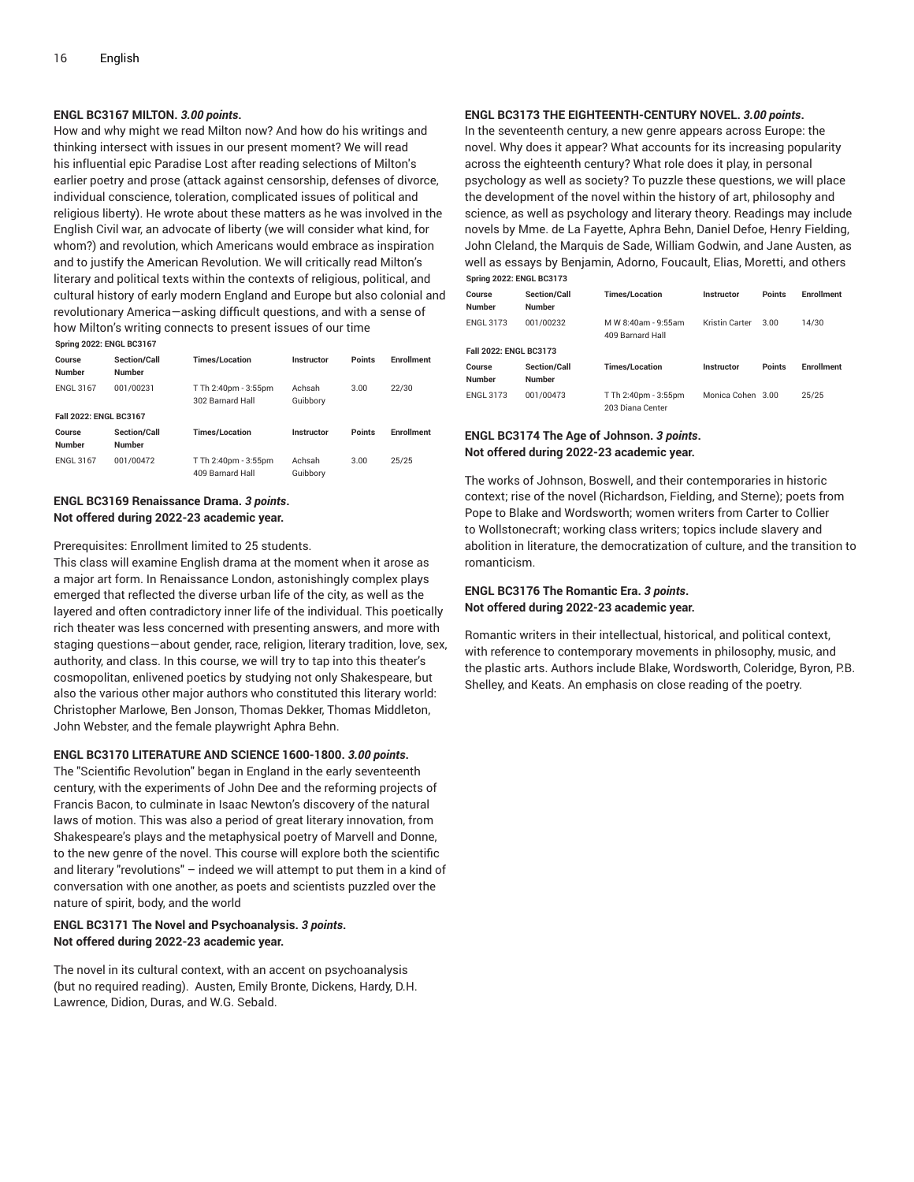#### **ENGL BC3167 MILTON.** *3.00 points***.**

How and why might we read Milton now? And how do his writings and thinking intersect with issues in our present moment? We will read his influential epic Paradise Lost after reading selections of Milton's earlier poetry and prose (attack against censorship, defenses of divorce, individual conscience, toleration, complicated issues of political and religious liberty). He wrote about these matters as he was involved in the English Civil war, an advocate of liberty (we will consider what kind, for whom?) and revolution, which Americans would embrace as inspiration and to justify the American Revolution. We will critically read Milton's literary and political texts within the contexts of religious, political, and cultural history of early modern England and Europe but also colonial and revolutionary America—asking difficult questions, and with a sense of how Milton's writing connects to present issues of our time

| <b>Spring 2022: ENGL BC3167</b> |                               |                                          |                    |               |                   |  |  |  |
|---------------------------------|-------------------------------|------------------------------------------|--------------------|---------------|-------------------|--|--|--|
| Course<br><b>Number</b>         | Section/Call<br><b>Number</b> | <b>Times/Location</b>                    | Instructor         | <b>Points</b> | <b>Enrollment</b> |  |  |  |
| <b>ENGL 3167</b>                | 001/00231                     | T Th 2:40pm - 3:55pm<br>302 Barnard Hall | Achsah<br>Guibbory | 3.00          | 22/30             |  |  |  |
| Fall 2022: ENGL BC3167          |                               |                                          |                    |               |                   |  |  |  |
| Course<br><b>Number</b>         | Section/Call<br><b>Number</b> | <b>Times/Location</b>                    | Instructor         | <b>Points</b> | <b>Enrollment</b> |  |  |  |
| <b>ENGL 3167</b>                | 001/00472                     | T Th 2:40pm - 3:55pm<br>409 Barnard Hall | Achsah<br>Guibbory | 3.00          | 25/25             |  |  |  |

#### **ENGL BC3169 Renaissance Drama.** *3 points***. Not offered during 2022-23 academic year.**

Prerequisites: Enrollment limited to 25 students.

This class will examine English drama at the moment when it arose as a major art form. In Renaissance London, astonishingly complex plays emerged that reflected the diverse urban life of the city, as well as the layered and often contradictory inner life of the individual. This poetically rich theater was less concerned with presenting answers, and more with staging questions—about gender, race, religion, literary tradition, love, sex, authority, and class. In this course, we will try to tap into this theater's cosmopolitan, enlivened poetics by studying not only Shakespeare, but also the various other major authors who constituted this literary world: Christopher Marlowe, Ben Jonson, Thomas Dekker, Thomas Middleton, John Webster, and the female playwright Aphra Behn.

#### **ENGL BC3170 LITERATURE AND SCIENCE 1600-1800.** *3.00 points***.**

The "Scientific Revolution" began in England in the early seventeenth century, with the experiments of John Dee and the reforming projects of Francis Bacon, to culminate in Isaac Newton's discovery of the natural laws of motion. This was also a period of great literary innovation, from Shakespeare's plays and the metaphysical poetry of Marvell and Donne, to the new genre of the novel. This course will explore both the scientific and literary "revolutions" – indeed we will attempt to put them in a kind of conversation with one another, as poets and scientists puzzled over the nature of spirit, body, and the world

#### **ENGL BC3171 The Novel and Psychoanalysis.** *3 points***. Not offered during 2022-23 academic year.**

The novel in its cultural context, with an accent on psychoanalysis (but no required reading). Austen, Emily Bronte, Dickens, Hardy, D.H. Lawrence, Didion, Duras, and W.G. Sebald.

#### **ENGL BC3173 THE EIGHTEENTH-CENTURY NOVEL.** *3.00 points***.**

In the seventeenth century, a new genre appears across Europe: the novel. Why does it appear? What accounts for its increasing popularity across the eighteenth century? What role does it play, in personal psychology as well as society? To puzzle these questions, we will place the development of the novel within the history of art, philosophy and science, as well as psychology and literary theory. Readings may include novels by Mme. de La Fayette, Aphra Behn, Daniel Defoe, Henry Fielding, John Cleland, the Marquis de Sade, William Godwin, and Jane Austen, as well as essays by Benjamin, Adorno, Foucault, Elias, Moretti, and others **Spring 2022: ENGL BC3173**

| $Spq = Sz = Sz + Sz = Sz + Sz$ |                                      |                                          |                   |               |                   |  |  |
|--------------------------------|--------------------------------------|------------------------------------------|-------------------|---------------|-------------------|--|--|
| Course                         | <b>Section/Call</b>                  | <b>Times/Location</b>                    | Instructor        | <b>Points</b> | <b>Enrollment</b> |  |  |
| <b>Number</b>                  | <b>Number</b>                        |                                          |                   |               |                   |  |  |
| <b>ENGL 3173</b>               | 001/00232                            | M W 8:40am - 9:55am<br>409 Barnard Hall  | Kristin Carter    | 3.00          | 14/30             |  |  |
| Fall 2022: ENGL BC3173         |                                      |                                          |                   |               |                   |  |  |
| Course<br><b>Number</b>        | <b>Section/Call</b><br><b>Number</b> | <b>Times/Location</b>                    | Instructor        | <b>Points</b> | <b>Enrollment</b> |  |  |
| <b>ENGL 3173</b>               | 001/00473                            | T Th 2:40pm - 3:55pm<br>203 Diana Center | Monica Cohen 3.00 |               | 25/25             |  |  |

#### **ENGL BC3174 The Age of Johnson.** *3 points***. Not offered during 2022-23 academic year.**

The works of Johnson, Boswell, and their contemporaries in historic context; rise of the novel (Richardson, Fielding, and Sterne); poets from Pope to Blake and Wordsworth; women writers from Carter to Collier to Wollstonecraft; working class writers; topics include slavery and abolition in literature, the democratization of culture, and the transition to romanticism.

#### **ENGL BC3176 The Romantic Era.** *3 points***. Not offered during 2022-23 academic year.**

Romantic writers in their intellectual, historical, and political context, with reference to contemporary movements in philosophy, music, and the plastic arts. Authors include Blake, Wordsworth, Coleridge, Byron, P.B. Shelley, and Keats. An emphasis on close reading of the poetry.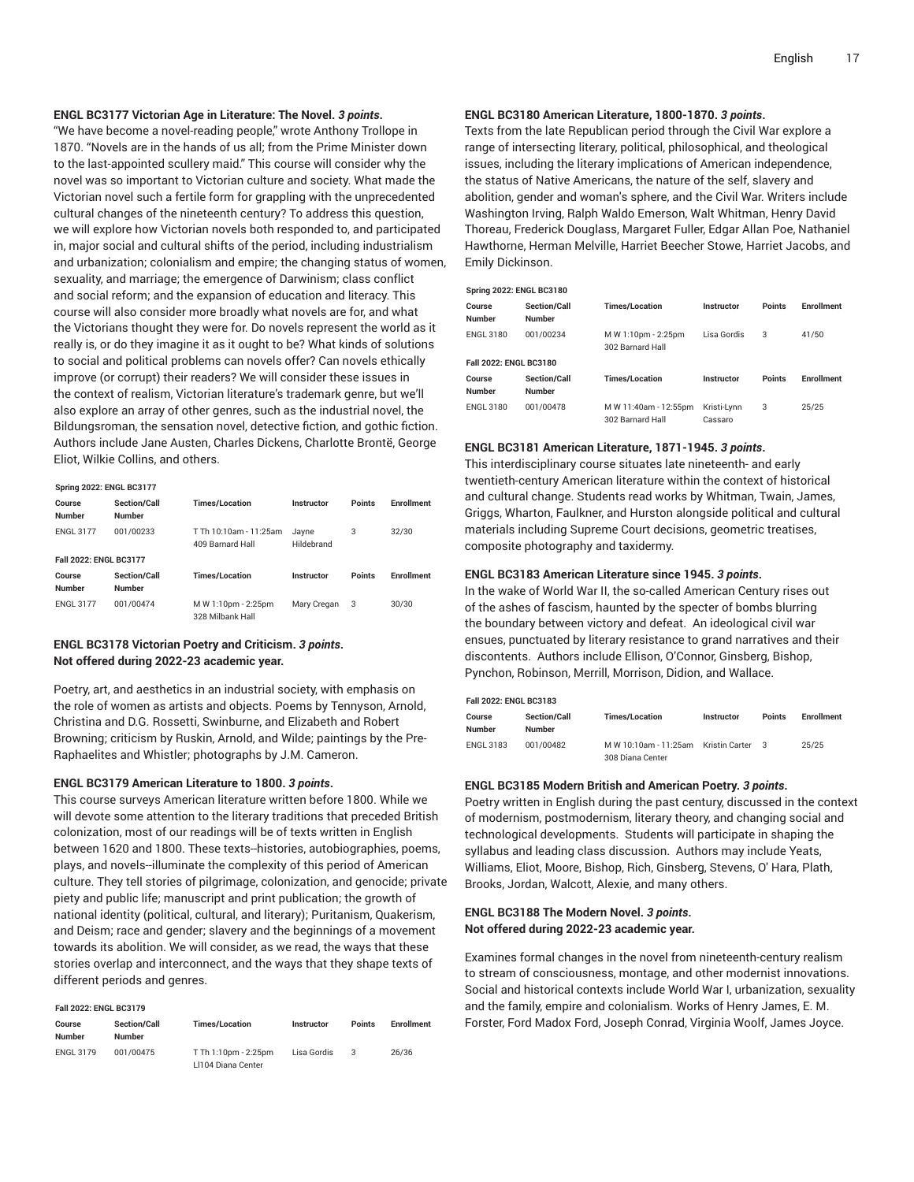#### **ENGL BC3177 Victorian Age in Literature: The Novel.** *3 points***.**

"We have become a novel-reading people," wrote Anthony Trollope in 1870. "Novels are in the hands of us all; from the Prime Minister down to the last-appointed scullery maid." This course will consider why the novel was so important to Victorian culture and society. What made the Victorian novel such a fertile form for grappling with the unprecedented cultural changes of the nineteenth century? To address this question, we will explore how Victorian novels both responded to, and participated in, major social and cultural shifts of the period, including industrialism and urbanization; colonialism and empire; the changing status of women, sexuality, and marriage; the emergence of Darwinism; class conflict and social reform; and the expansion of education and literacy. This course will also consider more broadly what novels are for, and what the Victorians thought they were for. Do novels represent the world as it really is, or do they imagine it as it ought to be? What kinds of solutions to social and political problems can novels offer? Can novels ethically improve (or corrupt) their readers? We will consider these issues in the context of realism, Victorian literature's trademark genre, but we'll also explore an array of other genres, such as the industrial novel, the Bildungsroman, the sensation novel, detective fiction, and gothic fiction. Authors include Jane Austen, Charles Dickens, Charlotte Brontë, George Eliot, Wilkie Collins, and others.

| <b>Spring 2022: ENGL BC3177</b> |                                      |                                            |                     |               |                   |  |  |  |  |  |
|---------------------------------|--------------------------------------|--------------------------------------------|---------------------|---------------|-------------------|--|--|--|--|--|
| Course<br><b>Number</b>         | Section/Call<br><b>Number</b>        | <b>Times/Location</b>                      | Instructor          | Points        | <b>Enrollment</b> |  |  |  |  |  |
| <b>ENGL 3177</b>                | 001/00233                            | T Th 10:10am - 11:25am<br>409 Barnard Hall | Jayne<br>Hildebrand | 3             | 32/30             |  |  |  |  |  |
|                                 | Fall 2022: ENGL BC3177               |                                            |                     |               |                   |  |  |  |  |  |
| Course<br><b>Number</b>         | <b>Section/Call</b><br><b>Number</b> | <b>Times/Location</b>                      | Instructor          | <b>Points</b> | <b>Enrollment</b> |  |  |  |  |  |
| <b>ENGL 3177</b>                | 001/00474                            | M W 1:10pm - 2:25pm<br>328 Milbank Hall    | Mary Cregan         | 3             | 30/30             |  |  |  |  |  |

#### **ENGL BC3178 Victorian Poetry and Criticism.** *3 points***. Not offered during 2022-23 academic year.**

Poetry, art, and aesthetics in an industrial society, with emphasis on the role of women as artists and objects. Poems by Tennyson, Arnold, Christina and D.G. Rossetti, Swinburne, and Elizabeth and Robert Browning; criticism by Ruskin, Arnold, and Wilde; paintings by the Pre-Raphaelites and Whistler; photographs by J.M. Cameron.

#### **ENGL BC3179 American Literature to 1800.** *3 points***.**

This course surveys American literature written before 1800. While we will devote some attention to the literary traditions that preceded British colonization, most of our readings will be of texts written in English between 1620 and 1800. These texts--histories, autobiographies, poems, plays, and novels--illuminate the complexity of this period of American culture. They tell stories of pilgrimage, colonization, and genocide; private piety and public life; manuscript and print publication; the growth of national identity (political, cultural, and literary); Puritanism, Quakerism, and Deism; race and gender; slavery and the beginnings of a movement towards its abolition. We will consider, as we read, the ways that these stories overlap and interconnect, and the ways that they shape texts of different periods and genres.

#### **Fall 2022: ENGL BC3179**

| Course<br>Number | <b>Section/Call</b><br><b>Number</b> | <b>Times/Location</b>                      | <b>Instructor</b> | <b>Points</b> | <b>Enrollment</b> |
|------------------|--------------------------------------|--------------------------------------------|-------------------|---------------|-------------------|
| <b>ENGL 3179</b> | 001/00475                            | T Th 1:10pm - 2:25pm<br>LI104 Diana Center | Lisa Gordis       |               | 26/36             |

#### **ENGL BC3180 American Literature, 1800-1870.** *3 points***.**

Texts from the late Republican period through the Civil War explore a range of intersecting literary, political, philosophical, and theological issues, including the literary implications of American independence, the status of Native Americans, the nature of the self, slavery and abolition, gender and woman's sphere, and the Civil War. Writers include Washington Irving, Ralph Waldo Emerson, Walt Whitman, Henry David Thoreau, Frederick Douglass, Margaret Fuller, Edgar Allan Poe, Nathaniel Hawthorne, Herman Melville, Harriet Beecher Stowe, Harriet Jacobs, and Emily Dickinson.

| <b>Spring 2022: ENGL BC3180</b> |                               |                                           |                        |               |                   |  |  |  |  |
|---------------------------------|-------------------------------|-------------------------------------------|------------------------|---------------|-------------------|--|--|--|--|
| Course<br><b>Number</b>         | Section/Call<br><b>Number</b> | <b>Times/Location</b>                     | Instructor             | <b>Points</b> | <b>Fnrollment</b> |  |  |  |  |
| <b>ENGL 3180</b>                | 001/00234                     | M W 1:10pm - 2:25pm<br>302 Barnard Hall   | Lisa Gordis            | 3             | 41/50             |  |  |  |  |
| Fall 2022: ENGL BC3180          |                               |                                           |                        |               |                   |  |  |  |  |
| Course<br><b>Number</b>         | Section/Call<br><b>Number</b> | <b>Times/Location</b>                     | Instructor             | <b>Points</b> | <b>Enrollment</b> |  |  |  |  |
| <b>ENGL 3180</b>                | 001/00478                     | M W 11:40am - 12:55pm<br>302 Barnard Hall | Kristi-Lynn<br>Cassaro | 3             | 25/25             |  |  |  |  |

#### **ENGL BC3181 American Literature, 1871-1945.** *3 points***.**

This interdisciplinary course situates late nineteenth- and early twentieth-century American literature within the context of historical and cultural change. Students read works by Whitman, Twain, James, Griggs, Wharton, Faulkner, and Hurston alongside political and cultural materials including Supreme Court decisions, geometric treatises, composite photography and taxidermy.

#### **ENGL BC3183 American Literature since 1945.** *3 points***.**

In the wake of World War II, the so-called American Century rises out of the ashes of fascism, haunted by the specter of bombs blurring the boundary between victory and defeat. An ideological civil war ensues, punctuated by literary resistance to grand narratives and their discontents. Authors include Ellison, O'Connor, Ginsberg, Bishop, Pynchon, Robinson, Merrill, Morrison, Didion, and Wallace.

#### **Fall 2022: ENGL BC3183**

| Course           | <b>Section/Call</b> | <b>Times/Location</b>                | Instructor | <b>Points</b> | <b>Enrollment</b> |  |  |  |
|------------------|---------------------|--------------------------------------|------------|---------------|-------------------|--|--|--|
| <b>Number</b>    | Number              |                                      |            |               |                   |  |  |  |
| <b>ENGL 3183</b> | 001/00482           | M W 10:10am - 11:25am Kristin Carter |            |               | 25/25             |  |  |  |
|                  |                     | 308 Diana Center                     |            |               |                   |  |  |  |

#### **ENGL BC3185 Modern British and American Poetry.** *3 points***.**

Poetry written in English during the past century, discussed in the context of modernism, postmodernism, literary theory, and changing social and technological developments. Students will participate in shaping the syllabus and leading class discussion. Authors may include Yeats, Williams, Eliot, Moore, Bishop, Rich, Ginsberg, Stevens, O' Hara, Plath, Brooks, Jordan, Walcott, Alexie, and many others.

#### **ENGL BC3188 The Modern Novel.** *3 points***. Not offered during 2022-23 academic year.**

Examines formal changes in the novel from nineteenth-century realism to stream of consciousness, montage, and other modernist innovations. Social and historical contexts include World War I, urbanization, sexuality and the family, empire and colonialism. Works of Henry James, E. M. Forster, Ford Madox Ford, Joseph Conrad, Virginia Woolf, James Joyce.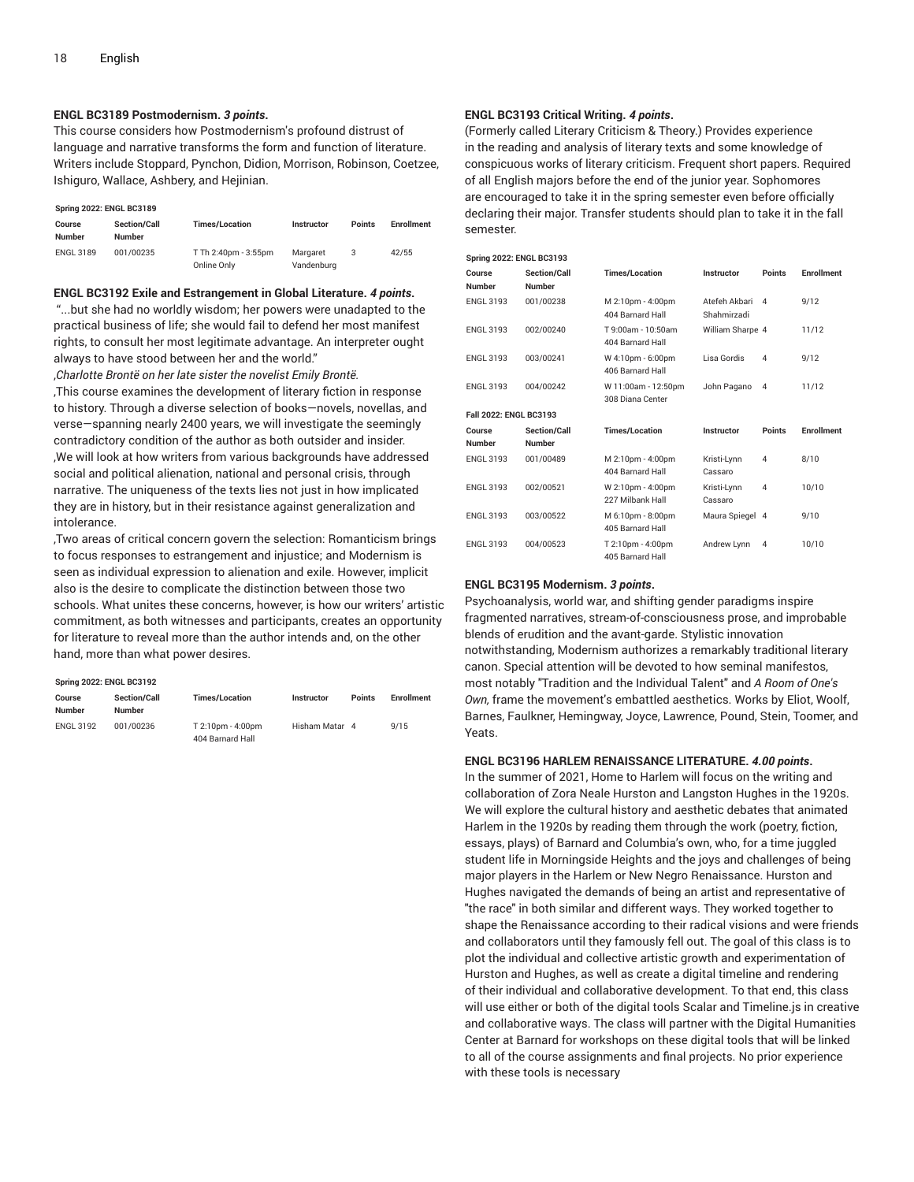#### **ENGL BC3189 Postmodernism.** *3 points***.**

This course considers how Postmodernism's profound distrust of language and narrative transforms the form and function of literature. Writers include Stoppard, Pynchon, Didion, Morrison, Robinson, Coetzee, Ishiguro, Wallace, Ashbery, and Hejinian.

#### **Spring 2022: ENGL BC3189**

| Course<br><b>Number</b> | <b>Section/Call</b><br><b>Number</b> | <b>Times/Location</b>               | <b>Instructor</b>      | <b>Points</b> | <b>Enrollment</b> |
|-------------------------|--------------------------------------|-------------------------------------|------------------------|---------------|-------------------|
| <b>ENGL 3189</b>        | 001/00235                            | T Th 2:40pm - 3:55pm<br>Online Only | Margaret<br>Vandenburg |               | 42/55             |

#### **ENGL BC3192 Exile and Estrangement in Global Literature.** *4 points***.**

"...but she had no worldly wisdom; her powers were unadapted to the practical business of life; she would fail to defend her most manifest rights, to consult her most legitimate advantage. An interpreter ought always to have stood between her and the world."

,*Charlotte Brontë on her late sister the novelist Emily Brontë.*

,This course examines the development of literary fiction in response to history. Through a diverse selection of books—novels, novellas, and verse—spanning nearly 2400 years, we will investigate the seemingly contradictory condition of the author as both outsider and insider. ,We will look at how writers from various backgrounds have addressed social and political alienation, national and personal crisis, through narrative. The uniqueness of the texts lies not just in how implicated they are in history, but in their resistance against generalization and intolerance.

,Two areas of critical concern govern the selection: Romanticism brings to focus responses to estrangement and injustice; and Modernism is seen as individual expression to alienation and exile. However, implicit also is the desire to complicate the distinction between those two schools. What unites these concerns, however, is how our writers' artistic commitment, as both witnesses and participants, creates an opportunity for literature to reveal more than the author intends and, on the other hand, more than what power desires.

#### **Spring 2022: ENGL BC3192**

| Course<br><b>Number</b> | <b>Section/Call</b><br>Number | <b>Times/Location</b>                 | Instructor     | <b>Points</b> | <b>Enrollment</b> |
|-------------------------|-------------------------------|---------------------------------------|----------------|---------------|-------------------|
| <b>ENGL 3192</b>        | 001/00236                     | T 2:10pm - 4:00pm<br>404 Barnard Hall | Hisham Matar 4 |               | 9/15              |

#### **ENGL BC3193 Critical Writing.** *4 points***.**

(Formerly called Literary Criticism & Theory.) Provides experience in the reading and analysis of literary texts and some knowledge of conspicuous works of literary criticism. Frequent short papers. Required of all English majors before the end of the junior year. Sophomores are encouraged to take it in the spring semester even before officially declaring their major. Transfer students should plan to take it in the fall semester.

| <b>Spring 2022: ENGL BC3193</b> |                                      |                                         |                              |                |                   |  |  |  |
|---------------------------------|--------------------------------------|-----------------------------------------|------------------------------|----------------|-------------------|--|--|--|
| Course<br><b>Number</b>         | <b>Section/Call</b><br><b>Number</b> | <b>Times/Location</b>                   | Instructor                   | Points         | <b>Enrollment</b> |  |  |  |
| <b>ENGL 3193</b>                | 001/00238                            | M 2:10pm - 4:00pm<br>404 Barnard Hall   | Atefeh Akbari<br>Shahmirzadi | $\mathbf{A}$   | 9/12              |  |  |  |
| <b>ENGL 3193</b>                | 002/00240                            | T 9:00am - 10:50am<br>404 Barnard Hall  | William Sharpe 4             |                | 11/12             |  |  |  |
| <b>ENGL 3193</b>                | 003/00241                            | W 4:10pm - 6:00pm<br>406 Barnard Hall   | Lisa Gordis                  | 4              | 9/12              |  |  |  |
| <b>ENGL 3193</b>                | 004/00242                            | W 11:00am - 12:50pm<br>308 Diana Center | John Pagano                  | $\overline{4}$ | 11/12             |  |  |  |
| Fall 2022: ENGL BC3193          |                                      |                                         |                              |                |                   |  |  |  |
| Course<br><b>Number</b>         | Section/Call<br><b>Number</b>        | <b>Times/Location</b>                   | Instructor                   | Points         | <b>Enrollment</b> |  |  |  |
| <b>ENGL 3193</b>                | 001/00489                            | M 2:10pm - 4:00pm<br>404 Barnard Hall   | Kristi-Lynn<br>Cassaro       | 4              | 8/10              |  |  |  |
| <b>ENGL 3193</b>                | 002/00521                            | W 2:10pm - 4:00pm<br>227 Milbank Hall   | Kristi-Lvnn<br>Cassaro       | 4              | 10/10             |  |  |  |
| <b>ENGL 3193</b>                | 003/00522                            | M 6:10pm - 8:00pm<br>405 Barnard Hall   | Maura Spiegel 4              |                | 9/10              |  |  |  |
| <b>ENGL 3193</b>                | 004/00523                            | T 2:10pm - 4:00pm<br>405 Barnard Hall   | Andrew Lynn                  | $\overline{4}$ | 10/10             |  |  |  |

#### **ENGL BC3195 Modernism.** *3 points***.**

Psychoanalysis, world war, and shifting gender paradigms inspire fragmented narratives, stream-of-consciousness prose, and improbable blends of erudition and the avant-garde. Stylistic innovation notwithstanding, Modernism authorizes a remarkably traditional literary canon. Special attention will be devoted to how seminal manifestos, most notably "Tradition and the Individual Talent" and *A Room of One's Own,* frame the movement's embattled aesthetics. Works by Eliot, Woolf, Barnes, Faulkner, Hemingway, Joyce, Lawrence, Pound, Stein, Toomer, and Yeats.

#### **ENGL BC3196 HARLEM RENAISSANCE LITERATURE.** *4.00 points***.**

In the summer of 2021, Home to Harlem will focus on the writing and collaboration of Zora Neale Hurston and Langston Hughes in the 1920s. We will explore the cultural history and aesthetic debates that animated Harlem in the 1920s by reading them through the work (poetry, fiction, essays, plays) of Barnard and Columbia's own, who, for a time juggled student life in Morningside Heights and the joys and challenges of being major players in the Harlem or New Negro Renaissance. Hurston and Hughes navigated the demands of being an artist and representative of "the race" in both similar and different ways. They worked together to shape the Renaissance according to their radical visions and were friends and collaborators until they famously fell out. The goal of this class is to plot the individual and collective artistic growth and experimentation of Hurston and Hughes, as well as create a digital timeline and rendering of their individual and collaborative development. To that end, this class will use either or both of the digital tools Scalar and Timeline.js in creative and collaborative ways. The class will partner with the Digital Humanities Center at Barnard for workshops on these digital tools that will be linked to all of the course assignments and final projects. No prior experience with these tools is necessary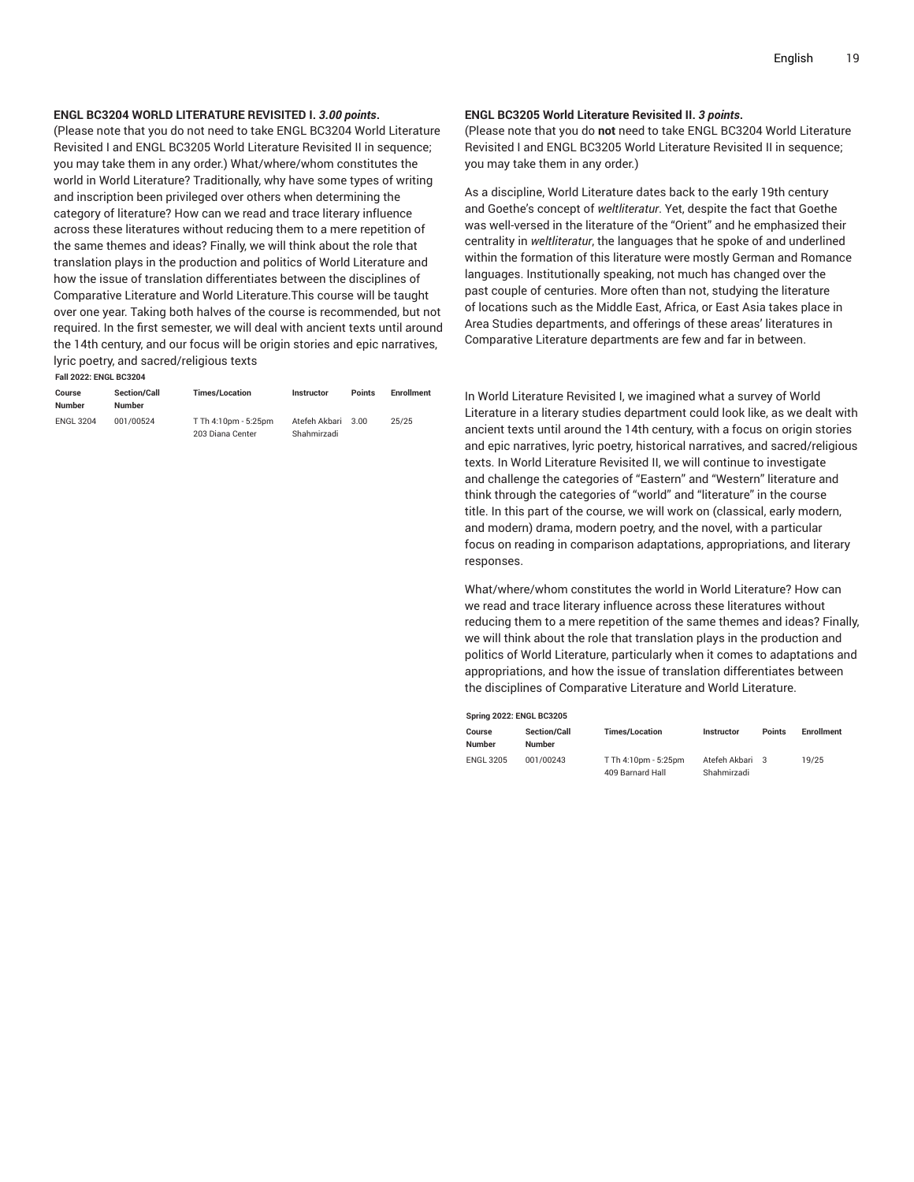#### **ENGL BC3204 WORLD LITERATURE REVISITED I.** *3.00 points***.**

(Please note that you do not need to take ENGL BC3204 World Literature Revisited I and ENGL BC3205 World Literature Revisited II in sequence; you may take them in any order.) What/where/whom constitutes the world in World Literature? Traditionally, why have some types of writing and inscription been privileged over others when determining the category of literature? How can we read and trace literary influence across these literatures without reducing them to a mere repetition of the same themes and ideas? Finally, we will think about the role that translation plays in the production and politics of World Literature and how the issue of translation differentiates between the disciplines of Comparative Literature and World Literature.This course will be taught over one year. Taking both halves of the course is recommended, but not required. In the first semester, we will deal with ancient texts until around the 14th century, and our focus will be origin stories and epic narratives, lyric poetry, and sacred/religious texts

**Fall 2022: ENGL BC3204**

| Course           | <b>Section/Call</b> | <b>Times/Location</b> | Instructor    | <b>Points</b> | <b>Enrollment</b> |
|------------------|---------------------|-----------------------|---------------|---------------|-------------------|
| Number           | <b>Number</b>       |                       |               |               |                   |
| <b>ENGL 3204</b> | 001/00524           | T Th 4:10pm - 5:25pm  | Atefeh Akbari | 3.00          | 25/25             |
|                  |                     | 203 Diana Center      | Shahmirzadi   |               |                   |

#### **ENGL BC3205 World Literature Revisited II.** *3 points***.**

(Please note that you do **not** need to take ENGL BC3204 World Literature Revisited I and ENGL BC3205 World Literature Revisited II in sequence; you may take them in any order.)

As a discipline, World Literature dates back to the early 19th century and Goethe's concept of *weltliteratur*. Yet, despite the fact that Goethe was well-versed in the literature of the "Orient" and he emphasized their centrality in *weltliteratur*, the languages that he spoke of and underlined within the formation of this literature were mostly German and Romance languages. Institutionally speaking, not much has changed over the past couple of centuries. More often than not, studying the literature of locations such as the Middle East, Africa, or East Asia takes place in Area Studies departments, and offerings of these areas' literatures in Comparative Literature departments are few and far in between.

In World Literature Revisited I, we imagined what a survey of World Literature in a literary studies department could look like, as we dealt with ancient texts until around the 14th century, with a focus on origin stories and epic narratives, lyric poetry, historical narratives, and sacred/religious texts. In World Literature Revisited II, we will continue to investigate and challenge the categories of "Eastern" and "Western" literature and think through the categories of "world" and "literature" in the course title. In this part of the course, we will work on (classical, early modern, and modern) drama, modern poetry, and the novel, with a particular focus on reading in comparison adaptations, appropriations, and literary responses.

What/where/whom constitutes the world in World Literature? How can we read and trace literary influence across these literatures without reducing them to a mere repetition of the same themes and ideas? Finally, we will think about the role that translation plays in the production and politics of World Literature, particularly when it comes to adaptations and appropriations, and how the issue of translation differentiates between the disciplines of Comparative Literature and World Literature.

| <b>Spring 2022: ENGL BC3205</b> |                                      |                                          |                                |               |                   |  |  |  |
|---------------------------------|--------------------------------------|------------------------------------------|--------------------------------|---------------|-------------------|--|--|--|
| Course<br>Number                | <b>Section/Call</b><br><b>Number</b> | <b>Times/Location</b>                    | Instructor                     | <b>Points</b> | <b>Enrollment</b> |  |  |  |
| <b>ENGL 3205</b>                | 001/00243                            | T Th 4:10pm - 5:25pm<br>409 Barnard Hall | Atefeh Akbari 3<br>Shahmirzadi |               | 19/25             |  |  |  |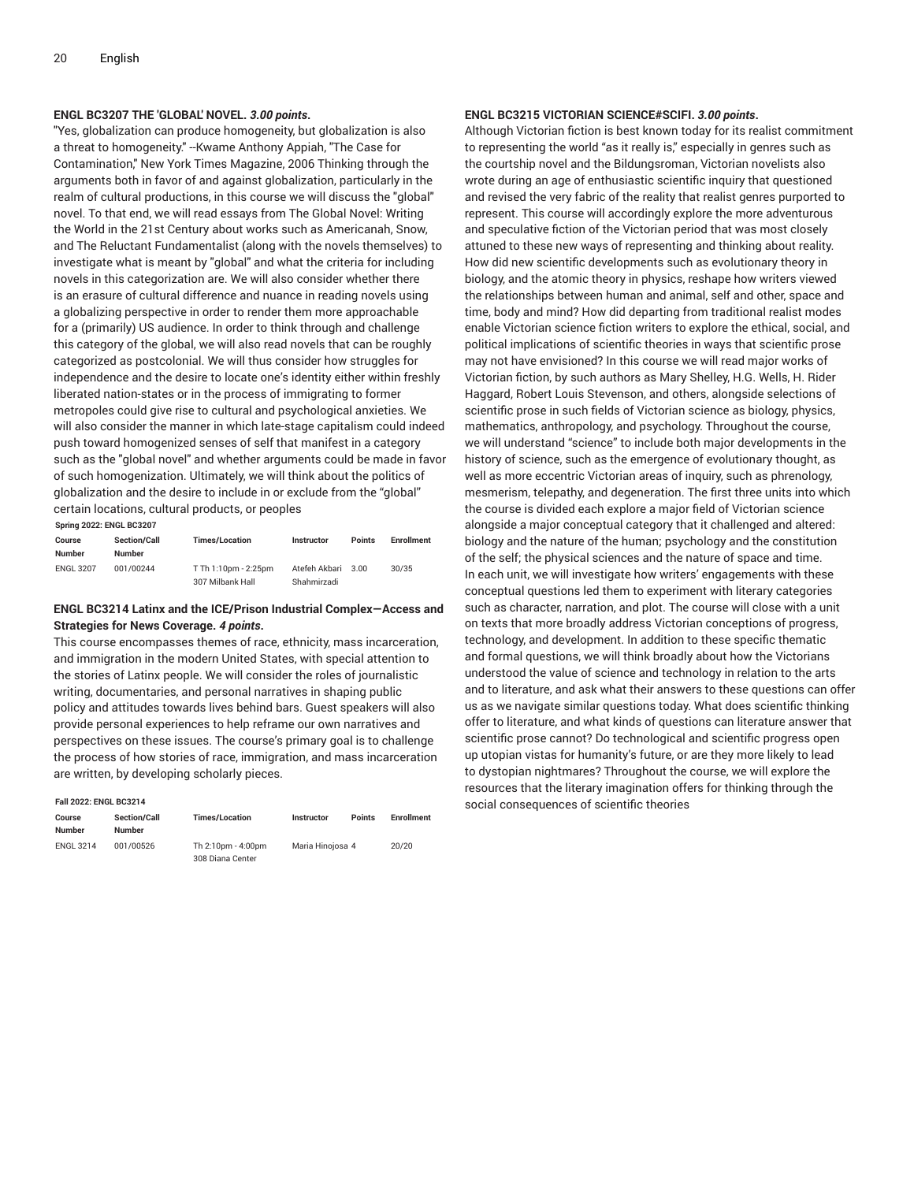#### **ENGL BC3207 THE 'GLOBAL' NOVEL.** *3.00 points***.**

"Yes, globalization can produce homogeneity, but globalization is also a threat to homogeneity." --Kwame Anthony Appiah, "The Case for Contamination," New York Times Magazine, 2006 Thinking through the arguments both in favor of and against globalization, particularly in the realm of cultural productions, in this course we will discuss the "global" novel. To that end, we will read essays from The Global Novel: Writing the World in the 21st Century about works such as Americanah, Snow, and The Reluctant Fundamentalist (along with the novels themselves) to investigate what is meant by "global" and what the criteria for including novels in this categorization are. We will also consider whether there is an erasure of cultural difference and nuance in reading novels using a globalizing perspective in order to render them more approachable for a (primarily) US audience. In order to think through and challenge this category of the global, we will also read novels that can be roughly categorized as postcolonial. We will thus consider how struggles for independence and the desire to locate one's identity either within freshly liberated nation-states or in the process of immigrating to former metropoles could give rise to cultural and psychological anxieties. We will also consider the manner in which late-stage capitalism could indeed push toward homogenized senses of self that manifest in a category such as the "global novel" and whether arguments could be made in favor of such homogenization. Ultimately, we will think about the politics of globalization and the desire to include in or exclude from the "global" certain locations, cultural products, or peoples

**Spring 2022: ENGL BC3207**

| Course<br><b>Number</b> | <b>Section/Call</b><br><b>Number</b> | <b>Times/Location</b> | Instructor    | <b>Points</b> | <b>Enrollment</b> |
|-------------------------|--------------------------------------|-----------------------|---------------|---------------|-------------------|
| <b>ENGL 3207</b>        | 001/00244                            | T Th 1:10pm - 2:25pm  | Atefeh Akbari | 3.00          | 30/35             |
|                         |                                      | 307 Milbank Hall      | Shahmirzadi   |               |                   |

#### **ENGL BC3214 Latinx and the ICE/Prison Industrial Complex—Access and Strategies for News Coverage.** *4 points***.**

This course encompasses themes of race, ethnicity, mass incarceration, and immigration in the modern United States, with special attention to the stories of Latinx people. We will consider the roles of journalistic writing, documentaries, and personal narratives in shaping public policy and attitudes towards lives behind bars. Guest speakers will also provide personal experiences to help reframe our own narratives and perspectives on these issues. The course's primary goal is to challenge the process of how stories of race, immigration, and mass incarceration are written, by developing scholarly pieces.

#### **Fall 2022: ENGL BC3214**

| Course<br>Number | <b>Section/Call</b><br><b>Number</b> | <b>Times/Location</b>                  | <b>Instructor</b> | <b>Points</b> | <b>Enrollment</b> |
|------------------|--------------------------------------|----------------------------------------|-------------------|---------------|-------------------|
| <b>ENGL 3214</b> | 001/00526                            | Th 2:10pm - 4:00pm<br>308 Diana Center | Maria Hinoiosa 4  |               | 20/20             |

#### **ENGL BC3215 VICTORIAN SCIENCE#SCIFI.** *3.00 points***.**

Although Victorian fiction is best known today for its realist commitment to representing the world "as it really is," especially in genres such as the courtship novel and the Bildungsroman, Victorian novelists also wrote during an age of enthusiastic scientific inquiry that questioned and revised the very fabric of the reality that realist genres purported to represent. This course will accordingly explore the more adventurous and speculative fiction of the Victorian period that was most closely attuned to these new ways of representing and thinking about reality. How did new scientific developments such as evolutionary theory in biology, and the atomic theory in physics, reshape how writers viewed the relationships between human and animal, self and other, space and time, body and mind? How did departing from traditional realist modes enable Victorian science fiction writers to explore the ethical, social, and political implications of scientific theories in ways that scientific prose may not have envisioned? In this course we will read major works of Victorian fiction, by such authors as Mary Shelley, H.G. Wells, H. Rider Haggard, Robert Louis Stevenson, and others, alongside selections of scientific prose in such fields of Victorian science as biology, physics, mathematics, anthropology, and psychology. Throughout the course, we will understand "science" to include both major developments in the history of science, such as the emergence of evolutionary thought, as well as more eccentric Victorian areas of inquiry, such as phrenology, mesmerism, telepathy, and degeneration. The first three units into which the course is divided each explore a major field of Victorian science alongside a major conceptual category that it challenged and altered: biology and the nature of the human; psychology and the constitution of the self; the physical sciences and the nature of space and time. In each unit, we will investigate how writers' engagements with these conceptual questions led them to experiment with literary categories such as character, narration, and plot. The course will close with a unit on texts that more broadly address Victorian conceptions of progress, technology, and development. In addition to these specific thematic and formal questions, we will think broadly about how the Victorians understood the value of science and technology in relation to the arts and to literature, and ask what their answers to these questions can offer us as we navigate similar questions today. What does scientific thinking offer to literature, and what kinds of questions can literature answer that scientific prose cannot? Do technological and scientific progress open up utopian vistas for humanity's future, or are they more likely to lead to dystopian nightmares? Throughout the course, we will explore the resources that the literary imagination offers for thinking through the social consequences of scientific theories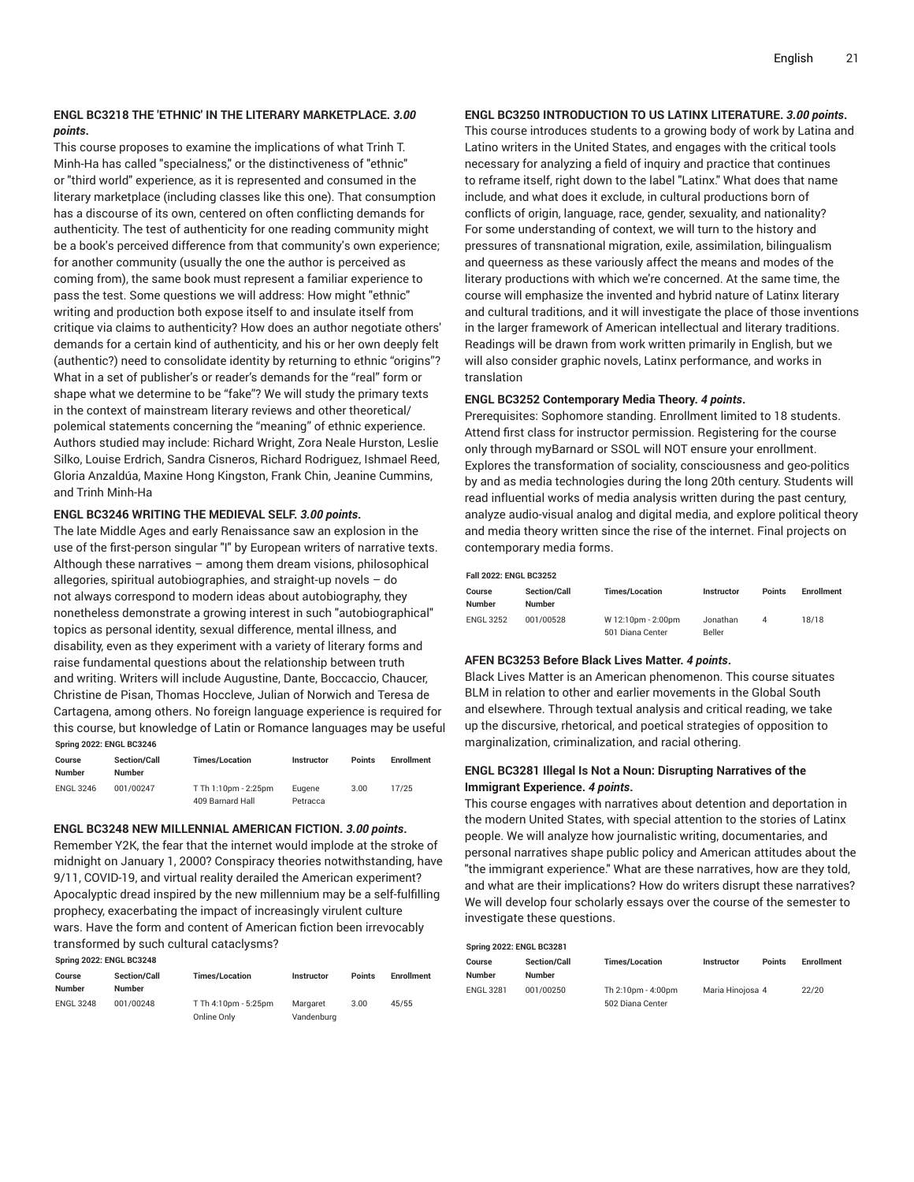#### **ENGL BC3218 THE 'ETHNIC' IN THE LITERARY MARKETPLACE.** *3.00 points***.**

This course proposes to examine the implications of what Trinh T. Minh-Ha has called "specialness," or the distinctiveness of "ethnic" or "third world" experience, as it is represented and consumed in the literary marketplace (including classes like this one). That consumption has a discourse of its own, centered on often conflicting demands for authenticity. The test of authenticity for one reading community might be a book's perceived difference from that community's own experience; for another community (usually the one the author is perceived as coming from), the same book must represent a familiar experience to pass the test. Some questions we will address: How might "ethnic" writing and production both expose itself to and insulate itself from critique via claims to authenticity? How does an author negotiate others' demands for a certain kind of authenticity, and his or her own deeply felt (authentic?) need to consolidate identity by returning to ethnic "origins"? What in a set of publisher's or reader's demands for the "real" form or shape what we determine to be "fake"? We will study the primary texts in the context of mainstream literary reviews and other theoretical/ polemical statements concerning the "meaning" of ethnic experience. Authors studied may include: Richard Wright, Zora Neale Hurston, Leslie Silko, Louise Erdrich, Sandra Cisneros, Richard Rodriguez, Ishmael Reed, Gloria Anzaldúa, Maxine Hong Kingston, Frank Chin, Jeanine Cummins, and Trinh Minh-Ha

#### **ENGL BC3246 WRITING THE MEDIEVAL SELF.** *3.00 points***.**

The late Middle Ages and early Renaissance saw an explosion in the use of the first-person singular "I" by European writers of narrative texts. Although these narratives – among them dream visions, philosophical allegories, spiritual autobiographies, and straight-up novels  $-$  do not always correspond to modern ideas about autobiography, they nonetheless demonstrate a growing interest in such "autobiographical" topics as personal identity, sexual difference, mental illness, and disability, even as they experiment with a variety of literary forms and raise fundamental questions about the relationship between truth and writing. Writers will include Augustine, Dante, Boccaccio, Chaucer, Christine de Pisan, Thomas Hoccleve, Julian of Norwich and Teresa de Cartagena, among others. No foreign language experience is required for this course, but knowledge of Latin or Romance languages may be useful **Spring 2022: ENGL BC3246**

| Course<br>Number | <b>Section/Call</b><br><b>Number</b> | <b>Times/Location</b>                    | <b>Instructor</b>  | <b>Points</b> | <b>Enrollment</b> |
|------------------|--------------------------------------|------------------------------------------|--------------------|---------------|-------------------|
| <b>ENGL 3246</b> | 001/00247                            | T Th 1:10pm - 2:25pm<br>409 Barnard Hall | Eugene<br>Petracca | 3.00          | 17/25             |

#### **ENGL BC3248 NEW MILLENNIAL AMERICAN FICTION.** *3.00 points***.**

Remember Y2K, the fear that the internet would implode at the stroke of midnight on January 1, 2000? Conspiracy theories notwithstanding, have 9/11, COVID-19, and virtual reality derailed the American experiment? Apocalyptic dread inspired by the new millennium may be a self-fulfilling prophecy, exacerbating the impact of increasingly virulent culture wars. Have the form and content of American fiction been irrevocably transformed by such cultural cataclysms?

| Spring 2022: ENGL BC3248 |                                      |                                     |                        |               |                   |  |  |  |
|--------------------------|--------------------------------------|-------------------------------------|------------------------|---------------|-------------------|--|--|--|
| Course<br>Number         | <b>Section/Call</b><br><b>Number</b> | <b>Times/Location</b>               | Instructor             | <b>Points</b> | <b>Enrollment</b> |  |  |  |
| <b>ENGL 3248</b>         | 001/00248                            | T Th 4:10pm - 5:25pm<br>Online Only | Margaret<br>Vandenburg | 3.00          | 45/55             |  |  |  |

#### **ENGL BC3250 INTRODUCTION TO US LATINX LITERATURE.** *3.00 points***.**

This course introduces students to a growing body of work by Latina and Latino writers in the United States, and engages with the critical tools necessary for analyzing a field of inquiry and practice that continues to reframe itself, right down to the label "Latinx." What does that name include, and what does it exclude, in cultural productions born of conflicts of origin, language, race, gender, sexuality, and nationality? For some understanding of context, we will turn to the history and pressures of transnational migration, exile, assimilation, bilingualism and queerness as these variously affect the means and modes of the literary productions with which we're concerned. At the same time, the course will emphasize the invented and hybrid nature of Latinx literary and cultural traditions, and it will investigate the place of those inventions in the larger framework of American intellectual and literary traditions. Readings will be drawn from work written primarily in English, but we will also consider graphic novels, Latinx performance, and works in translation

#### **ENGL BC3252 Contemporary Media Theory.** *4 points***.**

Prerequisites: Sophomore standing. Enrollment limited to 18 students. Attend first class for instructor permission. Registering for the course only through myBarnard or SSOL will NOT ensure your enrollment. Explores the transformation of sociality, consciousness and geo-politics by and as media technologies during the long 20th century. Students will read influential works of media analysis written during the past century, analyze audio-visual analog and digital media, and explore political theory and media theory written since the rise of the internet. Final projects on contemporary media forms.

#### **Fall 2022: ENGL BC3252**

| Course<br><b>Number</b> | <b>Section/Call</b><br><b>Number</b> | <b>Times/Location</b>                  | <b>Instructor</b>         | <b>Points</b> | <b>Enrollment</b> |
|-------------------------|--------------------------------------|----------------------------------------|---------------------------|---------------|-------------------|
| <b>ENGL 3252</b>        | 001/00528                            | W 12:10pm - 2:00pm<br>501 Diana Center | Jonathan<br><b>Beller</b> |               | 18/18             |

#### **AFEN BC3253 Before Black Lives Matter.** *4 points***.**

Black Lives Matter is an American phenomenon. This course situates BLM in relation to other and earlier movements in the Global South and elsewhere. Through textual analysis and critical reading, we take up the discursive, rhetorical, and poetical strategies of opposition to marginalization, criminalization, and racial othering.

#### **ENGL BC3281 Illegal Is Not a Noun: Disrupting Narratives of the Immigrant Experience.** *4 points***.**

This course engages with narratives about detention and deportation in the modern United States, with special attention to the stories of Latinx people. We will analyze how journalistic writing, documentaries, and personal narratives shape public policy and American attitudes about the "the immigrant experience." What are these narratives, how are they told, and what are their implications? How do writers disrupt these narratives? We will develop four scholarly essays over the course of the semester to investigate these questions.

| <b>Spring 2022: ENGL BC3281</b> |                                      |                                        |                  |               |                   |  |  |  |  |
|---------------------------------|--------------------------------------|----------------------------------------|------------------|---------------|-------------------|--|--|--|--|
| Course<br>Number                | <b>Section/Call</b><br><b>Number</b> | <b>Times/Location</b>                  | Instructor       | <b>Points</b> | <b>Enrollment</b> |  |  |  |  |
| <b>ENGL 3281</b>                | 001/00250                            | Th 2:10pm - 4:00pm<br>502 Diana Center | Maria Hinoiosa 4 |               | 22/20             |  |  |  |  |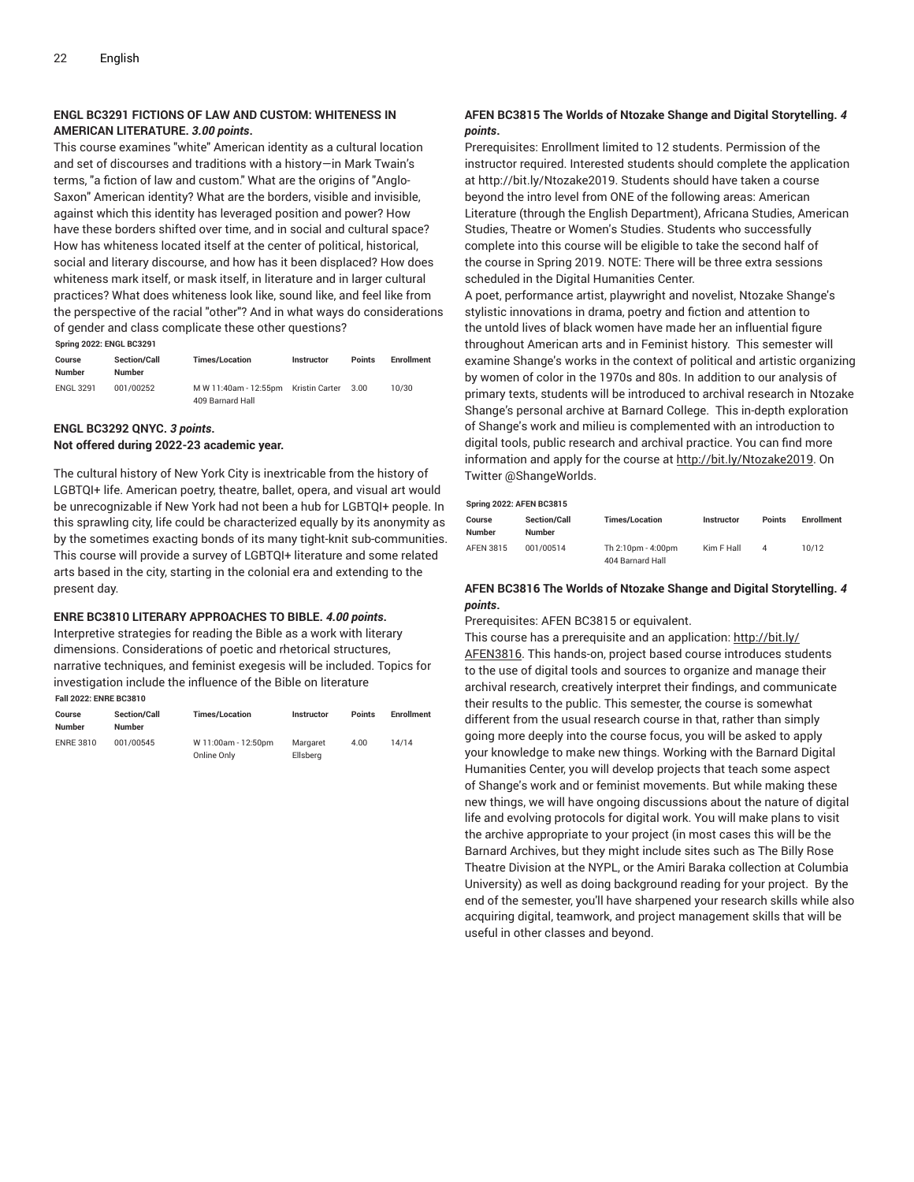#### **ENGL BC3291 FICTIONS OF LAW AND CUSTOM: WHITENESS IN AMERICAN LITERATURE.** *3.00 points***.**

This course examines "white" American identity as a cultural location and set of discourses and traditions with a history—in Mark Twain's terms, "a fiction of law and custom." What are the origins of "Anglo-Saxon" American identity? What are the borders, visible and invisible, against which this identity has leveraged position and power? How have these borders shifted over time, and in social and cultural space? How has whiteness located itself at the center of political, historical, social and literary discourse, and how has it been displaced? How does whiteness mark itself, or mask itself, in literature and in larger cultural practices? What does whiteness look like, sound like, and feel like from the perspective of the racial "other"? And in what ways do considerations of gender and class complicate these other questions?

**Spring 2022: ENGL BC3291**

| Course<br>Number | <b>Section/Call</b><br>Number | <b>Times/Location</b>                | <b>Instructor</b> | <b>Points</b> | <b>Enrollment</b> |
|------------------|-------------------------------|--------------------------------------|-------------------|---------------|-------------------|
| <b>ENGL 3291</b> | 001/00252                     | M W 11:40am - 12:55pm Kristin Carter |                   | 3.00          | 10/30             |
|                  |                               | 409 Barnard Hall                     |                   |               |                   |

#### **ENGL BC3292 QNYC.** *3 points***. Not offered during 2022-23 academic year.**

The cultural history of New York City is inextricable from the history of LGBTQI+ life. American poetry, theatre, ballet, opera, and visual art would be unrecognizable if New York had not been a hub for LGBTQI+ people. In this sprawling city, life could be characterized equally by its anonymity as by the sometimes exacting bonds of its many tight-knit sub-communities. This course will provide a survey of LGBTQI+ literature and some related arts based in the city, starting in the colonial era and extending to the present day.

#### **ENRE BC3810 LITERARY APPROACHES TO BIBLE.** *4.00 points***.**

Interpretive strategies for reading the Bible as a work with literary dimensions. Considerations of poetic and rhetorical structures, narrative techniques, and feminist exegesis will be included. Topics for investigation include the influence of the Bible on literature **Fall 2022: ENRE BC3810**

| Course<br><b>Number</b> | <b>Section/Call</b><br>Number | <b>Times/Location</b>              | <b>Instructor</b>    | <b>Points</b> | <b>Enrollment</b> |
|-------------------------|-------------------------------|------------------------------------|----------------------|---------------|-------------------|
| <b>ENRE 3810</b>        | 001/00545                     | W 11:00am - 12:50pm<br>Online Only | Margaret<br>Ellsberg | 4.00          | 14/14             |

### **AFEN BC3815 The Worlds of Ntozake Shange and Digital Storytelling.** *4 points***.**

Prerequisites: Enrollment limited to 12 students. Permission of the instructor required. Interested students should complete the application at http://bit.ly/Ntozake2019. Students should have taken a course beyond the intro level from ONE of the following areas: American Literature (through the English Department), Africana Studies, American Studies, Theatre or Women's Studies. Students who successfully complete into this course will be eligible to take the second half of the course in Spring 2019. NOTE: There will be three extra sessions scheduled in the Digital Humanities Center.

A poet, performance artist, playwright and novelist, Ntozake Shange's stylistic innovations in drama, poetry and fiction and attention to the untold lives of black women have made her an influential figure throughout American arts and in Feminist history. This semester will examine Shange's works in the context of political and artistic organizing by women of color in the 1970s and 80s. In addition to our analysis of primary texts, students will be introduced to archival research in Ntozake Shange's personal archive at Barnard College. This in-depth exploration of Shange's work and milieu is complemented with an introduction to digital tools, public research and archival practice. You can find more information and apply for the course at [http://bit.ly/Ntozake2019.](http://bit.ly/Ntozake2019/) On Twitter @ShangeWorlds.

#### **Spring 2022: AFEN BC3815**

| <b>Spring ZOZZ. AT LIV DOSOTS</b> |                     |                                        |            |               |                   |  |  |  |
|-----------------------------------|---------------------|----------------------------------------|------------|---------------|-------------------|--|--|--|
| Course                            | <b>Section/Call</b> | <b>Times/Location</b>                  | Instructor | <b>Points</b> | <b>Enrollment</b> |  |  |  |
| <b>Number</b>                     | <b>Number</b>       |                                        |            |               |                   |  |  |  |
| AFEN 3815                         | 001/00514           | Th 2:10pm - 4:00pm<br>404 Barnard Hall | Kim F Hall | 4             | 10/12             |  |  |  |

#### **AFEN BC3816 The Worlds of Ntozake Shange and Digital Storytelling.** *4 points***.**

Prerequisites: AFEN BC3815 or equivalent.

This course has a prerequisite and an application: [http://bit.ly/](http://bit.ly/AFEN3816/) [AFEN3816.](http://bit.ly/AFEN3816/) This hands-on, project based course introduces students to the use of digital tools and sources to organize and manage their archival research, creatively interpret their findings, and communicate their results to the public. This semester, the course is somewhat different from the usual research course in that, rather than simply going more deeply into the course focus, you will be asked to apply your knowledge to make new things. Working with the Barnard Digital Humanities Center, you will develop projects that teach some aspect of Shange's work and or feminist movements. But while making these new things, we will have ongoing discussions about the nature of digital life and evolving protocols for digital work. You will make plans to visit the archive appropriate to your project (in most cases this will be the Barnard Archives, but they might include sites such as The Billy Rose Theatre Division at the NYPL, or the Amiri Baraka collection at Columbia University) as well as doing background reading for your project. By the end of the semester, you'll have sharpened your research skills while also acquiring digital, teamwork, and project management skills that will be useful in other classes and beyond.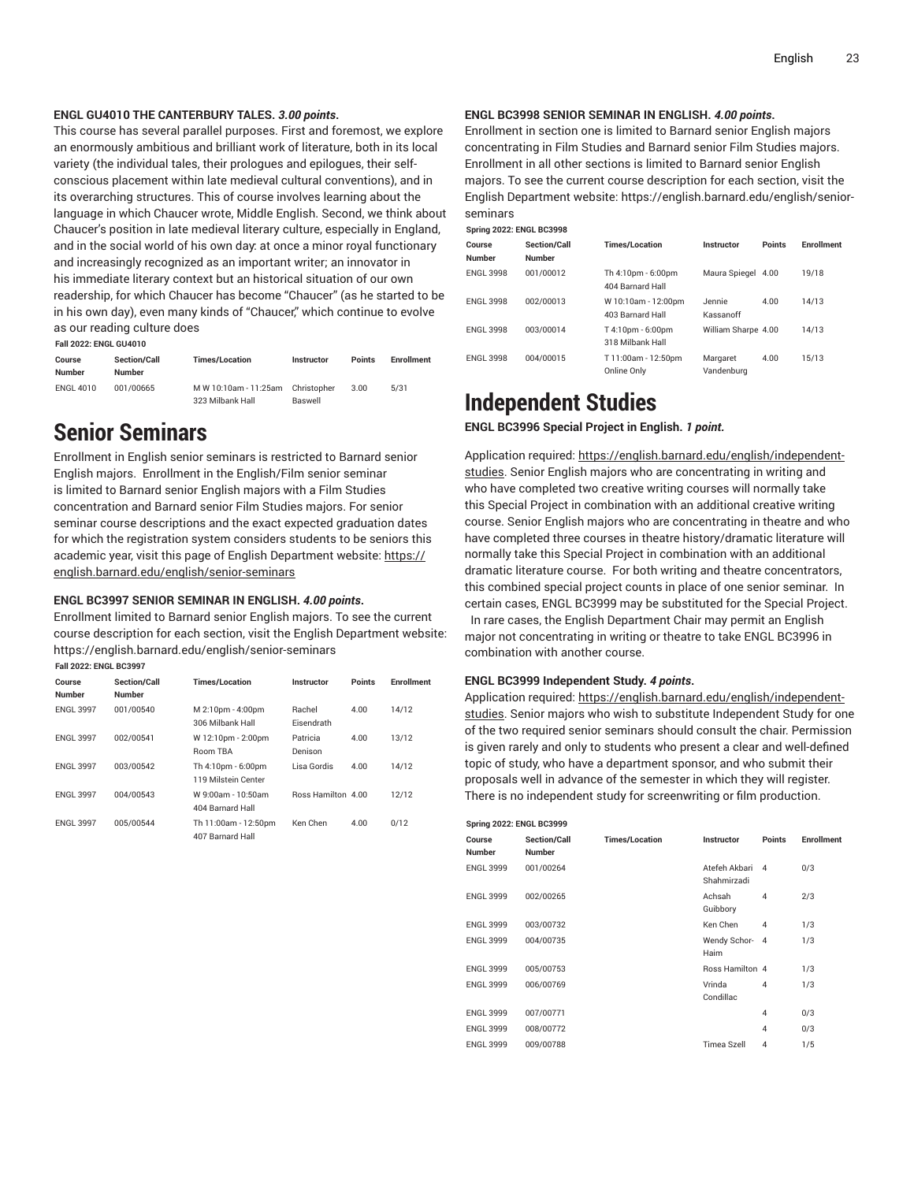#### **ENGL GU4010 THE CANTERBURY TALES.** *3.00 points***.**

This course has several parallel purposes. First and foremost, we explore an enormously ambitious and brilliant work of literature, both in its local variety (the individual tales, their prologues and epilogues, their selfconscious placement within late medieval cultural conventions), and in its overarching structures. This of course involves learning about the language in which Chaucer wrote, Middle English. Second, we think about Chaucer's position in late medieval literary culture, especially in England, and in the social world of his own day: at once a minor royal functionary and increasingly recognized as an important writer; an innovator in his immediate literary context but an historical situation of our own readership, for which Chaucer has become "Chaucer" (as he started to be in his own day), even many kinds of "Chaucer," which continue to evolve as our reading culture does

**Fall 2022: ENGL GU4010 Course Number Section/Call Number Times/Location Instructor Points Enrollment** ENGL 4010 001/00665 M W 10:10am - 11:25am 323 Milbank Hall Christopher Baswell 3.00 5/31

### <span id="page-22-0"></span>**Senior Seminars**

Enrollment in English senior seminars is restricted to Barnard senior English majors. Enrollment in the English/Film senior seminar is limited to Barnard senior English majors with a Film Studies concentration and Barnard senior Film Studies majors. For senior seminar course descriptions and the exact expected graduation dates for which the registration system considers students to be seniors this academic year, visit this page of English Department website: [https://](https://english.barnard.edu/english/senior-seminars/) [english.barnard.edu/english/senior-seminars](https://english.barnard.edu/english/senior-seminars/)

#### **ENGL BC3997 SENIOR SEMINAR IN ENGLISH.** *4.00 points***.**

Enrollment limited to Barnard senior English majors. To see the current course description for each section, visit the English Department website: https://english.barnard.edu/english/senior-seminars

| <b>Fall 2022: ENGL BC3997</b> |                        |                                           |                             |               |            |  |  |  |
|-------------------------------|------------------------|-------------------------------------------|-----------------------------|---------------|------------|--|--|--|
| Course<br><b>Number</b>       | Section/Call<br>Number | <b>Times/Location</b>                     | Instructor                  | <b>Points</b> | Enrollment |  |  |  |
| <b>ENGL 3997</b>              | 001/00540              | M 2:10pm - 4:00pm<br>306 Milbank Hall     | Rachel<br><b>Eisendrath</b> | 4.00          | 14/12      |  |  |  |
| <b>ENGL 3997</b>              | 002/00541              | W 12:10pm - 2:00pm<br>Room TBA            | Patricia<br>Denison         | 4.00          | 13/12      |  |  |  |
| <b>ENGL 3997</b>              | 003/00542              | Th 4:10pm - 6:00pm<br>119 Milstein Center | Lisa Gordis                 | 4.00          | 14/12      |  |  |  |
| <b>ENGL 3997</b>              | 004/00543              | W 9:00am - 10:50am<br>404 Barnard Hall    | Ross Hamilton 4.00          |               | 12/12      |  |  |  |
| <b>ENGL 3997</b>              | 005/00544              | Th 11:00am - 12:50pm<br>407 Barnard Hall  | Ken Chen                    | 4.00          | 0/12       |  |  |  |

#### **ENGL BC3998 SENIOR SEMINAR IN ENGLISH.** *4.00 points***.**

Enrollment in section one is limited to Barnard senior English majors concentrating in Film Studies and Barnard senior Film Studies majors. Enrollment in all other sections is limited to Barnard senior English majors. To see the current course description for each section, visit the English Department website: https://english.barnard.edu/english/seniorseminars

**Spring 2022: ENGL BC3998**

| Course<br><b>Number</b> | <b>Section/Call</b><br><b>Number</b> | <b>Times/Location</b>                   | Instructor             | <b>Points</b> | <b>Enrollment</b> |
|-------------------------|--------------------------------------|-----------------------------------------|------------------------|---------------|-------------------|
| <b>ENGL 3998</b>        | 001/00012                            | Th 4:10pm - 6:00pm<br>404 Barnard Hall  | Maura Spiegel 4.00     |               | 19/18             |
| <b>ENGL 3998</b>        | 002/00013                            | W 10:10am - 12:00pm<br>403 Barnard Hall | Jennie<br>Kassanoff    | 4.00          | 14/13             |
| <b>ENGL 3998</b>        | 003/00014                            | T 4:10pm - 6:00pm<br>318 Milbank Hall   | William Sharpe 4.00    |               | 14/13             |
| <b>ENGL 3998</b>        | 004/00015                            | T 11:00am - 12:50pm<br>Online Only      | Margaret<br>Vandenburg | 4.00          | 15/13             |

### <span id="page-22-1"></span>**Independent Studies**

**ENGL BC3996 Special Project in English.** *1 point.*

Application required: [https://english.barnard.edu/english/independent](https://english.barnard.edu/english/independent-studies/)[studies.](https://english.barnard.edu/english/independent-studies/) Senior English majors who are concentrating in writing and who have completed two creative writing courses will normally take this Special Project in combination with an additional creative writing course. Senior English majors who are concentrating in theatre and who have completed three courses in theatre history/dramatic literature will normally take this Special Project in combination with an additional dramatic literature course. For both writing and theatre concentrators, this combined special project counts in place of one senior seminar. In certain cases, ENGL BC3999 may be substituted for the Special Project. In rare cases, the English Department Chair may permit an English major not concentrating in writing or theatre to take ENGL BC3996 in combination with another course.

#### **ENGL BC3999 Independent Study.** *4 points***.**

Application required: [https://english.barnard.edu/english/independent](https://english.barnard.edu/english/independent-studies/)[studies.](https://english.barnard.edu/english/independent-studies/) Senior majors who wish to substitute Independent Study for one of the two required senior seminars should consult the chair. Permission is given rarely and only to students who present a clear and well-defined topic of study, who have a department sponsor, and who submit their proposals well in advance of the semester in which they will register. There is no independent study for screenwriting or film production.

| <b>Spring 2022: ENGL BC3999</b> |                                      |                       |                              |                |                   |  |  |  |  |
|---------------------------------|--------------------------------------|-----------------------|------------------------------|----------------|-------------------|--|--|--|--|
| Course<br><b>Number</b>         | <b>Section/Call</b><br><b>Number</b> | <b>Times/Location</b> | <b>Instructor</b>            | Points         | <b>Enrollment</b> |  |  |  |  |
| <b>ENGL 3999</b>                | 001/00264                            |                       | Atefeh Akbari<br>Shahmirzadi | $\mathbf{A}$   | 0/3               |  |  |  |  |
| <b>ENGL 3999</b>                | 002/00265                            |                       | Achsah<br>Guibbory           | $\overline{4}$ | 2/3               |  |  |  |  |
| <b>ENGL 3999</b>                | 003/00732                            |                       | Ken Chen                     | $\overline{4}$ | 1/3               |  |  |  |  |
| <b>ENGL 3999</b>                | 004/00735                            |                       | Wendy Schor-<br>Haim         | $\overline{4}$ | 1/3               |  |  |  |  |
| <b>ENGL 3999</b>                | 005/00753                            |                       | Ross Hamilton 4              |                | 1/3               |  |  |  |  |
| <b>ENGL 3999</b>                | 006/00769                            |                       | Vrinda<br>Condillac          | 4              | 1/3               |  |  |  |  |
| <b>ENGL 3999</b>                | 007/00771                            |                       |                              | $\overline{4}$ | 0/3               |  |  |  |  |
| <b>ENGL 3999</b>                | 008/00772                            |                       |                              | $\overline{4}$ | 0/3               |  |  |  |  |
| <b>ENGL 3999</b>                | 009/00788                            |                       | Timea Szell                  | $\overline{4}$ | 1/5               |  |  |  |  |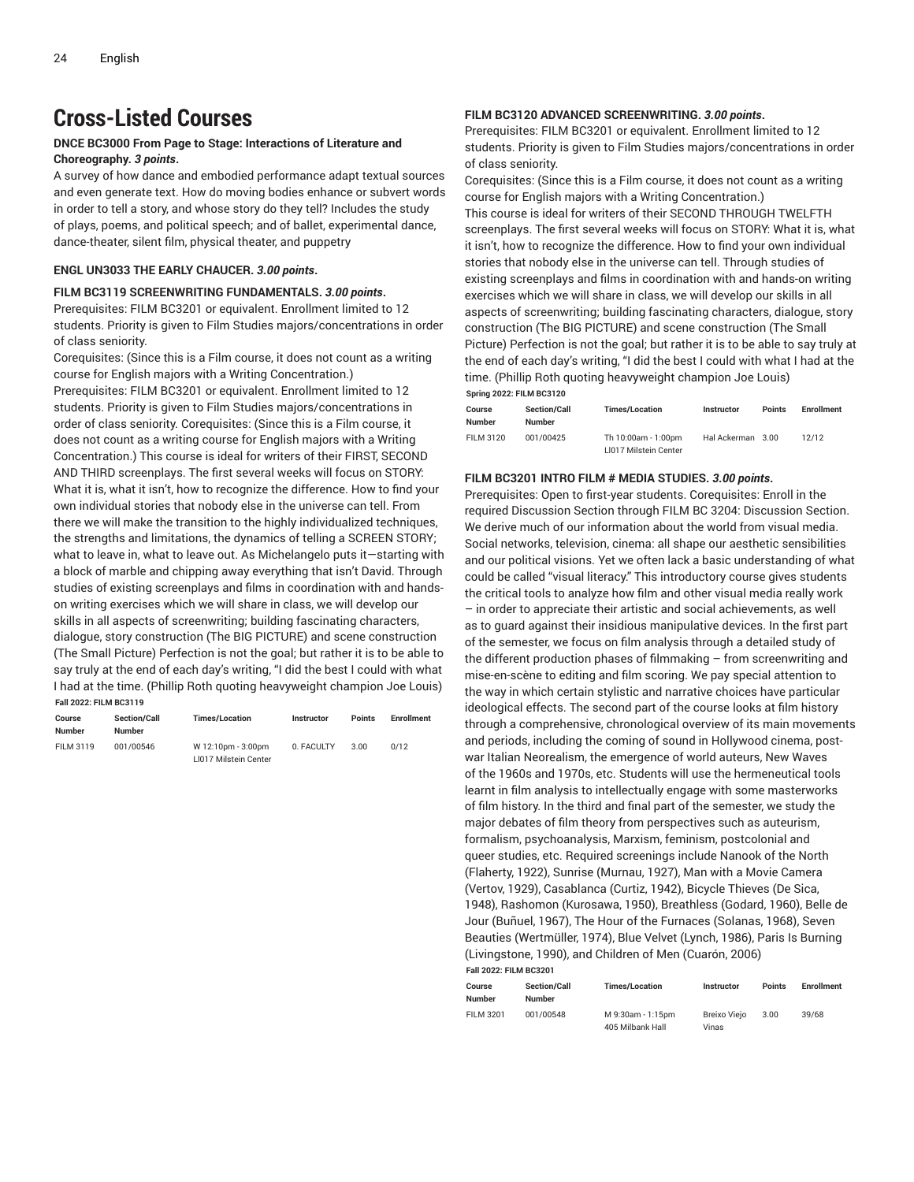## <span id="page-23-0"></span>**Cross-Listed Courses**

#### **DNCE BC3000 From Page to Stage: Interactions of Literature and Choreography.** *3 points***.**

A survey of how dance and embodied performance adapt textual sources and even generate text. How do moving bodies enhance or subvert words in order to tell a story, and whose story do they tell? Includes the study of plays, poems, and political speech; and of ballet, experimental dance, dance-theater, silent film, physical theater, and puppetry

#### **ENGL UN3033 THE EARLY CHAUCER.** *3.00 points***.**

#### **FILM BC3119 SCREENWRITING FUNDAMENTALS.** *3.00 points***.**

Prerequisites: FILM BC3201 or equivalent. Enrollment limited to 12 students. Priority is given to Film Studies majors/concentrations in order of class seniority.

Corequisites: (Since this is a Film course, it does not count as a writing course for English majors with a Writing Concentration.)

Prerequisites: FILM BC3201 or equivalent. Enrollment limited to 12 students. Priority is given to Film Studies majors/concentrations in order of class seniority. Corequisites: (Since this is a Film course, it does not count as a writing course for English majors with a Writing Concentration.) This course is ideal for writers of their FIRST, SECOND AND THIRD screenplays. The first several weeks will focus on STORY: What it is, what it isn't, how to recognize the difference. How to find your own individual stories that nobody else in the universe can tell. From there we will make the transition to the highly individualized techniques, the strengths and limitations, the dynamics of telling a SCREEN STORY; what to leave in, what to leave out. As Michelangelo puts it—starting with a block of marble and chipping away everything that isn't David. Through studies of existing screenplays and films in coordination with and handson writing exercises which we will share in class, we will develop our skills in all aspects of screenwriting; building fascinating characters, dialogue, story construction (The BIG PICTURE) and scene construction (The Small Picture) Perfection is not the goal; but rather it is to be able to say truly at the end of each day's writing, "I did the best I could with what I had at the time. (Phillip Roth quoting heavyweight champion Joe Louis) **Fall 2022: FILM BC3119**

| Course<br><b>Number</b> | <b>Section/Call</b><br><b>Number</b> | <b>Times/Location</b>                       | <b>Instructor</b> | <b>Points</b> | <b>Enrollment</b> |
|-------------------------|--------------------------------------|---------------------------------------------|-------------------|---------------|-------------------|
| FILM 3119               | 001/00546                            | W 12:10pm - 3:00pm<br>LI017 Milstein Center | 0. FACULTY        | 3.00          | 0/12              |

#### **FILM BC3120 ADVANCED SCREENWRITING.** *3.00 points***.**

Prerequisites: FILM BC3201 or equivalent. Enrollment limited to 12 students. Priority is given to Film Studies majors/concentrations in order of class seniority.

Corequisites: (Since this is a Film course, it does not count as a writing course for English majors with a Writing Concentration.) This course is ideal for writers of their SECOND THROUGH TWELFTH screenplays. The first several weeks will focus on STORY: What it is, what it isn't, how to recognize the difference. How to find your own individual stories that nobody else in the universe can tell. Through studies of existing screenplays and films in coordination with and hands-on writing exercises which we will share in class, we will develop our skills in all aspects of screenwriting; building fascinating characters, dialogue, story construction (The BIG PICTURE) and scene construction (The Small Picture) Perfection is not the goal; but rather it is to be able to say truly at the end of each day's writing, "I did the best I could with what I had at the time. (Phillip Roth quoting heavyweight champion Joe Louis) **Spring 2022: FILM BC3120**

| <b>SPITIN ZUZZ. I ILIVI DUSTZU</b> |                                      |                                              |                   |               |                   |
|------------------------------------|--------------------------------------|----------------------------------------------|-------------------|---------------|-------------------|
| Course<br><b>Number</b>            | <b>Section/Call</b><br><b>Number</b> | <b>Times/Location</b>                        | Instructor        | <b>Points</b> | <b>Enrollment</b> |
| FILM 3120                          | 001/00425                            | Th 10:00am - 1:00pm<br>LI017 Milstein Center | Hal Ackerman 3.00 |               | 12/12             |

#### **FILM BC3201 INTRO FILM # MEDIA STUDIES.** *3.00 points***.**

Prerequisites: Open to first-year students. Corequisites: Enroll in the required Discussion Section through FILM BC 3204: Discussion Section. We derive much of our information about the world from visual media. Social networks, television, cinema: all shape our aesthetic sensibilities and our political visions. Yet we often lack a basic understanding of what could be called "visual literacy." This introductory course gives students the critical tools to analyze how film and other visual media really work – in order to appreciate their artistic and social achievements, as well as to guard against their insidious manipulative devices. In the first part of the semester, we focus on film analysis through a detailed study of the different production phases of filmmaking – from screenwriting and mise-en-scène to editing and film scoring. We pay special attention to the way in which certain stylistic and narrative choices have particular ideological effects. The second part of the course looks at film history through a comprehensive, chronological overview of its main movements and periods, including the coming of sound in Hollywood cinema, postwar Italian Neorealism, the emergence of world auteurs, New Waves of the 1960s and 1970s, etc. Students will use the hermeneutical tools learnt in film analysis to intellectually engage with some masterworks of film history. In the third and final part of the semester, we study the major debates of film theory from perspectives such as auteurism, formalism, psychoanalysis, Marxism, feminism, postcolonial and queer studies, etc. Required screenings include Nanook of the North (Flaherty, 1922), Sunrise (Murnau, 1927), Man with a Movie Camera (Vertov, 1929), Casablanca (Curtiz, 1942), Bicycle Thieves (De Sica, 1948), Rashomon (Kurosawa, 1950), Breathless (Godard, 1960), Belle de Jour (Buñuel, 1967), The Hour of the Furnaces (Solanas, 1968), Seven Beauties (Wertmüller, 1974), Blue Velvet (Lynch, 1986), Paris Is Burning (Livingstone, 1990), and Children of Men (Cuarón, 2006) **Fall 2022: FILM BC3201**

| Course<br>Number | <b>Section/Call</b><br><b>Number</b> | <b>Times/Location</b> | <b>Instructor</b> | <b>Points</b> | <b>Enrollment</b> |
|------------------|--------------------------------------|-----------------------|-------------------|---------------|-------------------|
| <b>FILM 3201</b> | 001/00548                            | M 9:30am - 1:15pm     | Breixo Vieio      | 3.00          | 39/68             |
|                  |                                      | 405 Milbank Hall      | Vinas             |               |                   |